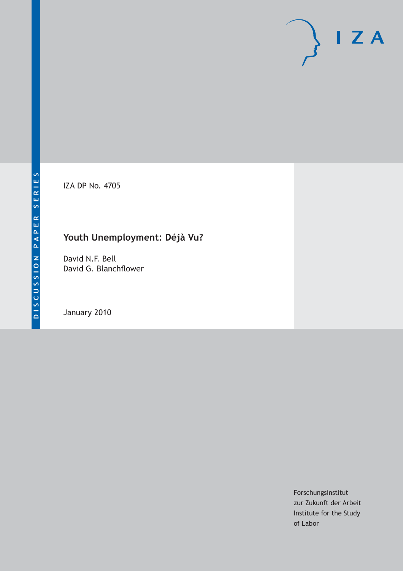IZA DP No. 4705

# **Youth Unemployment: Déjà Vu?**

David N.F. Bell David G. Blanchflower

January 2010

Forschungsinstitut zur Zukunft der Arbeit Institute for the Study of Labor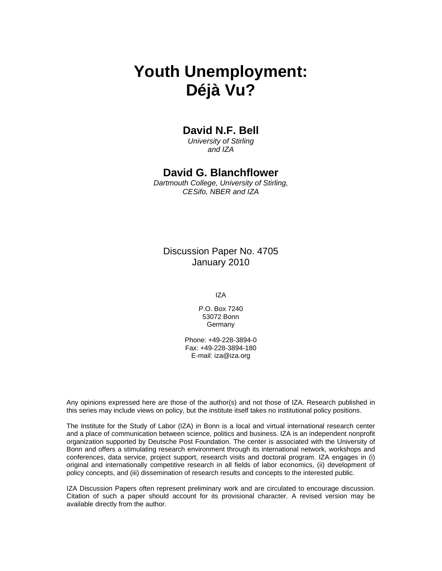# **Youth Unemployment: Déjà Vu?**

# **David N.F. Bell**

*University of Stirling and IZA* 

# **David G. Blanchflower**

*Dartmouth College, University of Stirling, CESifo, NBER and IZA* 

Discussion Paper No. 4705 January 2010

IZA

P.O. Box 7240 53072 Bonn **Germany** 

Phone: +49-228-3894-0 Fax: +49-228-3894-180 E-mail: iza@iza.org

Any opinions expressed here are those of the author(s) and not those of IZA. Research published in this series may include views on policy, but the institute itself takes no institutional policy positions.

The Institute for the Study of Labor (IZA) in Bonn is a local and virtual international research center and a place of communication between science, politics and business. IZA is an independent nonprofit organization supported by Deutsche Post Foundation. The center is associated with the University of Bonn and offers a stimulating research environment through its international network, workshops and conferences, data service, project support, research visits and doctoral program. IZA engages in (i) original and internationally competitive research in all fields of labor economics, (ii) development of policy concepts, and (iii) dissemination of research results and concepts to the interested public.

IZA Discussion Papers often represent preliminary work and are circulated to encourage discussion. Citation of such a paper should account for its provisional character. A revised version may be available directly from the author.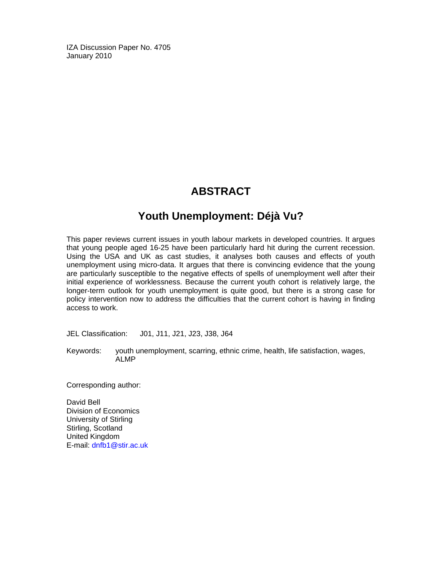IZA Discussion Paper No. 4705 January 2010

# **ABSTRACT**

# **Youth Unemployment: Déjà Vu?**

This paper reviews current issues in youth labour markets in developed countries. It argues that young people aged 16-25 have been particularly hard hit during the current recession. Using the USA and UK as cast studies, it analyses both causes and effects of youth unemployment using micro-data. It argues that there is convincing evidence that the young are particularly susceptible to the negative effects of spells of unemployment well after their initial experience of worklessness. Because the current youth cohort is relatively large, the longer-term outlook for youth unemployment is quite good, but there is a strong case for policy intervention now to address the difficulties that the current cohort is having in finding access to work.

JEL Classification: J01, J11, J21, J23, J38, J64

Keywords: youth unemployment, scarring, ethnic crime, health, life satisfaction, wages, ALMP

Corresponding author:

David Bell Division of Economics University of Stirling Stirling, Scotland United Kingdom E-mail: dnfb1@stir.ac.uk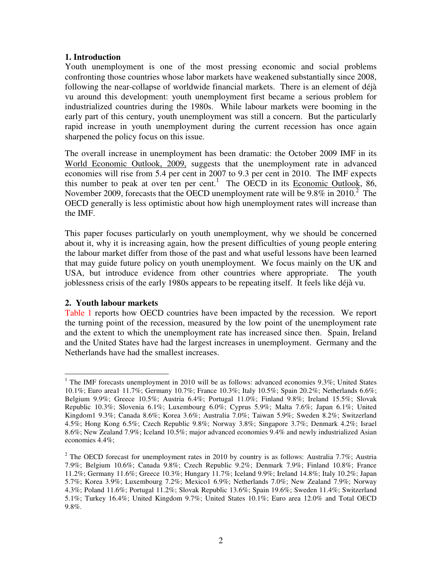#### **1. Introduction**

Youth unemployment is one of the most pressing economic and social problems confronting those countries whose labor markets have weakened substantially since 2008, following the near-collapse of worldwide financial markets. There is an element of déjà vu around this development: youth unemployment first became a serious problem for industrialized countries during the 1980s. While labour markets were booming in the early part of this century, youth unemployment was still a concern. But the particularly rapid increase in youth unemployment during the current recession has once again sharpened the policy focus on this issue.

The overall increase in unemployment has been dramatic: the October 2009 IMF in its World Economic Outlook, 2009, suggests that the unemployment rate in advanced economies will rise from 5.4 per cent in 2007 to 9.3 per cent in 2010. The IMF expects this number to peak at over ten per cent.<sup>1</sup> The OECD in its **Economic Outlook**, 86, November 2009, forecasts that the OECD unemployment rate will be 9.8% in 2010.<sup>2</sup> The OECD generally is less optimistic about how high unemployment rates will increase than the IMF.

This paper focuses particularly on youth unemployment, why we should be concerned about it, why it is increasing again, how the present difficulties of young people entering the labour market differ from those of the past and what useful lessons have been learned that may guide future policy on youth unemployment. We focus mainly on the UK and USA, but introduce evidence from other countries where appropriate. The youth joblessness crisis of the early 1980s appears to be repeating itself. It feels like déjà vu.

# **2. Youth labour markets**

Table 1 reports how OECD countries have been impacted by the recession. We report the turning point of the recession, measured by the low point of the unemployment rate and the extent to which the unemployment rate has increased since then. Spain, Ireland and the United States have had the largest increases in unemployment. Germany and the Netherlands have had the smallest increases.

<sup>&</sup>lt;sup>1</sup> The IMF forecasts unemployment in 2010 will be as follows: advanced economies 9.3%; United States 10.1%; Euro area1 11.7%; Germany 10.7%; France 10.3%; Italy 10.5%; Spain 20.2%; Netherlands 6.6%; Belgium 9.9%; Greece 10.5%; Austria 6.4%; Portugal 11.0%; Finland 9.8%; Ireland 15.5%; Slovak Republic 10.3%; Slovenia 6.1%; Luxembourg 6.0%; Cyprus 5.9%; Malta 7.6%; Japan 6.1%; United Kingdom1 9.3%; Canada 8.6%; Korea 3.6%; Australia 7.0%; Taiwan 5.9%; Sweden 8.2%; Switzerland 4.5%; Hong Kong 6.5%; Czech Republic 9.8%; Norway 3.8%; Singapore 3.7%; Denmark 4.2%; Israel 8.6%; New Zealand 7.9%; Iceland 10.5%; major advanced economies 9.4% and newly industrialized Asian economies 4.4%;

<sup>&</sup>lt;sup>2</sup> The OECD forecast for unemployment rates in 2010 by country is as follows: Australia 7.7%; Austria 7.9%; Belgium 10.6%; Canada 9.8%; Czech Republic 9.2%; Denmark 7.9%; Finland 10.8%; France 11.2%; Germany 11.6%; Greece 10.3%; Hungary 11.7%; Iceland 9.9%; Ireland 14.8%; Italy 10.2%; Japan 5.7%; Korea 3.9%; Luxembourg 7.2%; Mexico1 6.9%; Netherlands 7.0%; New Zealand 7.9%; Norway 4.3%; Poland 11.6%; Portugal 11.2%; Slovak Republic 13.6%; Spain 19.6%; Sweden 11.4%; Switzerland 5.1%; Turkey 16.4%; United Kingdom 9.7%; United States 10.1%; Euro area 12.0% and Total OECD 9.8%.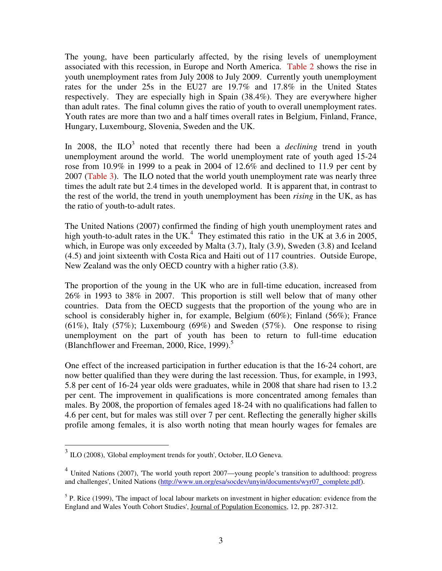The young, have been particularly affected, by the rising levels of unemployment associated with this recession, in Europe and North America. Table 2 shows the rise in youth unemployment rates from July 2008 to July 2009. Currently youth unemployment rates for the under 25s in the EU27 are 19.7% and 17.8% in the United States respectively. They are especially high in Spain (38.4%). They are everywhere higher than adult rates. The final column gives the ratio of youth to overall unemployment rates. Youth rates are more than two and a half times overall rates in Belgium, Finland, France, Hungary, Luxembourg, Slovenia, Sweden and the UK.

In 2008, the  $ILO<sup>3</sup>$  noted that recently there had been a *declining* trend in youth unemployment around the world. The world unemployment rate of youth aged 15-24 rose from 10.9% in 1999 to a peak in 2004 of 12.6% and declined to 11.9 per cent by 2007 (Table 3). The ILO noted that the world youth unemployment rate was nearly three times the adult rate but 2.4 times in the developed world. It is apparent that, in contrast to the rest of the world, the trend in youth unemployment has been *rising* in the UK, as has the ratio of youth-to-adult rates.

The United Nations (2007) confirmed the finding of high youth unemployment rates and high youth-to-adult rates in the UK.<sup>4</sup> They estimated this ratio in the UK at 3.6 in 2005, which, in Europe was only exceeded by Malta (3.7), Italy (3.9), Sweden (3.8) and Iceland (4.5) and joint sixteenth with Costa Rica and Haiti out of 117 countries. Outside Europe, New Zealand was the only OECD country with a higher ratio (3.8).

The proportion of the young in the UK who are in full-time education, increased from 26% in 1993 to 38% in 2007. This proportion is still well below that of many other countries. Data from the OECD suggests that the proportion of the young who are in school is considerably higher in, for example, Belgium (60%); Finland (56%); France  $(61\%)$ , Italy  $(57\%)$ ; Luxembourg  $(69\%)$  and Sweden  $(57\%)$ . One response to rising unemployment on the part of youth has been to return to full-time education (Blanchflower and Freeman, 2000, Rice, 1999).<sup>5</sup>

One effect of the increased participation in further education is that the 16-24 cohort, are now better qualified than they were during the last recession. Thus, for example, in 1993, 5.8 per cent of 16-24 year olds were graduates, while in 2008 that share had risen to 13.2 per cent. The improvement in qualifications is more concentrated among females than males. By 2008, the proportion of females aged 18-24 with no qualifications had fallen to 4.6 per cent, but for males was still over 7 per cent. Reflecting the generally higher skills profile among females, it is also worth noting that mean hourly wages for females are

 $\overline{a}$ 

 $3$  ILO (2008), 'Global employment trends for youth', October, ILO Geneva.

<sup>&</sup>lt;sup>4</sup> United Nations (2007), 'The world youth report 2007—young people's transition to adulthood: progress and challenges', United Nations (http://www.un.org/esa/socdev/unyin/documents/wyr07\_complete.pdf).

 $<sup>5</sup>$  P. Rice (1999), 'The impact of local labour markets on investment in higher education: evidence from the</sup> England and Wales Youth Cohort Studies', Journal of Population Economics, 12, pp. 287-312.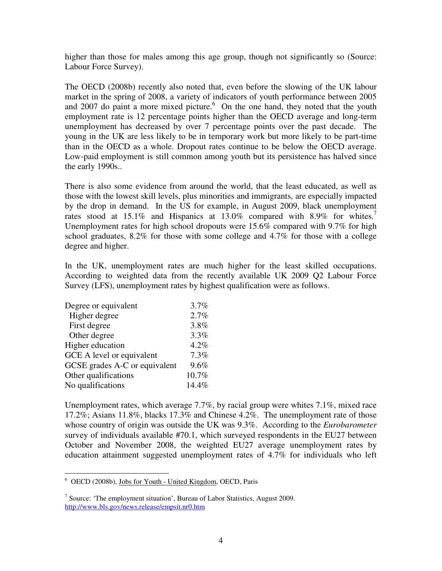higher than those for males among this age group, though not significantly so (Source: Labour Force Survey).

The OECD (2008b) recently also noted that, even before the slowing of the UK labour market in the spring of 2008, a variety of indicators of youth performance between 2005 and 2007 do paint a more mixed picture.<sup>6</sup> On the one hand, they noted that the youth employment rate is 12 percentage points higher than the OECD average and long-term unemployment has decreased by over 7 percentage points over the past decade. The young in the UK are less likely to be in temporary work but more likely to be part-time than in the OECD as a whole. Dropout rates continue to be below the OECD average. Low-paid employment is still common among youth but its persistence has halved since the early 1990s..

There is also some evidence from around the world, that the least educated, as well as those with the lowest skill levels, plus minorities and immigrants, are especially impacted by the drop in demand. In the US for example, in August 2009, black unemployment rates stood at 15.1% and Hispanics at 13.0% compared with 8.9% for whites.<sup>7</sup> Unemployment rates for high school dropouts were 15.6% compared with 9.7% for high school graduates, 8.2% for those with some college and 4.7% for those with a college degree and higher.

In the UK, unemployment rates are much higher for the least skilled occupations. According to weighted data from the recently available UK 2009 Q2 Labour Force Survey (LFS), unemployment rates by highest qualification were as follows.

| Degree or equivalent          | 3.7%  |
|-------------------------------|-------|
| Higher degree                 | 2.7%  |
| First degree                  | 3.8%  |
| Other degree                  | 3.3%  |
| Higher education              | 4.2%  |
| GCE A level or equivalent     | 7.3%  |
| GCSE grades A-C or equivalent | 9.6%  |
| Other qualifications          | 10.7% |
| No qualifications             | 14.4% |

Unemployment rates, which average 7.7%, by racial group were whites 7.1%, mixed race 17.2%; Asians 11.8%, blacks 17.3% and Chinese 4.2%. The unemployment rate of those whose country of origin was outside the UK was 9.3%. According to the *Eurobarometer* survey of individuals available #70.1, which surveyed respondents in the EU27 between October and November 2008, the weighted EU27 average unemployment rates by education attainment suggested unemployment rates of 4.7% for individuals who left

 6 OECD (2008b), Jobs for Youth - United Kingdom, OECD, Paris

<sup>&</sup>lt;sup>7</sup> Source: 'The employment situation', Bureau of Labor Statistics, August 2009. http://www.bls.gov/news.release/empsit.nr0.htm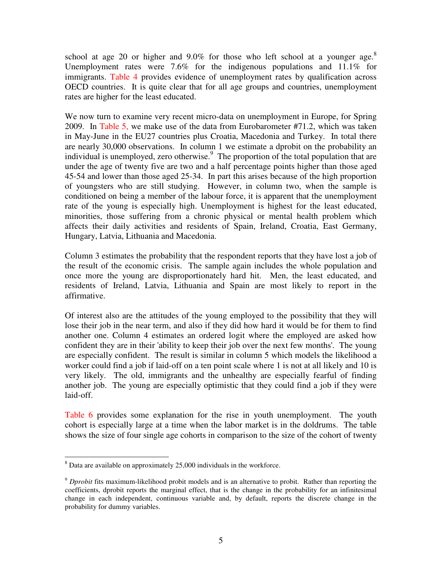school at age 20 or higher and  $9.0\%$  for those who left school at a younger age.<sup>8</sup> Unemployment rates were  $7.6\%$  for the indigenous populations and  $11.1\%$  for immigrants. Table 4 provides evidence of unemployment rates by qualification across OECD countries. It is quite clear that for all age groups and countries, unemployment rates are higher for the least educated.

We now turn to examine very recent micro-data on unemployment in Europe, for Spring 2009. In Table 5, we make use of the data from Eurobarometer #71.2, which was taken in May-June in the EU27 countries plus Croatia, Macedonia and Turkey. In total there are nearly 30,000 observations. In column 1 we estimate a dprobit on the probability an individual is unemployed, zero otherwise. $9$  The proportion of the total population that are under the age of twenty five are two and a half percentage points higher than those aged 45-54 and lower than those aged 25-34. In part this arises because of the high proportion of youngsters who are still studying. However, in column two, when the sample is conditioned on being a member of the labour force, it is apparent that the unemployment rate of the young is especially high. Unemployment is highest for the least educated, minorities, those suffering from a chronic physical or mental health problem which affects their daily activities and residents of Spain, Ireland, Croatia, East Germany, Hungary, Latvia, Lithuania and Macedonia.

Column 3 estimates the probability that the respondent reports that they have lost a job of the result of the economic crisis. The sample again includes the whole population and once more the young are disproportionately hard hit. Men, the least educated, and residents of Ireland, Latvia, Lithuania and Spain are most likely to report in the affirmative.

Of interest also are the attitudes of the young employed to the possibility that they will lose their job in the near term, and also if they did how hard it would be for them to find another one. Column 4 estimates an ordered logit where the employed are asked how confident they are in their 'ability to keep their job over the next few months'. The young are especially confident. The result is similar in column 5 which models the likelihood a worker could find a job if laid-off on a ten point scale where 1 is not at all likely and 10 is very likely. The old, immigrants and the unhealthy are especially fearful of finding another job. The young are especially optimistic that they could find a job if they were laid-off.

Table 6 provides some explanation for the rise in youth unemployment. The youth cohort is especially large at a time when the labor market is in the doldrums. The table shows the size of four single age cohorts in comparison to the size of the cohort of twenty

l  $8$  Data are available on approximately 25,000 individuals in the workforce.

<sup>9</sup> *Dprobit* fits maximum-likelihood probit models and is an alternative to probit. Rather than reporting the coefficients, dprobit reports the marginal effect, that is the change in the probability for an infinitesimal change in each independent, continuous variable and, by default, reports the discrete change in the probability for dummy variables.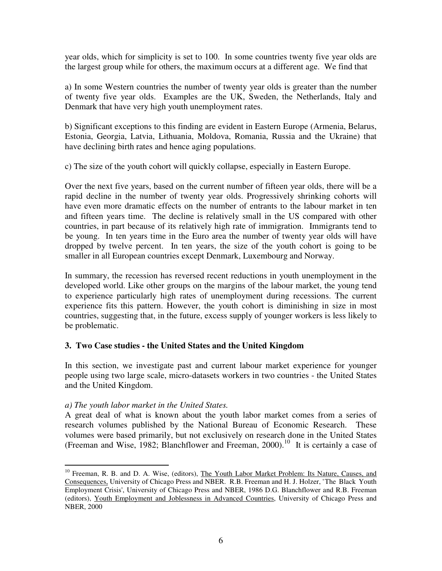year olds, which for simplicity is set to 100. In some countries twenty five year olds are the largest group while for others, the maximum occurs at a different age. We find that

a) In some Western countries the number of twenty year olds is greater than the number of twenty five year olds. Examples are the UK, Sweden, the Netherlands, Italy and Denmark that have very high youth unemployment rates.

b) Significant exceptions to this finding are evident in Eastern Europe (Armenia, Belarus, Estonia, Georgia, Latvia, Lithuania, Moldova, Romania, Russia and the Ukraine) that have declining birth rates and hence aging populations.

c) The size of the youth cohort will quickly collapse, especially in Eastern Europe.

Over the next five years, based on the current number of fifteen year olds, there will be a rapid decline in the number of twenty year olds. Progressively shrinking cohorts will have even more dramatic effects on the number of entrants to the labour market in ten and fifteen years time. The decline is relatively small in the US compared with other countries, in part because of its relatively high rate of immigration. Immigrants tend to be young. In ten years time in the Euro area the number of twenty year olds will have dropped by twelve percent. In ten years, the size of the youth cohort is going to be smaller in all European countries except Denmark, Luxembourg and Norway.

In summary, the recession has reversed recent reductions in youth unemployment in the developed world. Like other groups on the margins of the labour market, the young tend to experience particularly high rates of unemployment during recessions. The current experience fits this pattern. However, the youth cohort is diminishing in size in most countries, suggesting that, in the future, excess supply of younger workers is less likely to be problematic.

# **3. Two Case studies - the United States and the United Kingdom**

In this section, we investigate past and current labour market experience for younger people using two large scale, micro-datasets workers in two countries - the United States and the United Kingdom.

# *a) The youth labor market in the United States.*

A great deal of what is known about the youth labor market comes from a series of research volumes published by the National Bureau of Economic Research. These volumes were based primarily, but not exclusively on research done in the United States (Freeman and Wise, 1982; Blanchflower and Freeman,  $2000$ ).<sup>10</sup> It is certainly a case of

 $\overline{a}$ <sup>10</sup> Freeman, R. B. and D. A. Wise, (editors), The Youth Labor Market Problem: Its Nature, Causes, and Consequences, University of Chicago Press and NBER. R.B. Freeman and H. J. Holzer, ' The Black Youth Employment Crisis', University of Chicago Press and NBER, 1986 D.G. Blanchflower and R.B. Freeman (editors), Youth Employment and Joblessness in Advanced Countries, University of Chicago Press and NBER, 2000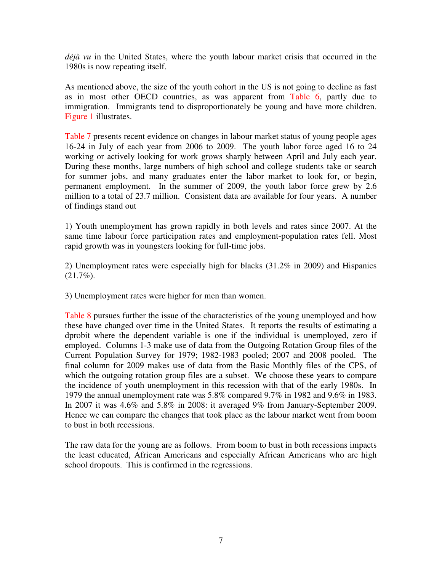*déjà vu* in the United States, where the youth labour market crisis that occurred in the 1980s is now repeating itself.

As mentioned above, the size of the youth cohort in the US is not going to decline as fast as in most other OECD countries, as was apparent from Table 6, partly due to immigration. Immigrants tend to disproportionately be young and have more children. Figure 1 illustrates.

Table 7 presents recent evidence on changes in labour market status of young people ages 16-24 in July of each year from 2006 to 2009. The youth labor force aged 16 to 24 working or actively looking for work grows sharply between April and July each year. During these months, large numbers of high school and college students take or search for summer jobs, and many graduates enter the labor market to look for, or begin, permanent employment. In the summer of 2009, the youth labor force grew by 2.6 million to a total of 23.7 million. Consistent data are available for four years. A number of findings stand out

1) Youth unemployment has grown rapidly in both levels and rates since 2007. At the same time labour force participation rates and employment-population rates fell. Most rapid growth was in youngsters looking for full-time jobs.

2) Unemployment rates were especially high for blacks (31.2% in 2009) and Hispanics  $(21.7\%)$ .

3) Unemployment rates were higher for men than women.

Table 8 pursues further the issue of the characteristics of the young unemployed and how these have changed over time in the United States. It reports the results of estimating a dprobit where the dependent variable is one if the individual is unemployed, zero if employed. Columns 1-3 make use of data from the Outgoing Rotation Group files of the Current Population Survey for 1979; 1982-1983 pooled; 2007 and 2008 pooled. The final column for 2009 makes use of data from the Basic Monthly files of the CPS, of which the outgoing rotation group files are a subset. We choose these years to compare the incidence of youth unemployment in this recession with that of the early 1980s. In 1979 the annual unemployment rate was 5.8% compared 9.7% in 1982 and 9.6% in 1983. In 2007 it was 4.6% and 5.8% in 2008: it averaged 9% from January-September 2009. Hence we can compare the changes that took place as the labour market went from boom to bust in both recessions.

The raw data for the young are as follows. From boom to bust in both recessions impacts the least educated, African Americans and especially African Americans who are high school dropouts. This is confirmed in the regressions.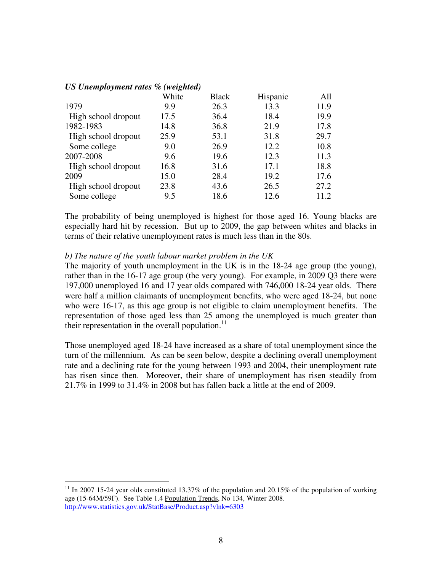|                     | White | <b>Black</b> | Hispanic | All  |
|---------------------|-------|--------------|----------|------|
| 1979                | 9.9   | 26.3         | 13.3     | 11.9 |
| High school dropout | 17.5  | 36.4         | 18.4     | 19.9 |
| 1982-1983           | 14.8  | 36.8         | 21.9     | 17.8 |
| High school dropout | 25.9  | 53.1         | 31.8     | 29.7 |
| Some college        | 9.0   | 26.9         | 12.2     | 10.8 |
| 2007-2008           | 9.6   | 19.6         | 12.3     | 11.3 |
| High school dropout | 16.8  | 31.6         | 17.1     | 18.8 |
| 2009                | 15.0  | 28.4         | 19.2     | 17.6 |
| High school dropout | 23.8  | 43.6         | 26.5     | 27.2 |
| Some college        | 9.5   | 18.6         | 12.6     | 11.2 |

#### *US Unemployment rates % (weighted)*

 $\overline{a}$ 

The probability of being unemployed is highest for those aged 16. Young blacks are especially hard hit by recession. But up to 2009, the gap between whites and blacks in terms of their relative unemployment rates is much less than in the 80s.

#### *b) The nature of the youth labour market problem in the UK*

The majority of youth unemployment in the UK is in the 18-24 age group (the young), rather than in the 16-17 age group (the very young). For example, in 2009 Q3 there were 197,000 unemployed 16 and 17 year olds compared with 746,000 18-24 year olds. There were half a million claimants of unemployment benefits, who were aged 18-24, but none who were 16-17, as this age group is not eligible to claim unemployment benefits. The representation of those aged less than 25 among the unemployed is much greater than their representation in the overall population. $^{11}$ 

Those unemployed aged 18-24 have increased as a share of total unemployment since the turn of the millennium. As can be seen below, despite a declining overall unemployment rate and a declining rate for the young between 1993 and 2004, their unemployment rate has risen since then. Moreover, their share of unemployment has risen steadily from 21.7% in 1999 to 31.4% in 2008 but has fallen back a little at the end of 2009.

<sup>&</sup>lt;sup>11</sup> In 2007 15-24 year olds constituted 13.37% of the population and 20.15% of the population of working age (15-64M/59F). See Table 1.4 Population Trends, No 134, Winter 2008. http://www.statistics.gov.uk/StatBase/Product.asp?vlnk=6303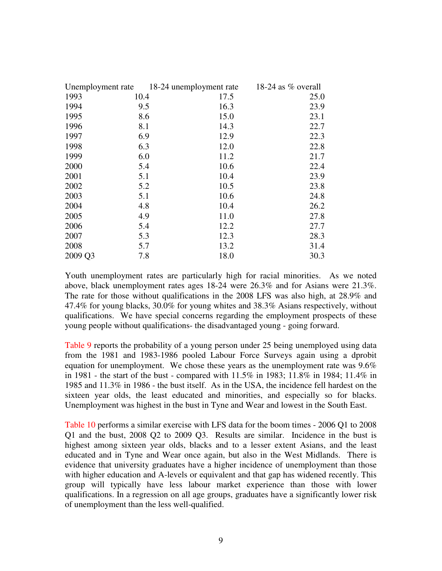| Unemployment rate 18-24 unemployment rate |     |      | 18-24 as $%$ overall |  |
|-------------------------------------------|-----|------|----------------------|--|
| 1993<br>10.4                              |     | 17.5 | 25.0                 |  |
| 1994                                      | 9.5 | 16.3 | 23.9                 |  |
| 1995                                      | 8.6 | 15.0 | 23.1                 |  |
| 1996                                      | 8.1 | 14.3 | 22.7                 |  |
| 1997                                      | 6.9 | 12.9 | 22.3                 |  |
| 1998                                      | 6.3 | 12.0 | 22.8                 |  |
| 1999                                      | 6.0 | 11.2 | 21.7                 |  |
| 2000                                      | 5.4 | 10.6 | 22.4                 |  |
| 2001                                      | 5.1 | 10.4 | 23.9                 |  |
| 2002                                      | 5.2 | 10.5 | 23.8                 |  |
| 2003                                      | 5.1 | 10.6 | 24.8                 |  |
| 2004                                      | 4.8 | 10.4 | 26.2                 |  |
| 2005                                      | 4.9 | 11.0 | 27.8                 |  |
| 2006                                      | 5.4 | 12.2 | 27.7                 |  |
| 2007                                      | 5.3 | 12.3 | 28.3                 |  |
| 2008                                      | 5.7 | 13.2 | 31.4                 |  |
| 2009 Q3                                   | 7.8 | 18.0 | 30.3                 |  |

Youth unemployment rates are particularly high for racial minorities. As we noted above, black unemployment rates ages 18-24 were 26.3% and for Asians were 21.3%. The rate for those without qualifications in the 2008 LFS was also high, at 28.9% and 47.4% for young blacks, 30.0% for young whites and 38.3% Asians respectively, without qualifications. We have special concerns regarding the employment prospects of these young people without qualifications- the disadvantaged young - going forward.

Table 9 reports the probability of a young person under 25 being unemployed using data from the 1981 and 1983-1986 pooled Labour Force Surveys again using a dprobit equation for unemployment. We chose these years as the unemployment rate was  $9.6\%$ in 1981 - the start of the bust - compared with 11.5% in 1983; 11.8% in 1984; 11.4% in 1985 and 11.3% in 1986 - the bust itself. As in the USA, the incidence fell hardest on the sixteen year olds, the least educated and minorities, and especially so for blacks. Unemployment was highest in the bust in Tyne and Wear and lowest in the South East.

Table 10 performs a similar exercise with LFS data for the boom times - 2006 Q1 to 2008 Q1 and the bust, 2008 Q2 to 2009 Q3. Results are similar. Incidence in the bust is highest among sixteen year olds, blacks and to a lesser extent Asians, and the least educated and in Tyne and Wear once again, but also in the West Midlands. There is evidence that university graduates have a higher incidence of unemployment than those with higher education and A-levels or equivalent and that gap has widened recently. This group will typically have less labour market experience than those with lower qualifications. In a regression on all age groups, graduates have a significantly lower risk of unemployment than the less well-qualified.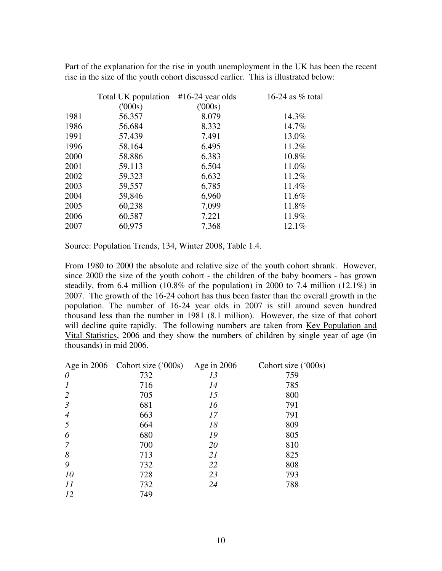Part of the explanation for the rise in youth unemployment in the UK has been the recent rise in the size of the youth cohort discussed earlier. This is illustrated below:

| Total UK population | $#16-24$ year olds | 16-24 as $%$ total |
|---------------------|--------------------|--------------------|
| (000s)              | (000s)             |                    |
| 56,357              | 8,079              | 14.3%              |
| 56,684              | 8,332              | 14.7%              |
| 57,439              | 7,491              | 13.0%              |
| 58,164              | 6,495              | 11.2%              |
| 58,886              | 6,383              | 10.8%              |
| 59,113              | 6,504              | 11.0%              |
| 59,323              | 6,632              | 11.2%              |
| 59,557              | 6,785              | 11.4%              |
| 59,846              | 6,960              | 11.6%              |
| 60,238              | 7,099              | 11.8%              |
| 60,587              | 7,221              | 11.9%              |
| 60,975              | 7,368              | 12.1%              |
|                     |                    |                    |

Source: Population Trends, 134, Winter 2008, Table 1.4.

From 1980 to 2000 the absolute and relative size of the youth cohort shrank. However, since 2000 the size of the youth cohort - the children of the baby boomers - has grown steadily, from 6.4 million (10.8% of the population) in 2000 to 7.4 million (12.1%) in 2007. The growth of the 16-24 cohort has thus been faster than the overall growth in the population. The number of 16-24 year olds in 2007 is still around seven hundred thousand less than the number in 1981 (8.1 million). However, the size of that cohort will decline quite rapidly. The following numbers are taken from Key Population and Vital Statistics, 2006 and they show the numbers of children by single year of age (in thousands) in mid 2006.

|                          | Age in $2006$ Cohort size ('000s) | Age in $2006$ | Cohort size ('000s) |
|--------------------------|-----------------------------------|---------------|---------------------|
| $\theta$                 | 732                               | 13            | 759                 |
| $\boldsymbol{l}$         | 716                               | 14            | 785                 |
| 2                        | 705                               | 15            | 800                 |
| $\mathfrak{Z}$           | 681                               | 16            | 791                 |
| $\overline{\mathcal{A}}$ | 663                               | 17            | 791                 |
| 5                        | 664                               | 18            | 809                 |
| 6                        | 680                               | 19            | 805                 |
| 7                        | 700                               | 20            | 810                 |
| 8                        | 713                               | 21            | 825                 |
| 9                        | 732                               | 22            | 808                 |
| 10                       | 728                               | 23            | 793                 |
| 11                       | 732                               | 24            | 788                 |
| 12                       | 749                               |               |                     |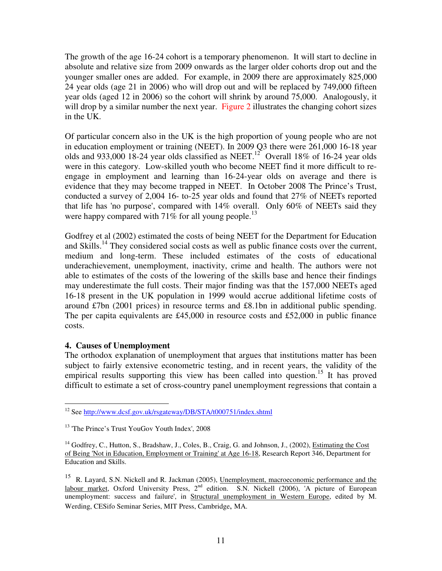The growth of the age 16-24 cohort is a temporary phenomenon. It will start to decline in absolute and relative size from 2009 onwards as the larger older cohorts drop out and the younger smaller ones are added. For example, in 2009 there are approximately 825,000 24 year olds (age 21 in 2006) who will drop out and will be replaced by 749,000 fifteen year olds (aged 12 in 2006) so the cohort will shrink by around 75,000. Analogously, it will drop by a similar number the next year. Figure 2 illustrates the changing cohort sizes in the UK.

Of particular concern also in the UK is the high proportion of young people who are not in education employment or training (NEET). In 2009 Q3 there were 261,000 16-18 year olds and  $933,000$  18-24 year olds classified as NEET.<sup>12</sup> Overall 18% of 16-24 year olds were in this category. Low-skilled youth who become NEET find it more difficult to reengage in employment and learning than 16-24-year olds on average and there is evidence that they may become trapped in NEET. In October 2008 The Prince's Trust, conducted a survey of 2,004 16- to-25 year olds and found that 27% of NEETs reported that life has 'no purpose', compared with 14% overall. Only 60% of NEETs said they were happy compared with 71% for all young people.<sup>13</sup>

Godfrey et al (2002) estimated the costs of being NEET for the Department for Education and Skills.<sup>14</sup> They considered social costs as well as public finance costs over the current, medium and long-term. These included estimates of the costs of educational underachievement, unemployment, inactivity, crime and health. The authors were not able to estimates of the costs of the lowering of the skills base and hence their findings may underestimate the full costs. Their major finding was that the 157,000 NEETs aged 16-18 present in the UK population in 1999 would accrue additional lifetime costs of around £7bn (2001 prices) in resource terms and £8.1bn in additional public spending. The per capita equivalents are £45,000 in resource costs and £52,000 in public finance costs.

# **4. Causes of Unemployment**

The orthodox explanation of unemployment that argues that institutions matter has been subject to fairly extensive econometric testing, and in recent years, the validity of the empirical results supporting this view has been called into question.<sup>15</sup> It has proved difficult to estimate a set of cross-country panel unemployment regressions that contain a

 $\overline{a}$ <sup>12</sup> See http://www.dcsf.gov.uk/rsgateway/DB/STA/t000751/index.shtml

<sup>&</sup>lt;sup>13</sup> 'The Prince's Trust YouGov Youth Index', 2008

<sup>&</sup>lt;sup>14</sup> Godfrey, C., Hutton, S., Bradshaw, J., Coles, B., Craig, G. and Johnson, J., (2002), *Estimating the Cost* of Being 'Not in Education, Employment or Training' at Age 16-18, Research Report 346, Department for Education and Skills.

<sup>&</sup>lt;sup>15</sup> R. Layard, S.N. Nickell and R. Jackman (2005), Unemployment, macroeconomic performance and the labour market, Oxford University Press, 2<sup>nd</sup> edition. S.N. Nickell (2006), 'A picture of European unemployment: success and failure', in Structural unemployment in Western Europe, edited by M. Werding, CESifo Seminar Series, MIT Press, Cambridge, MA.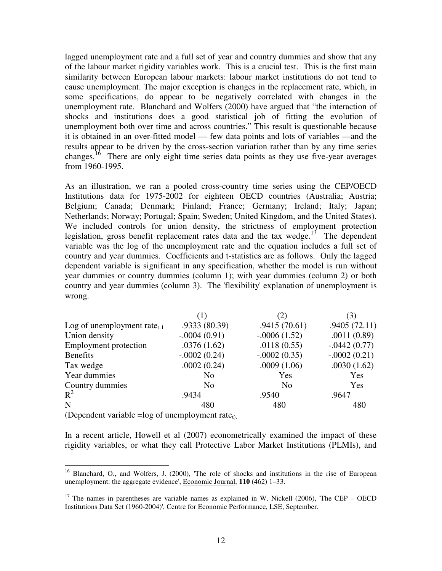lagged unemployment rate and a full set of year and country dummies and show that any of the labour market rigidity variables work. This is a crucial test. This is the first main similarity between European labour markets: labour market institutions do not tend to cause unemployment. The major exception is changes in the replacement rate, which, in some specifications, do appear to be negatively correlated with changes in the unemployment rate. Blanchard and Wolfers (2000) have argued that "the interaction of shocks and institutions does a good statistical job of fitting the evolution of unemployment both over time and across countries." This result is questionable because it is obtained in an over-fitted model — few data points and lots of variables —and the results appear to be driven by the cross-section variation rather than by any time series changes.<sup>16</sup> There are only eight time series data points as they use five-year averages from 1960-1995.

As an illustration, we ran a pooled cross-country time series using the CEP/OECD Institutions data for 1975-2002 for eighteen OECD countries (Australia; Austria; Belgium; Canada; Denmark; Finland; France; Germany; Ireland; Italy; Japan; Netherlands; Norway; Portugal; Spain; Sweden; United Kingdom, and the United States). We included controls for union density, the strictness of employment protection legislation, gross benefit replacement rates data and the tax wedge.<sup>17</sup> The dependent variable was the log of the unemployment rate and the equation includes a full set of country and year dummies. Coefficients and t-statistics are as follows. Only the lagged dependent variable is significant in any specification, whether the model is run without year dummies or country dummies (column 1); with year dummies (column 2) or both country and year dummies (column 3). The 'flexibility' explanation of unemployment is wrong.

|                                         | (1)            | (2)            | (3)            |
|-----------------------------------------|----------------|----------------|----------------|
| Log of unemployment rate <sub>t-1</sub> | .9333 (80.39)  | .9415(70.61)   | .9405(72.11)   |
| Union density                           | $-.0004(0.91)$ | $-.0006(1.52)$ | .0011(0.89)    |
| <b>Employment</b> protection            | .0376(1.62)    | .0118(0.55)    | $-.0442(0.77)$ |
| <b>Benefits</b>                         | $-.0002(0.24)$ | $-.0002(0.35)$ | $-.0002(0.21)$ |
| Tax wedge                               | .0002(0.24)    | .0009(1.06)    | .0030(1.62)    |
| Year dummies                            | N <sub>0</sub> | Yes            | Yes            |
| Country dummies                         | N <sub>0</sub> | N <sub>0</sub> | Yes            |
| $R^2$                                   | .9434          | .9540          | .9647          |
| N                                       | 480            | 480            | 480            |
|                                         |                |                |                |

(Dependent variable =log of unemployment rate<sub>t).</sub>

 $\overline{a}$ 

In a recent article, Howell et al (2007) econometrically examined the impact of these rigidity variables, or what they call Protective Labor Market Institutions (PLMIs), and

<sup>&</sup>lt;sup>16</sup> Blanchard, O., and Wolfers, J. (2000), 'The role of shocks and institutions in the rise of European unemployment: the aggregate evidence', Economic Journal, **110** (462) 1–33.

<sup>&</sup>lt;sup>17</sup> The names in parentheses are variable names as explained in W. Nickell (2006), The CEP – OECD Institutions Data Set (1960-2004)', Centre for Economic Performance, LSE, September.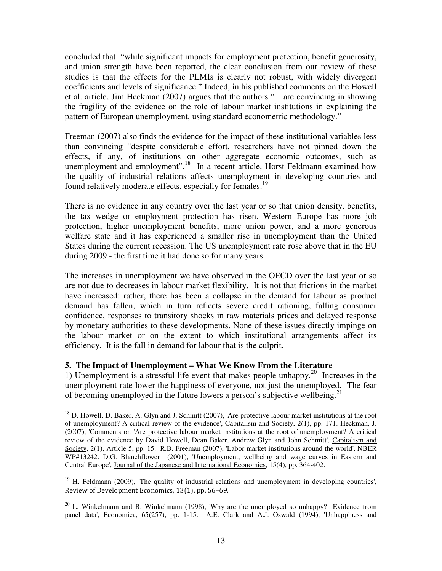concluded that: "while significant impacts for employment protection, benefit generosity, and union strength have been reported, the clear conclusion from our review of these studies is that the effects for the PLMIs is clearly not robust, with widely divergent coefficients and levels of significance." Indeed, in his published comments on the Howell et al. article, Jim Heckman (2007) argues that the authors "…are convincing in showing the fragility of the evidence on the role of labour market institutions in explaining the pattern of European unemployment, using standard econometric methodology."

Freeman (2007) also finds the evidence for the impact of these institutional variables less than convincing "despite considerable effort, researchers have not pinned down the effects, if any, of institutions on other aggregate economic outcomes, such as unemployment and employment".<sup>18</sup> In a recent article, Horst Feldmann examined how the quality of industrial relations affects unemployment in developing countries and found relatively moderate effects, especially for females.<sup>19</sup>

There is no evidence in any country over the last year or so that union density, benefits, the tax wedge or employment protection has risen. Western Europe has more job protection, higher unemployment benefits, more union power, and a more generous welfare state and it has experienced a smaller rise in unemployment than the United States during the current recession. The US unemployment rate rose above that in the EU during 2009 - the first time it had done so for many years.

The increases in unemployment we have observed in the OECD over the last year or so are not due to decreases in labour market flexibility. It is not that frictions in the market have increased: rather, there has been a collapse in the demand for labour as product demand has fallen, which in turn reflects severe credit rationing, falling consumer confidence, responses to transitory shocks in raw materials prices and delayed response by monetary authorities to these developments. None of these issues directly impinge on the labour market or on the extent to which institutional arrangements affect its efficiency. It is the fall in demand for labour that is the culprit.

# **5. The Impact of Unemployment – What We Know From the Literature**

 $\overline{a}$ 

1) Unemployment is a stressful life event that makes people unhappy.<sup>20</sup> Increases in the unemployment rate lower the happiness of everyone, not just the unemployed. The fear of becoming unemployed in the future lowers a person's subjective wellbeing.<sup>21</sup>

 $18$  D. Howell, D. Baker, A. Glyn and J. Schmitt (2007), 'Are protective labour market institutions at the root of unemployment? A critical review of the evidence', Capitalism and Society, 2(1), pp. 171. Heckman, J. (2007), 'Comments on 'Are protective labour market institutions at the root of unemployment? A critical review of the evidence by David Howell, Dean Baker, Andrew Glyn and John Schmitt', Capitalism and Society, 2(1), Article 5, pp. 15. R.B. Freeman (2007), 'Labor market institutions around the world', NBER WP#13242. D.G. Blanchflower (2001), 'Unemployment, wellbeing and wage curves in Eastern and Central Europe', Journal of the Japanese and International Economies, 15(4), pp. 364-402.

<sup>&</sup>lt;sup>19</sup> H. Feldmann (2009), 'The quality of industrial relations and unemployment in developing countries', Review of Development Economics, 13(1), pp. 56–69.

<sup>&</sup>lt;sup>20</sup> L. Winkelmann and R. Winkelmann (1998), 'Why are the unemployed so unhappy? Evidence from panel data', Economica, 65(257), pp. 1-15. A.E. Clark and A.J. Oswald (1994), 'Unhappiness and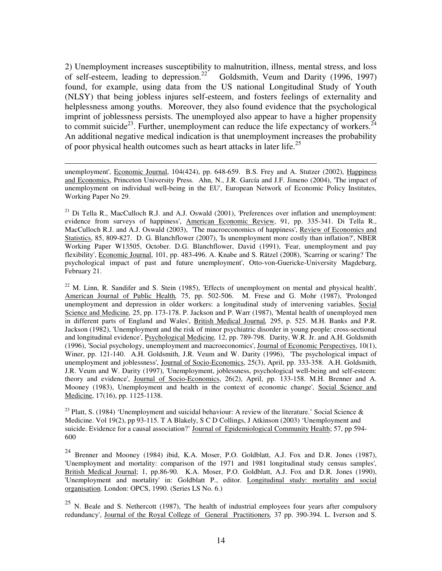2) Unemployment increases susceptibility to malnutrition, illness, mental stress, and loss of self-esteem, leading to depression.<sup>22</sup> Goldsmith, Veum and Darity (1996, 1997) found, for example, using data from the US national Longitudinal Study of Youth (NLSY) that being jobless injures self-esteem, and fosters feelings of externality and helplessness among youths. Moreover, they also found evidence that the psychological imprint of joblessness persists. The unemployed also appear to have a higher propensity to commit suicide<sup>23</sup>. Further, unemployment can reduce the life expectancy of workers.<sup>24</sup> An additional negative medical indication is that unemployment increases the probability of poor physical health outcomes such as heart attacks in later life.<sup>25</sup>

unemployment', Economic Journal, 104(424), pp. 648-659. B.S. Frey and A. Stutzer (2002), Happiness and Economics, Princeton University Press. Ahn, N., J.R. García and J.F. Jimeno (2004), 'The impact of unemployment on individual well-being in the EU', European Network of Economic Policy Institutes, Working Paper No 29.

 $\overline{a}$ 

 $^{21}$  Di Tella R., MacCulloch R.J. and A.J. Oswald (2001), 'Preferences over inflation and unemployment: evidence from surveys of happiness', American Economic Review, 91, pp. 335-341. Di Tella R., MacCulloch R.J. and A.J. Oswald (2003), 'The macroeconomics of happiness', Review of Economics and Statistics, 85, 809-827. D. G. Blanchflower (2007), 'Is unemployment more costly than inflation?', NBER Working Paper W13505, October. D.G. Blanchflower, David (1991), 'Fear, unemployment and pay flexibility', Economic Journal, 101, pp. 483-496. A. Knabe and S. Rätzel (2008), 'Scarring or scaring? The psychological impact of past and future unemployment', Otto-von-Guericke-University Magdeburg, February 21.

<sup>22</sup> M. Linn, R. Sandifer and S. Stein (1985), 'Effects of unemployment on mental and physical health', American Journal of Public Health*,* 75, pp. 502-506. M. Frese and G. Mohr (1987), 'Prolonged unemployment and depression in older workers: a longitudinal study of intervening variables, Social Science and Medicine*,* 25, pp. 173-178. P. Jackson and P. Warr (1987), 'Mental health of unemployed men in different parts of England and Wales', British Medical Journal*,* 295, p. 525. M.H. Banks and P.R. Jackson (1982), 'Unemployment and the risk of minor psychiatric disorder in young people: cross-sectional and longitudinal evidence', Psychological Medicine*,* 12, pp. 789-798. Darity, W.R. Jr. and A.H. Goldsmith (1996), 'Social psychology, unemployment and macroeconomics', Journal of Economic Perspectives, 10(1), Winer, pp. 121-140. A.H. Goldsmith, J.R. Veum and W. Darity (1996), 'The psychological impact of unemployment and joblessness', Journal of Socio-Economics, 25(3), April, pp. 333-358. A.H. Goldsmith, J.R. Veum and W. Darity (1997), 'Unemployment, joblessness, psychological well-being and self-esteem: theory and evidence', Journal of Socio-Economics, 26(2), April, pp. 133-158. M.H. Brenner and A. Mooney (1983), Unemployment and health in the context of economic change', Social Science and Medicine, 17(16), pp. 1125-1138.

<sup>23</sup> Platt, S. (1984) 'Unemployment and suicidal behaviour: A review of the literature.' Social Science & Medicine. Vol 19(2), pp 93-115. T A Blakely, S C D Collings, J Atkinson (2003) 'Unemployment and suicide. Evidence for a causal association?' Journal of Epidemiological Community Health; 57, pp 594- 600

<sup>24</sup> Brenner and Mooney (1984) ibid, K.A. Moser, P.O. Goldblatt, A.J. Fox and D.R. Jones (1987), 'Unemployment and mortality: comparison of the 1971 and 1981 longitudinal study census samples', British Medical Journal; 1, pp.86-90. K.A. Moser, P.O. Goldblatt, A.J. Fox and D.R. Jones (1990), 'Unemployment and mortality' in: Goldblatt P., editor. Longitudinal study: mortality and social organisation. London: OPCS, 1990. (Series LS No. 6.)

 $25$  N. Beale and S. Nethercott (1987), 'The health of industrial employees four years after compulsory redundancy', Journal of the Royal College of General Practitioners*,* 37 pp. 390-394. L. Iverson and S.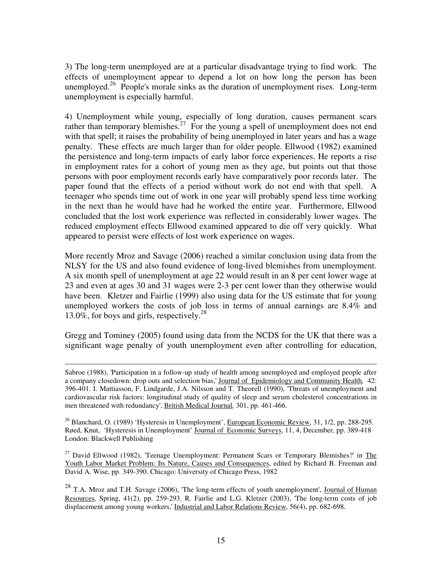3) The long-term unemployed are at a particular disadvantage trying to find work. The effects of unemployment appear to depend a lot on how long the person has been unemployed.<sup>26</sup> People's morale sinks as the duration of unemployment rises. Long-term unemployment is especially harmful.

4) Unemployment while young, especially of long duration, causes permanent scars rather than temporary blemishes.<sup>27</sup> For the young a spell of unemployment does not end with that spell; it raises the probability of being unemployed in later years and has a wage penalty. These effects are much larger than for older people. Ellwood (1982) examined the persistence and long-term impacts of early labor force experiences. He reports a rise in employment rates for a cohort of young men as they age, but points out that those persons with poor employment records early have comparatively poor records later. The paper found that the effects of a period without work do not end with that spell. A teenager who spends time out of work in one year will probably spend less time working in the next than he would have had he worked the entire year. Furthermore, Ellwood concluded that the lost work experience was reflected in considerably lower wages. The reduced employment effects Ellwood examined appeared to die off very quickly. What appeared to persist were effects of lost work experience on wages.

More recently Mroz and Savage (2006) reached a similar conclusion using data from the NLSY for the US and also found evidence of long-lived blemishes from unemployment. A six month spell of unemployment at age 22 would result in an 8 per cent lower wage at 23 and even at ages 30 and 31 wages were 2-3 per cent lower than they otherwise would have been. Kletzer and Fairlie (1999) also using data for the US estimate that for young unemployed workers the costs of job loss in terms of annual earnings are 8.4% and 13.0%, for boys and girls, respectively.<sup>28</sup>

Gregg and Tominey (2005) found using data from the NCDS for the UK that there was a significant wage penalty of youth unemployment even after controlling for education,

<sup>26</sup> Blanchard, O. (1989) 'Hysteresis in Unemployment', European Economic Review, 31, 1/2, pp. 288-295. Røed, Knut, 'Hysteresis in Unemployment' Journal of Economic Surveys, 11, 4, December, pp. 389-418 London: Blackwell Publishing

 $27$  David Ellwood (1982), 'Teenage Unemployment: Permanent Scars or Temporary Blemishes?' in The Youth Labor Market Problem: Its Nature, Causes and Consequences, edited by Richard B. Freeman and David A. Wise, pp. 349-390. Chicago: University of Chicago Press, 1982

<sup>28</sup> T.A. Mroz and T.H. Savage (2006), 'The long-term effects of youth unemployment', Journal of Human Resources, Spring, 41(2), pp. 259-293. R. Fairlie and L.G. Kletzer (2003), 'The long-term costs of job displacement among young workers,' Industrial and Labor Relations Review, 56(4), pp. 682-698.

 $\overline{a}$ Sabroe (1988), 'Participation in a follow-up study of health among unemployed and employed people after a company closedown: drop outs and selection bias,' Journal of Epidemiology and Community Health*,* 42: 396-401. I. Mattiasson, F. Lindgarde, J.A. Nilsson and T. Theorell (1990), 'Threats of unemployment and cardiovascular risk factors: longitudinal study of quality of sleep and serum cholesterol concentrations in men threatened with redundancy', British Medical Journal*,* 301, pp. 461-466.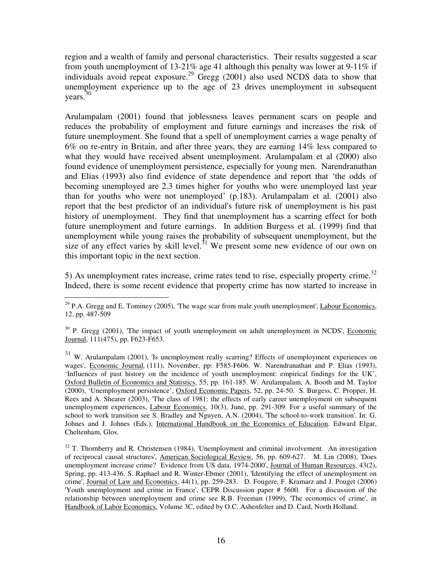region and a wealth of family and personal characteristics. Their results suggested a scar from youth unemployment of 13-21% age 41 although this penalty was lower at 9-11% if individuals avoid repeat exposure.<sup>29</sup> Gregg (2001) also used NCDS data to show that unemployment experience up to the age of 23 drives unemployment in subsequent years.<sup>30</sup>

Arulampalam (2001) found that joblessness leaves permanent scars on people and reduces the probability of employment and future earnings and increases the risk of future unemployment. She found that a spell of unemployment carries a wage penalty of 6% on re-entry in Britain, and after three years, they are earning 14% less compared to what they would have received absent unemployment. Arulampalam et al (2000) also found evidence of unemployment persistence, especially for young men. Narendranathan and Elias (1993) also find evidence of state dependence and report that 'the odds of becoming unemployed are 2.3 times higher for youths who were unemployed last year than for youths who were not unemployed' (p.183). Arulampalam et al. (2001) also report that the best predictor of an individual's future risk of unemployment is his past history of unemployment. They find that unemployment has a scarring effect for both future unemployment and future earnings. In addition Burgess et al. (1999) find that unemployment while young raises the probability of subsequent unemployment, but the size of any effect varies by skill level.<sup>31</sup> We present some new evidence of our own on this important topic in the next section.

5) As unemployment rates increase, crime rates tend to rise, especially property crime.<sup>32</sup> Indeed, there is some recent evidence that property crime has now started to increase in

 $\overline{a}$  $29$  P.A. Gregg and E. Tominey (2005), 'The wage scar from male youth unemployment', Labour Economics, 12, pp. 487-509

 $30$  P. Gregg (2001), The impact of youth unemployment on adult unemployment in NCDS', Economic Journal, 111(475), pp. F623-F653.

<sup>&</sup>lt;sup>31</sup> W. Arulampalam (2001), 'Is unemployment really scarring? Effects of unemployment experiences on wages', Economic Journal*,* (111), November, pp: F585-F606. W. Narendranathan and P. Elias (1993), 'Influences of past history on the incidence of youth unemployment: empirical findings for the UK', Oxford Bulletin of Economics and Statistics, 55, pp. 161-185. W. Arulampalam, A. Booth and M. Taylor (2000), 'Unemployment persistence', Oxford Economic Papers, 52, pp. 24-50. S. Burgess, C. Propper, H. Rees and A. Shearer (2003), 'The class of 1981: the effects of early career unemployment on subsequent unemployment experiences, Labour Economics, 10(3), June, pp. 291-309. For a useful summary of the school to work transition see S. Bradley and Nguyen, A.N. (2004), 'The school-to-work transition'. In: G. Johnes and J. Johnes (Eds.), International Handbook on the Economics of Education. Edward Elgar, Cheltenham, Glos.

<sup>&</sup>lt;sup>32</sup> T. Thornberry and R. Christensen (1984), 'Unemployment and criminal involvement. An investigation of reciprocal causal structures', American Sociological Review, 56, pp. 609-627. M. Lin (2008), 'Does unemployment increase crime? Evidence from US data, 1974-2000', Journal of Human Resources, 43(2), Spring, pp. 413-436. S. Raphael and R. Winter-Ebmer (2001), 'Identifying the effect of unemployment on crime', Journal of Law and Economics, 44(1), pp. 259-283. D. Fougere, F. Kramarz and J. Pouget (2006) 'Youth unemployment and crime in France', CEPR Discussion paper # 5600. For a discussion of the relationship between unemployment and crime see R.B. Freeman (1999), 'The economics of crime', in Handbook of Labor Economics, Volume 3C, edited by O.C. Ashenfelter and D. Card, North Holland.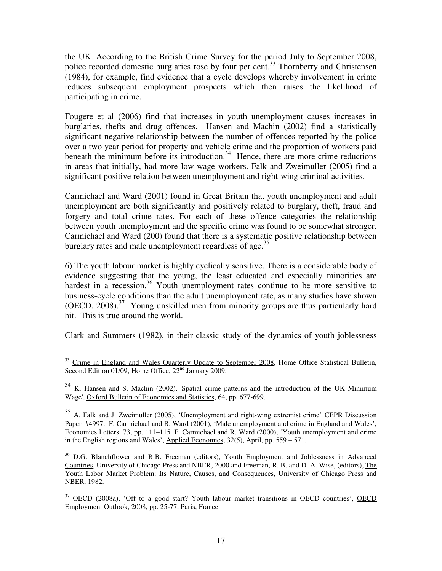the UK. According to the British Crime Survey for the period July to September 2008, police recorded domestic burglaries rose by four per cent.<sup>33</sup> Thornberry and Christensen (1984), for example, find evidence that a cycle develops whereby involvement in crime reduces subsequent employment prospects which then raises the likelihood of participating in crime.

Fougere et al (2006) find that increases in youth unemployment causes increases in burglaries, thefts and drug offences. Hansen and Machin (2002) find a statistically significant negative relationship between the number of offences reported by the police over a two year period for property and vehicle crime and the proportion of workers paid beneath the minimum before its introduction.<sup>34</sup> Hence, there are more crime reductions in areas that initially, had more low-wage workers. Falk and Zweimuller (2005) find a significant positive relation between unemployment and right-wing criminal activities.

Carmichael and Ward (2001) found in Great Britain that youth unemployment and adult unemployment are both significantly and positively related to burglary, theft, fraud and forgery and total crime rates. For each of these offence categories the relationship between youth unemployment and the specific crime was found to be somewhat stronger. Carmichael and Ward (200) found that there is a systematic positive relationship between burglary rates and male unemployment regardless of age.<sup>35</sup>

6) The youth labour market is highly cyclically sensitive. There is a considerable body of evidence suggesting that the young, the least educated and especially minorities are hardest in a recession.<sup>36</sup> Youth unemployment rates continue to be more sensitive to business-cycle conditions than the adult unemployment rate, as many studies have shown (OECD,  $2008$ ).<sup>37</sup> Young unskilled men from minority groups are thus particularly hard hit. This is true around the world.

Clark and Summers (1982), in their classic study of the dynamics of youth joblessness

 $\overline{a}$ <sup>33</sup> Crime in England and Wales Quarterly Update to September 2008, Home Office Statistical Bulletin, Second Edition 01/09, Home Office, 22<sup>nd</sup> January 2009.

<sup>&</sup>lt;sup>34</sup> K. Hansen and S. Machin (2002), 'Spatial crime patterns and the introduction of the UK Minimum Wage', Oxford Bulletin of Economics and Statistics, 64, pp. 677-699.

 $35$  A. Falk and J. Zweimuller (2005), 'Unemployment and right-wing extremist crime' CEPR Discussion Paper #4997. F. Carmichael and R. Ward (2001), 'Male unemployment and crime in England and Wales', Economics Letters, 73, pp. 111–115. F. Carmichael and R. Ward (2000), 'Youth unemployment and crime in the English regions and Wales', Applied Economics, 32(5), April, pp. 559 – 571.

 $36$  D.G. Blanchflower and R.B. Freeman (editors), Youth Employment and Joblessness in Advanced Countries, University of Chicago Press and NBER, 2000 and Freeman, R. B. and D. A. Wise, (editors), The Youth Labor Market Problem: Its Nature, Causes, and Consequences, University of Chicago Press and NBER, 1982.

 $37$  OECD (2008a), 'Off to a good start? Youth labour market transitions in OECD countries', OECD Employment Outlook, 2008, pp. 25-77, Paris, France.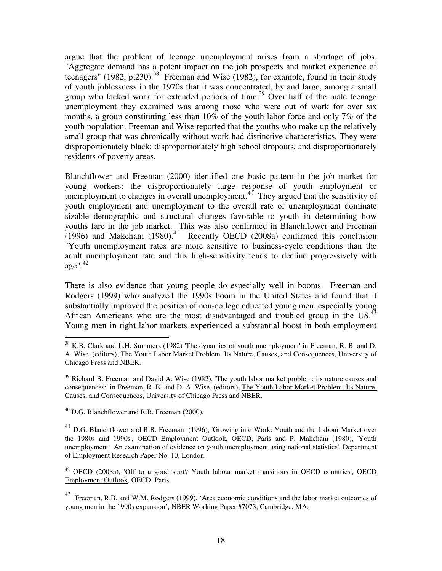argue that the problem of teenage unemployment arises from a shortage of jobs. "Aggregate demand has a potent impact on the job prospects and market experience of teenagers" (1982, p.230).<sup>38</sup> Freeman and Wise (1982), for example, found in their study of youth joblessness in the 1970s that it was concentrated, by and large, among a small group who lacked work for extended periods of time.<sup>39</sup> Over half of the male teenage unemployment they examined was among those who were out of work for over six months, a group constituting less than 10% of the youth labor force and only 7% of the youth population. Freeman and Wise reported that the youths who make up the relatively small group that was chronically without work had distinctive characteristics, They were disproportionately black; disproportionately high school dropouts, and disproportionately residents of poverty areas.

Blanchflower and Freeman (2000) identified one basic pattern in the job market for young workers: the disproportionately large response of youth employment or unemployment to changes in overall unemployment.<sup>40</sup> They argued that the sensitivity of youth employment and unemployment to the overall rate of unemployment dominate sizable demographic and structural changes favorable to youth in determining how youths fare in the job market. This was also confirmed in Blanchflower and Freeman  $(1996)$  and Makeham  $(1980).$ <sup>41</sup> Recently OECD  $(2008a)$  confirmed this conclusion "Youth unemployment rates are more sensitive to business-cycle conditions than the adult unemployment rate and this high-sensitivity tends to decline progressively with  $\text{age}^{\prime\prime}\text{.}^{42}$ 

There is also evidence that young people do especially well in booms. Freeman and Rodgers (1999) who analyzed the 1990s boom in the United States and found that it substantially improved the position of non-college educated young men, especially young African Americans who are the most disadvantaged and troubled group in the US.<sup>43</sup> Young men in tight labor markets experienced a substantial boost in both employment

<sup>40</sup> D.G. Blanchflower and R.B. Freeman (2000).

 $\overline{a}$ 

<sup>41</sup> D.G. Blanchflower and R.B. Freeman (1996), 'Growing into Work: Youth and the Labour Market over the 1980s and 1990s', OECD Employment Outlook, OECD, Paris and P. Makeham (1980), 'Youth unemployment. An examination of evidence on youth unemployment using national statistics', Department of Employment Research Paper No. 10, London.

 $42$  OECD (2008a), 'Off to a good start? Youth labour market transitions in OECD countries', OECD Employment Outlook, OECD, Paris.

<sup>43</sup> Freeman, R.B. and W.M. Rodgers (1999), 'Area economic conditions and the labor market outcomes of young men in the 1990s expansion', NBER Working Paper #7073, Cambridge, MA.

 $38$  K.B. Clark and L.H. Summers (1982) 'The dynamics of youth unemployment' in Freeman, R. B. and D. A. Wise, (editors), The Youth Labor Market Problem: Its Nature, Causes, and Consequences, University of Chicago Press and NBER.

<sup>&</sup>lt;sup>39</sup> Richard B. Freeman and David A. Wise (1982). The youth labor market problem: its nature causes and consequences:' in Freeman, R. B. and D. A. Wise, (editors), The Youth Labor Market Problem: Its Nature, Causes, and Consequences, University of Chicago Press and NBER.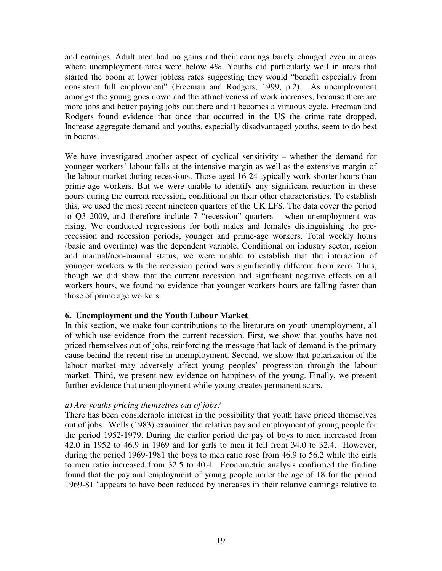and earnings. Adult men had no gains and their earnings barely changed even in areas where unemployment rates were below 4%. Youths did particularly well in areas that started the boom at lower jobless rates suggesting they would "benefit especially from consistent full employment" (Freeman and Rodgers, 1999, p.2). As unemployment amongst the young goes down and the attractiveness of work increases, because there are more jobs and better paying jobs out there and it becomes a virtuous cycle. Freeman and Rodgers found evidence that once that occurred in the US the crime rate dropped. Increase aggregate demand and youths, especially disadvantaged youths, seem to do best in booms.

We have investigated another aspect of cyclical sensitivity – whether the demand for younger workers' labour falls at the intensive margin as well as the extensive margin of the labour market during recessions. Those aged 16-24 typically work shorter hours than prime-age workers. But we were unable to identify any significant reduction in these hours during the current recession, conditional on their other characteristics. To establish this, we used the most recent nineteen quarters of the UK LFS. The data cover the period to Q3 2009, and therefore include 7 "recession" quarters – when unemployment was rising. We conducted regressions for both males and females distinguishing the prerecession and recession periods, younger and prime-age workers. Total weekly hours (basic and overtime) was the dependent variable. Conditional on industry sector, region and manual/non-manual status, we were unable to establish that the interaction of younger workers with the recession period was significantly different from zero. Thus, though we did show that the current recession had significant negative effects on all workers hours, we found no evidence that younger workers hours are falling faster than those of prime age workers.

# **6. Unemployment and the Youth Labour Market**

In this section, we make four contributions to the literature on youth unemployment, all of which use evidence from the current recession. First, we show that youths have not priced themselves out of jobs, reinforcing the message that lack of demand is the primary cause behind the recent rise in unemployment. Second, we show that polarization of the labour market may adversely affect young peoples' progression through the labour market. Third, we present new evidence on happiness of the young. Finally, we present further evidence that unemployment while young creates permanent scars.

#### *a) Are youths pricing themselves out of jobs?*

There has been considerable interest in the possibility that youth have priced themselves out of jobs. Wells (1983) examined the relative pay and employment of young people for the period 1952-1979. During the earlier period the pay of boys to men increased from 42.0 in 1952 to 46.9 in 1969 and for girls to men it fell from 34.0 to 32.4. However, during the period 1969-1981 the boys to men ratio rose from 46.9 to 56.2 while the girls to men ratio increased from 32.5 to 40.4. Econometric analysis confirmed the finding found that the pay and employment of young people under the age of 18 for the period 1969-81 "appears to have been reduced by increases in their relative earnings relative to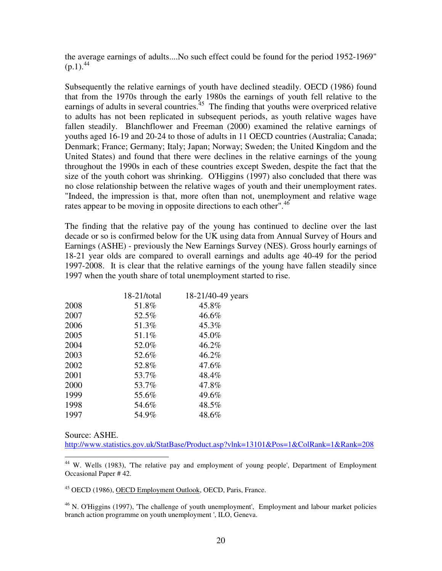the average earnings of adults....No such effect could be found for the period 1952-1969"  $(p.1).^{44}$ 

Subsequently the relative earnings of youth have declined steadily. OECD (1986) found that from the 1970s through the early 1980s the earnings of youth fell relative to the earnings of adults in several countries.<sup>45</sup> The finding that youths were overpriced relative to adults has not been replicated in subsequent periods, as youth relative wages have fallen steadily. Blanchflower and Freeman (2000) examined the relative earnings of youths aged 16-19 and 20-24 to those of adults in 11 OECD countries (Australia; Canada; Denmark; France; Germany; Italy; Japan; Norway; Sweden; the United Kingdom and the United States) and found that there were declines in the relative earnings of the young throughout the 1990s in each of these countries except Sweden, despite the fact that the size of the youth cohort was shrinking. O'Higgins (1997) also concluded that there was no close relationship between the relative wages of youth and their unemployment rates. "Indeed, the impression is that, more often than not, unemployment and relative wage rates appear to be moving in opposite directions to each other".<sup>46</sup>

The finding that the relative pay of the young has continued to decline over the last decade or so is confirmed below for the UK using data from Annual Survey of Hours and Earnings (ASHE) - previously the New Earnings Survey (NES). Gross hourly earnings of 18-21 year olds are compared to overall earnings and adults age 40-49 for the period 1997-2008. It is clear that the relative earnings of the young have fallen steadily since 1997 when the youth share of total unemployment started to rise.

|      | 18-21/total | 18-21/40-49 years |
|------|-------------|-------------------|
| 2008 | 51.8%       | 45.8%             |
| 2007 | 52.5%       | 46.6%             |
| 2006 | 51.3%       | 45.3%             |
| 2005 | 51.1%       | 45.0%             |
| 2004 | 52.0%       | 46.2%             |
| 2003 | 52.6%       | 46.2%             |
| 2002 | 52.8%       | 47.6%             |
| 2001 | 53.7%       | 48.4%             |
| 2000 | 53.7%       | 47.8%             |
| 1999 | 55.6%       | 49.6%             |
| 1998 | 54.6%       | 48.5%             |
| 1997 | 54.9%       | 48.6%             |

Source: ASHE.

l

http://www.statistics.gov.uk/StatBase/Product.asp?vlnk=13101&Pos=1&ColRank=1&Rank=208

<sup>45</sup> OECD (1986), OECD Employment Outlook, OECD, Paris, France.

 $^{46}$  N. O'Higgins (1997), The challenge of youth unemployment', Employment and labour market policies branch action programme on youth unemployment ', ILO, Geneva.

<sup>&</sup>lt;sup>44</sup> W. Wells (1983), 'The relative pay and employment of young people', Department of Employment Occasional Paper # 42.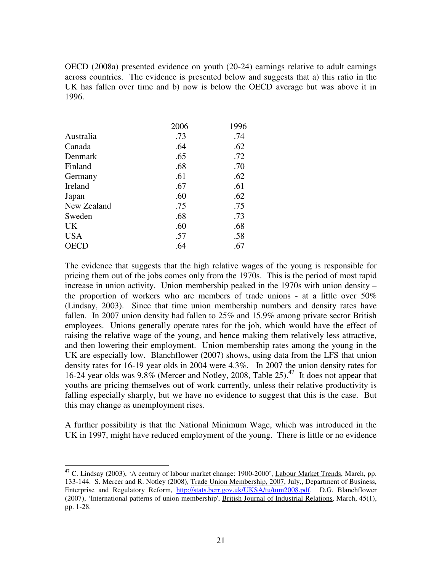OECD (2008a) presented evidence on youth (20-24) earnings relative to adult earnings across countries. The evidence is presented below and suggests that a) this ratio in the UK has fallen over time and b) now is below the OECD average but was above it in 1996.

|             | 2006 | 1996 |
|-------------|------|------|
| Australia   | .73  | .74  |
| Canada      | .64  | .62  |
| Denmark     | .65  | .72  |
| Finland     | .68  | .70  |
| Germany     | .61  | .62  |
| Ireland     | .67  | .61  |
| Japan       | .60  | .62  |
| New Zealand | .75  | .75  |
| Sweden      | .68  | .73  |
| <b>UK</b>   | .60  | .68  |
| <b>USA</b>  | .57  | .58  |
| <b>OECD</b> | .64  | .67  |

The evidence that suggests that the high relative wages of the young is responsible for pricing them out of the jobs comes only from the 1970s. This is the period of most rapid increase in union activity. Union membership peaked in the 1970s with union density – the proportion of workers who are members of trade unions - at a little over 50% (Lindsay, 2003). Since that time union membership numbers and density rates have fallen. In 2007 union density had fallen to 25% and 15.9% among private sector British employees. Unions generally operate rates for the job, which would have the effect of raising the relative wage of the young, and hence making them relatively less attractive, and then lowering their employment. Union membership rates among the young in the UK are especially low. Blanchflower (2007) shows, using data from the LFS that union density rates for 16-19 year olds in 2004 were 4.3%. In 2007 the union density rates for 16-24 year olds was  $9.8\%$  (Mercer and Notley, 2008, Table 25).<sup>47</sup> It does not appear that youths are pricing themselves out of work currently, unless their relative productivity is falling especially sharply, but we have no evidence to suggest that this is the case. But this may change as unemployment rises.

A further possibility is that the National Minimum Wage, which was introduced in the UK in 1997, might have reduced employment of the young. There is little or no evidence

 $\overline{a}$ <sup>47</sup> C. Lindsay (2003), 'A century of labour market change: 1900-2000', Labour Market Trends, March, pp. 133-144. S. Mercer and R. Notley (2008), Trade Union Membership, 2007, July., Department of Business, Enterprise and Regulatory Reform, http://stats.berr.gov.uk/UKSA/tu/tum2008.pdf. D.G. Blanchflower (2007), 'International patterns of union membership', British Journal of Industrial Relations, March, 45(1), pp. 1-28.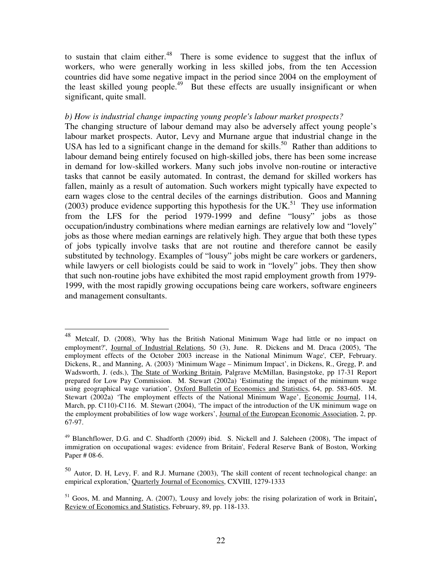to sustain that claim either.<sup>48</sup> There is some evidence to suggest that the influx of workers, who were generally working in less skilled jobs, from the ten Accession countries did have some negative impact in the period since 2004 on the employment of the least skilled young people.<sup>49</sup> But these effects are usually insignificant or when significant, quite small.

#### *b) How is industrial change impacting young people's labour market prospects?*

The changing structure of labour demand may also be adversely affect young people's labour market prospects. Autor, Levy and Murnane argue that industrial change in the USA has led to a significant change in the demand for skills.<sup>50</sup> Rather than additions to labour demand being entirely focused on high-skilled jobs, there has been some increase in demand for low-skilled workers. Many such jobs involve non-routine or interactive tasks that cannot be easily automated. In contrast, the demand for skilled workers has fallen, mainly as a result of automation. Such workers might typically have expected to earn wages close to the central deciles of the earnings distribution. Goos and Manning (2003) produce evidence supporting this hypothesis for the UK.<sup>51</sup> They use information from the LFS for the period 1979-1999 and define "lousy" jobs as those occupation/industry combinations where median earnings are relatively low and "lovely" jobs as those where median earnings are relatively high. They argue that both these types of jobs typically involve tasks that are not routine and therefore cannot be easily substituted by technology. Examples of "lousy" jobs might be care workers or gardeners, while lawyers or cell biologists could be said to work in "lovely" jobs. They then show that such non-routine jobs have exhibited the most rapid employment growth from 1979- 1999, with the most rapidly growing occupations being care workers, software engineers and management consultants.

l

<sup>&</sup>lt;sup>48</sup> Metcalf, D. (2008), 'Why has the British National Minimum Wage had little or no impact on employment?', Journal of Industrial Relations, 50 (3), June. R. Dickens and M. Draca (2005), 'The employment effects of the October 2003 increase in the National Minimum Wage', CEP, February. Dickens, R., and Manning, A. (2003) 'Minimum Wage – Minimum Impact', in Dickens, R., Gregg, P. and Wadsworth, J. (eds.), The State of Working Britain, Palgrave McMillan, Basingstoke, pp 17-31 Report prepared for Low Pay Commission. M. Stewart (2002a) 'Estimating the impact of the minimum wage using geographical wage variation', Oxford Bulletin of Economics and Statistics, 64, pp. 583-605. M. Stewart (2002a) 'The employment effects of the National Minimum Wage', Economic Journal, 114, March, pp. C110)-C116. M. Stewart (2004), 'The impact of the introduction of the UK minimum wage on the employment probabilities of low wage workers', Journal of the European Economic Association, 2, pp. 67-97.

<sup>&</sup>lt;sup>49</sup> Blanchflower, D.G. and C. Shadforth (2009) ibid. S. Nickell and J. Saleheen (2008), 'The impact of immigration on occupational wages: evidence from Britain', Federal Reserve Bank of Boston, Working Paper # 08-6.

<sup>50</sup> Autor, D. H, Levy, F. and R.J. Murnane (2003), 'The skill content of recent technological change: an empirical exploration,' Quarterly Journal of Economics, CXVIII, 1279-1333

<sup>51</sup> Goos, M. and Manning, A. (2007), 'Lousy and lovely jobs: the rising polarization of work in Britain'**,**  Review of Economics and Statistics, February, 89, pp. 118-133.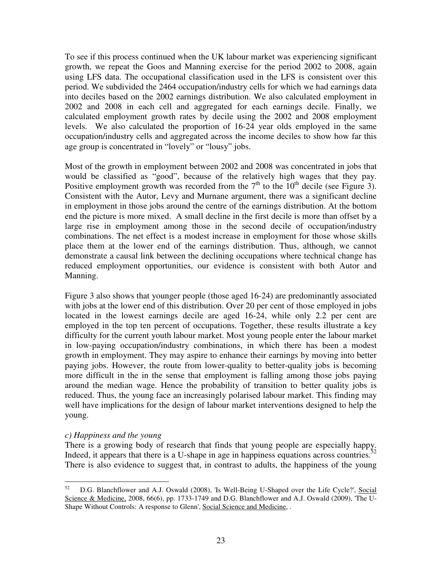To see if this process continued when the UK labour market was experiencing significant growth, we repeat the Goos and Manning exercise for the period 2002 to 2008, again using LFS data. The occupational classification used in the LFS is consistent over this period. We subdivided the 2464 occupation/industry cells for which we had earnings data into deciles based on the 2002 earnings distribution. We also calculated employment in 2002 and 2008 in each cell and aggregated for each earnings decile. Finally, we calculated employment growth rates by decile using the 2002 and 2008 employment levels. We also calculated the proportion of 16-24 year olds employed in the same occupation/industry cells and aggregated across the income deciles to show how far this age group is concentrated in "lovely" or "lousy" jobs.

Most of the growth in employment between 2002 and 2008 was concentrated in jobs that would be classified as "good", because of the relatively high wages that they pay. Positive employment growth was recorded from the  $7<sup>th</sup>$  to the  $10<sup>th</sup>$  decile (see Figure 3). Consistent with the Autor, Levy and Murnane argument, there was a significant decline in employment in those jobs around the centre of the earnings distribution. At the bottom end the picture is more mixed. A small decline in the first decile is more than offset by a large rise in employment among those in the second decile of occupation/industry combinations. The net effect is a modest increase in employment for those whose skills place them at the lower end of the earnings distribution. Thus, although, we cannot demonstrate a causal link between the declining occupations where technical change has reduced employment opportunities, our evidence is consistent with both Autor and Manning.

Figure 3 also shows that younger people (those aged 16-24) are predominantly associated with jobs at the lower end of this distribution. Over 20 per cent of those employed in jobs located in the lowest earnings decile are aged 16-24, while only 2.2 per cent are employed in the top ten percent of occupations. Together, these results illustrate a key difficulty for the current youth labour market. Most young people enter the labour market in low-paying occupation/industry combinations, in which there has been a modest growth in employment. They may aspire to enhance their earnings by moving into better paying jobs. However, the route from lower-quality to better-quality jobs is becoming more difficult in the in the sense that employment is falling among those jobs paying around the median wage. Hence the probability of transition to better quality jobs is reduced. Thus, the young face an increasingly polarised labour market. This finding may well have implications for the design of labour market interventions designed to help the young.

# *c) Happiness and the young*

There is a growing body of research that finds that young people are especially happy. Indeed, it appears that there is a U-shape in age in happiness equations across countries. $52$ There is also evidence to suggest that, in contrast to adults, the happiness of the young

<sup>52</sup> <sup>52</sup> D.G. Blanchflower and A.J. Oswald (2008), 'Is Well-Being U-Shaped over the Life Cycle?', Social Science & Medicine, 2008, 66(6), pp. 1733-1749 and D.G. Blanchflower and A.J. Oswald (2009), 'The U-Shape Without Controls: A response to Glenn', Social Science and Medicine, .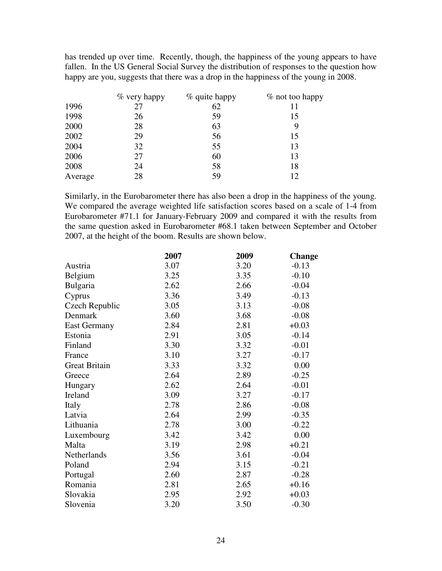has trended up over time. Recently, though, the happiness of the young appears to have fallen. In the US General Social Survey the distribution of responses to the question how happy are you, suggests that there was a drop in the happiness of the young in 2008.

|         | $\%$ very happy | % quite happy | % not too happy |
|---------|-----------------|---------------|-----------------|
| 1996    | 27              | 62            | 11              |
| 1998    | 26              | 59            | 15              |
| 2000    | 28              | 63            | 9               |
| 2002    | 29              | 56            | 15              |
| 2004    | 32              | 55            | 13              |
| 2006    | 27              | 60            | 13              |
| 2008    | 24              | 58            | 18              |
| Average | 28              | 59            | 12              |

Similarly, in the Eurobarometer there has also been a drop in the happiness of the young. We compared the average weighted life satisfaction scores based on a scale of 1-4 from Eurobarometer #71.1 for January-February 2009 and compared it with the results from the same question asked in Eurobarometer #68.1 taken between September and October 2007, at the height of the boom. Results are shown below.

|                      | 2007 | 2009 | <b>Change</b> |
|----------------------|------|------|---------------|
| Austria              | 3.07 | 3.20 | $-0.13$       |
| Belgium              | 3.25 | 3.35 | $-0.10$       |
| Bulgaria             | 2.62 | 2.66 | $-0.04$       |
| Cyprus               | 3.36 | 3.49 | $-0.13$       |
| Czech Republic       | 3.05 | 3.13 | $-0.08$       |
| Denmark              | 3.60 | 3.68 | $-0.08$       |
| <b>East Germany</b>  | 2.84 | 2.81 | $+0.03$       |
| Estonia              | 2.91 | 3.05 | $-0.14$       |
| Finland              | 3.30 | 3.32 | $-0.01$       |
| France               | 3.10 | 3.27 | $-0.17$       |
| <b>Great Britain</b> | 3.33 | 3.32 | 0.00          |
| Greece               | 2.64 | 2.89 | $-0.25$       |
| Hungary              | 2.62 | 2.64 | $-0.01$       |
| Ireland              | 3.09 | 3.27 | $-0.17$       |
| Italy                | 2.78 | 2.86 | $-0.08$       |
| Latvia               | 2.64 | 2.99 | $-0.35$       |
| Lithuania            | 2.78 | 3.00 | $-0.22$       |
| Luxembourg           | 3.42 | 3.42 | 0.00          |
| Malta                | 3.19 | 2.98 | $+0.21$       |
| Netherlands          | 3.56 | 3.61 | $-0.04$       |
| Poland               | 2.94 | 3.15 | $-0.21$       |
| Portugal             | 2.60 | 2.87 | $-0.28$       |
| Romania              | 2.81 | 2.65 | $+0.16$       |
| Slovakia             | 2.95 | 2.92 | $+0.03$       |
| Slovenia             | 3.20 | 3.50 | $-0.30$       |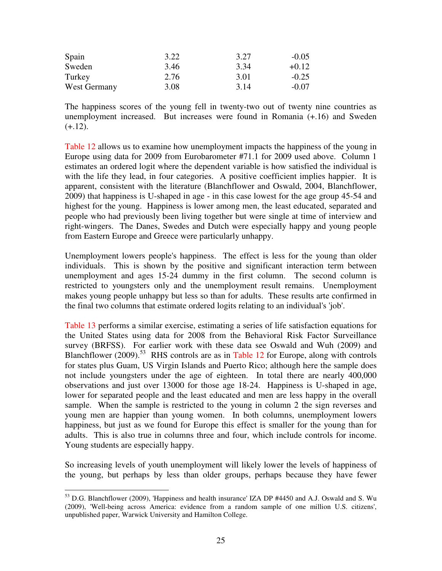| Spain        | 3.22 | 3.27 | $-0.05$ |
|--------------|------|------|---------|
| Sweden       | 3.46 | 3.34 | $+0.12$ |
| Turkey       | 2.76 | 3.01 | $-0.25$ |
| West Germany | 3.08 | 3.14 | $-0.07$ |

The happiness scores of the young fell in twenty-two out of twenty nine countries as unemployment increased. But increases were found in Romania (+.16) and Sweden  $(+.12).$ 

Table 12 allows us to examine how unemployment impacts the happiness of the young in Europe using data for 2009 from Eurobarometer #71.1 for 2009 used above. Column 1 estimates an ordered logit where the dependent variable is how satisfied the individual is with the life they lead, in four categories. A positive coefficient implies happier. It is apparent, consistent with the literature (Blanchflower and Oswald, 2004, Blanchflower, 2009) that happiness is U-shaped in age - in this case lowest for the age group 45-54 and highest for the young. Happiness is lower among men, the least educated, separated and people who had previously been living together but were single at time of interview and right-wingers. The Danes, Swedes and Dutch were especially happy and young people from Eastern Europe and Greece were particularly unhappy.

Unemployment lowers people's happiness. The effect is less for the young than older individuals. This is shown by the positive and significant interaction term between unemployment and ages 15-24 dummy in the first column. The second column is restricted to youngsters only and the unemployment result remains. Unemployment makes young people unhappy but less so than for adults. These results arte confirmed in the final two columns that estimate ordered logits relating to an individual's 'job'.

Table 13 performs a similar exercise, estimating a series of life satisfaction equations for the United States using data for 2008 from the Behavioral Risk Factor Surveillance survey (BRFSS). For earlier work with these data see Oswald and Wuh (2009) and Blanchflower (2009).<sup>53</sup> RHS controls are as in Table 12 for Europe, along with controls for states plus Guam, US Virgin Islands and Puerto Rico; although here the sample does not include youngsters under the age of eighteen. In total there are nearly 400,000 observations and just over 13000 for those age 18-24. Happiness is U-shaped in age, lower for separated people and the least educated and men are less happy in the overall sample. When the sample is restricted to the young in column 2 the sign reverses and young men are happier than young women. In both columns, unemployment lowers happiness, but just as we found for Europe this effect is smaller for the young than for adults. This is also true in columns three and four, which include controls for income. Young students are especially happy.

So increasing levels of youth unemployment will likely lower the levels of happiness of the young, but perhaps by less than older groups, perhaps because they have fewer

 $\overline{a}$  $53$  D.G. Blanchflower (2009), 'Happiness and health insurance' IZA DP #4450 and A.J. Oswald and S. Wu (2009), 'Well-being across America: evidence from a random sample of one million U.S. citizens', unpublished paper, Warwick University and Hamilton College.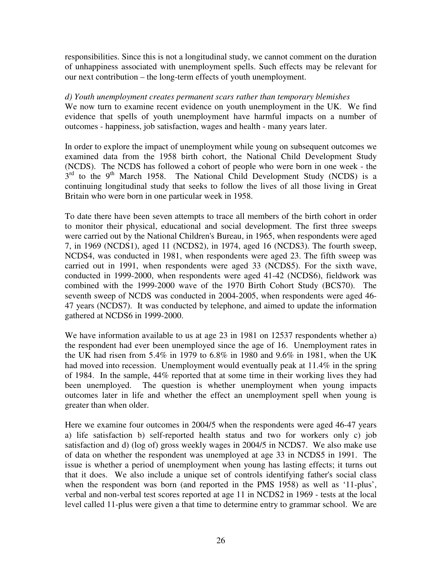responsibilities. Since this is not a longitudinal study, we cannot comment on the duration of unhappiness associated with unemployment spells. Such effects may be relevant for our next contribution – the long-term effects of youth unemployment.

#### *d) Youth unemployment creates permanent scars rather than temporary blemishes*

We now turn to examine recent evidence on youth unemployment in the UK. We find evidence that spells of youth unemployment have harmful impacts on a number of outcomes - happiness, job satisfaction, wages and health - many years later.

In order to explore the impact of unemployment while young on subsequent outcomes we examined data from the 1958 birth cohort, the National Child Development Study (NCDS). The NCDS has followed a cohort of people who were born in one week - the  $3<sup>rd</sup>$  to the 9<sup>th</sup> March 1958. The National Child Development Study (NCDS) is a continuing longitudinal study that seeks to follow the lives of all those living in Great Britain who were born in one particular week in 1958.

To date there have been seven attempts to trace all members of the birth cohort in order to monitor their physical, educational and social development. The first three sweeps were carried out by the National Children's Bureau, in 1965, when respondents were aged 7, in 1969 (NCDS1), aged 11 (NCDS2), in 1974, aged 16 (NCDS3). The fourth sweep, NCDS4, was conducted in 1981, when respondents were aged 23. The fifth sweep was carried out in 1991, when respondents were aged 33 (NCDS5). For the sixth wave, conducted in 1999-2000, when respondents were aged 41-42 (NCDS6), fieldwork was combined with the 1999-2000 wave of the 1970 Birth Cohort Study (BCS70). The seventh sweep of NCDS was conducted in 2004-2005, when respondents were aged 46- 47 years (NCDS7). It was conducted by telephone, and aimed to update the information gathered at NCDS6 in 1999-2000.

We have information available to us at age 23 in 1981 on 12537 respondents whether a) the respondent had ever been unemployed since the age of 16. Unemployment rates in the UK had risen from 5.4% in 1979 to 6.8% in 1980 and 9.6% in 1981, when the UK had moved into recession. Unemployment would eventually peak at 11.4% in the spring of 1984. In the sample, 44% reported that at some time in their working lives they had been unemployed. The question is whether unemployment when young impacts outcomes later in life and whether the effect an unemployment spell when young is greater than when older.

Here we examine four outcomes in 2004/5 when the respondents were aged 46-47 years a) life satisfaction b) self-reported health status and two for workers only c) job satisfaction and d) (log of) gross weekly wages in 2004/5 in NCDS7. We also make use of data on whether the respondent was unemployed at age 33 in NCDS5 in 1991. The issue is whether a period of unemployment when young has lasting effects; it turns out that it does. We also include a unique set of controls identifying father's social class when the respondent was born (and reported in the PMS 1958) as well as '11-plus', verbal and non-verbal test scores reported at age 11 in NCDS2 in 1969 - tests at the local level called 11-plus were given a that time to determine entry to grammar school. We are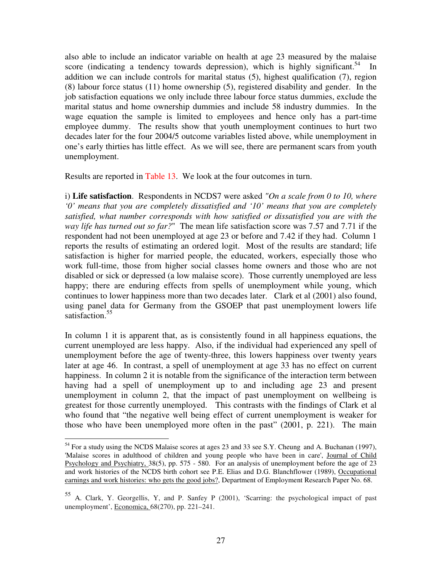also able to include an indicator variable on health at age 23 measured by the malaise score (indicating a tendency towards depression), which is highly significant.<sup>54</sup> In addition we can include controls for marital status (5), highest qualification (7), region (8) labour force status (11) home ownership (5), registered disability and gender. In the job satisfaction equations we only include three labour force status dummies, exclude the marital status and home ownership dummies and include 58 industry dummies. In the wage equation the sample is limited to employees and hence only has a part-time employee dummy. The results show that youth unemployment continues to hurt two decades later for the four 2004/5 outcome variables listed above, while unemployment in one's early thirties has little effect. As we will see, there are permanent scars from youth unemployment.

Results are reported in Table 13. We look at the four outcomes in turn.

i) **Life satisfaction**. Respondents in NCDS7 were asked *"On a scale from 0 to 10, where '0' means that you are completely dissatisfied and '10' means that you are completely satisfied, what number corresponds with how satisfied or dissatisfied you are with the way life has turned out so far?*" The mean life satisfaction score was 7.57 and 7.71 if the respondent had not been unemployed at age 23 or before and 7.42 if they had. Column 1 reports the results of estimating an ordered logit. Most of the results are standard; life satisfaction is higher for married people, the educated, workers, especially those who work full-time, those from higher social classes home owners and those who are not disabled or sick or depressed (a low malaise score). Those currently unemployed are less happy; there are enduring effects from spells of unemployment while young, which continues to lower happiness more than two decades later. Clark et al (2001) also found, using panel data for Germany from the GSOEP that past unemployment lowers life satisfaction.<sup>55</sup>

In column 1 it is apparent that, as is consistently found in all happiness equations, the current unemployed are less happy. Also, if the individual had experienced any spell of unemployment before the age of twenty-three, this lowers happiness over twenty years later at age 46. In contrast, a spell of unemployment at age 33 has no effect on current happiness. In column 2 it is notable from the significance of the interaction term between having had a spell of unemployment up to and including age 23 and present unemployment in column 2, that the impact of past unemployment on wellbeing is greatest for those currently unemployed. This contrasts with the findings of Clark et al who found that "the negative well being effect of current unemployment is weaker for those who have been unemployed more often in the past" (2001, p. 221). The main

 $\overline{a}$ 

<sup>&</sup>lt;sup>54</sup> For a study using the NCDS Malaise scores at ages 23 and 33 see S.Y. Cheung and A. Buchanan (1997), 'Malaise scores in adulthood of children and young people who have been in care', Journal of Child Psychology and Psychiatry, 38(5), pp. 575 - 580. For an analysis of unemployment before the age of 23 and work histories of the NCDS birth cohort see P.E. Elias and D.G. Blanchflower (1989), Occupational earnings and work histories: who gets the good jobs?, Department of Employment Research Paper No. 68.

<sup>55</sup> A. Clark, Y. Georgellis, Y, and P. Sanfey P (2001), 'Scarring: the psychological impact of past unemployment', Economica, 68(270), pp. 221–241.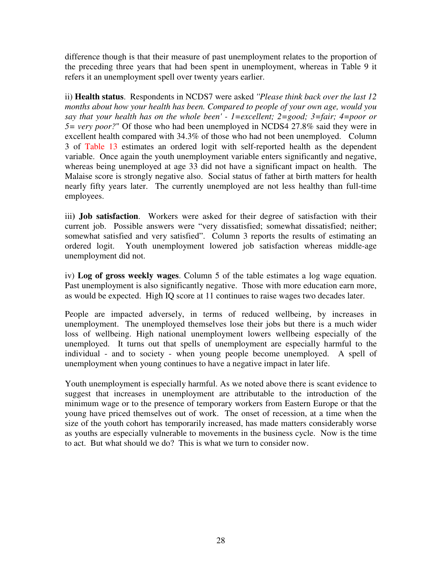difference though is that their measure of past unemployment relates to the proportion of the preceding three years that had been spent in unemployment, whereas in Table 9 it refers it an unemployment spell over twenty years earlier.

ii) **Health status**. Respondents in NCDS7 were asked *''Please think back over the last 12 months about how your health has been. Compared to people of your own age, would you say that your health has on the whole been' - 1=excellent; 2=good; 3=fair; 4=poor or 5= very poor?*" Of those who had been unemployed in NCDS4 27.8% said they were in excellent health compared with 34.3% of those who had not been unemployed. Column 3 of Table 13 estimates an ordered logit with self-reported health as the dependent variable. Once again the youth unemployment variable enters significantly and negative, whereas being unemployed at age 33 did not have a significant impact on health. The Malaise score is strongly negative also. Social status of father at birth matters for health nearly fifty years later. The currently unemployed are not less healthy than full-time employees.

iii**) Job satisfaction**. Workers were asked for their degree of satisfaction with their current job. Possible answers were "very dissatisfied; somewhat dissatisfied; neither; somewhat satisfied and very satisfied". Column 3 reports the results of estimating an ordered logit. Youth unemployment lowered job satisfaction whereas middle-age unemployment did not.

iv) **Log of gross weekly wages**. Column 5 of the table estimates a log wage equation. Past unemployment is also significantly negative. Those with more education earn more, as would be expected. High IQ score at 11 continues to raise wages two decades later.

People are impacted adversely, in terms of reduced wellbeing, by increases in unemployment. The unemployed themselves lose their jobs but there is a much wider loss of wellbeing. High national unemployment lowers wellbeing especially of the unemployed. It turns out that spells of unemployment are especially harmful to the individual - and to society - when young people become unemployed. A spell of unemployment when young continues to have a negative impact in later life.

Youth unemployment is especially harmful. As we noted above there is scant evidence to suggest that increases in unemployment are attributable to the introduction of the minimum wage or to the presence of temporary workers from Eastern Europe or that the young have priced themselves out of work. The onset of recession, at a time when the size of the youth cohort has temporarily increased, has made matters considerably worse as youths are especially vulnerable to movements in the business cycle. Now is the time to act. But what should we do? This is what we turn to consider now.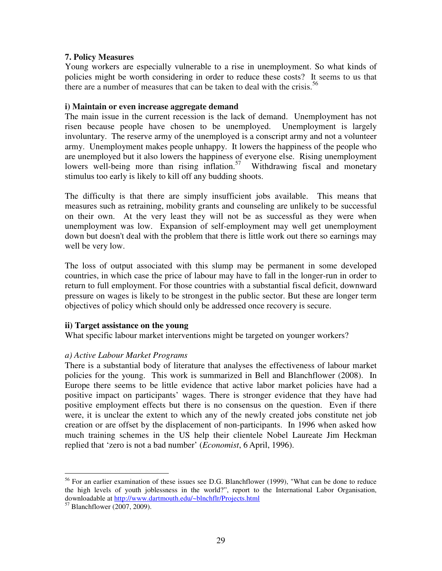# **7. Policy Measures**

Young workers are especially vulnerable to a rise in unemployment. So what kinds of policies might be worth considering in order to reduce these costs? It seems to us that there are a number of measures that can be taken to deal with the crisis.<sup>56</sup>

#### **i) Maintain or even increase aggregate demand**

The main issue in the current recession is the lack of demand. Unemployment has not risen because people have chosen to be unemployed. Unemployment is largely involuntary. The reserve army of the unemployed is a conscript army and not a volunteer army. Unemployment makes people unhappy. It lowers the happiness of the people who are unemployed but it also lowers the happiness of everyone else. Rising unemployment lowers well-being more than rising inflation. $57$  Withdrawing fiscal and monetary stimulus too early is likely to kill off any budding shoots.

The difficulty is that there are simply insufficient jobs available. This means that measures such as retraining, mobility grants and counseling are unlikely to be successful on their own. At the very least they will not be as successful as they were when unemployment was low. Expansion of self-employment may well get unemployment down but doesn't deal with the problem that there is little work out there so earnings may well be very low.

The loss of output associated with this slump may be permanent in some developed countries, in which case the price of labour may have to fall in the longer-run in order to return to full employment. For those countries with a substantial fiscal deficit, downward pressure on wages is likely to be strongest in the public sector. But these are longer term objectives of policy which should only be addressed once recovery is secure.

# **ii) Target assistance on the young**

What specific labour market interventions might be targeted on younger workers?

# *a) Active Labour Market Programs*

There is a substantial body of literature that analyses the effectiveness of labour market policies for the young. This work is summarized in Bell and Blanchflower (2008). In Europe there seems to be little evidence that active labor market policies have had a positive impact on participants' wages. There is stronger evidence that they have had positive employment effects but there is no consensus on the question. Even if there were, it is unclear the extent to which any of the newly created jobs constitute net job creation or are offset by the displacement of non-participants. In 1996 when asked how much training schemes in the US help their clientele Nobel Laureate Jim Heckman replied that 'zero is not a bad number' (*Economist*, 6 April, 1996).

 $\overline{a}$ 

<sup>&</sup>lt;sup>56</sup> For an earlier examination of these issues see D.G. Blanchflower (1999), "What can be done to reduce the high levels of youth joblessness in the world?", report to the International Labor Organisation, downloadable at http://www.dartmouth.edu/~blnchflr/Projects.html

<sup>57</sup> Blanchflower (2007, 2009).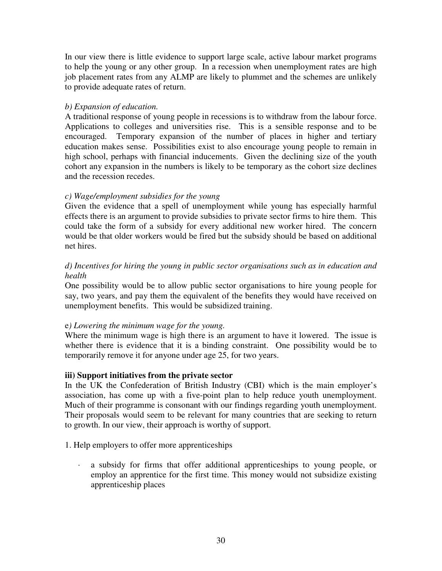In our view there is little evidence to support large scale, active labour market programs to help the young or any other group. In a recession when unemployment rates are high job placement rates from any ALMP are likely to plummet and the schemes are unlikely to provide adequate rates of return.

# *b) Expansion of education.*

A traditional response of young people in recessions is to withdraw from the labour force. Applications to colleges and universities rise. This is a sensible response and to be encouraged. Temporary expansion of the number of places in higher and tertiary education makes sense. Possibilities exist to also encourage young people to remain in high school, perhaps with financial inducements. Given the declining size of the youth cohort any expansion in the numbers is likely to be temporary as the cohort size declines and the recession recedes.

# *c) Wage/employment subsidies for the young*

Given the evidence that a spell of unemployment while young has especially harmful effects there is an argument to provide subsidies to private sector firms to hire them. This could take the form of a subsidy for every additional new worker hired. The concern would be that older workers would be fired but the subsidy should be based on additional net hires.

# *d) Incentives for hiring the young in public sector organisations such as in education and health*

One possibility would be to allow public sector organisations to hire young people for say, two years, and pay them the equivalent of the benefits they would have received on unemployment benefits. This would be subsidized training.

# e*) Lowering the minimum wage for the young.*

Where the minimum wage is high there is an argument to have it lowered. The issue is whether there is evidence that it is a binding constraint. One possibility would be to temporarily remove it for anyone under age 25, for two years.

# **iii) Support initiatives from the private sector**

In the UK the Confederation of British Industry (CBI) which is the main employer's association, has come up with a five-point plan to help reduce youth unemployment. Much of their programme is consonant with our findings regarding youth unemployment. Their proposals would seem to be relevant for many countries that are seeking to return to growth. In our view, their approach is worthy of support.

# 1. Help employers to offer more apprenticeships

· a subsidy for firms that offer additional apprenticeships to young people, or employ an apprentice for the first time. This money would not subsidize existing apprenticeship places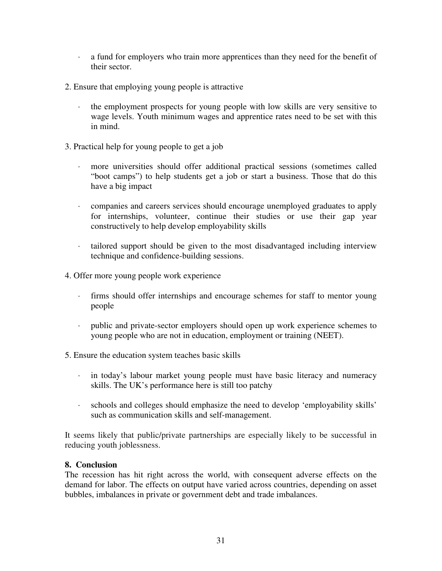- · a fund for employers who train more apprentices than they need for the benefit of their sector.
- 2. Ensure that employing young people is attractive
	- the employment prospects for young people with low skills are very sensitive to wage levels. Youth minimum wages and apprentice rates need to be set with this in mind.
- 3. Practical help for young people to get a job
	- more universities should offer additional practical sessions (sometimes called "boot camps") to help students get a job or start a business. Those that do this have a big impact
	- · companies and careers services should encourage unemployed graduates to apply for internships, volunteer, continue their studies or use their gap year constructively to help develop employability skills
	- · tailored support should be given to the most disadvantaged including interview technique and confidence-building sessions.
- 4. Offer more young people work experience
	- · firms should offer internships and encourage schemes for staff to mentor young people
	- · public and private-sector employers should open up work experience schemes to young people who are not in education, employment or training (NEET).
- 5. Ensure the education system teaches basic skills
	- · in today's labour market young people must have basic literacy and numeracy skills. The UK's performance here is still too patchy
	- · schools and colleges should emphasize the need to develop 'employability skills' such as communication skills and self-management.

It seems likely that public/private partnerships are especially likely to be successful in reducing youth joblessness.

# **8. Conclusion**

The recession has hit right across the world, with consequent adverse effects on the demand for labor. The effects on output have varied across countries, depending on asset bubbles, imbalances in private or government debt and trade imbalances.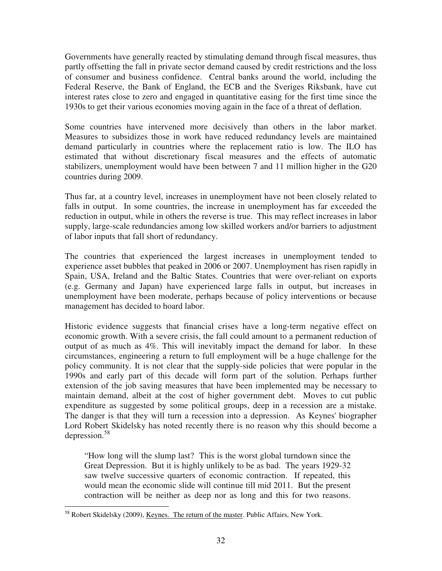Governments have generally reacted by stimulating demand through fiscal measures, thus partly offsetting the fall in private sector demand caused by credit restrictions and the loss of consumer and business confidence. Central banks around the world, including the Federal Reserve, the Bank of England, the ECB and the Sveriges Riksbank, have cut interest rates close to zero and engaged in quantitative easing for the first time since the 1930s to get their various economies moving again in the face of a threat of deflation.

Some countries have intervened more decisively than others in the labor market. Measures to subsidizes those in work have reduced redundancy levels are maintained demand particularly in countries where the replacement ratio is low. The ILO has estimated that without discretionary fiscal measures and the effects of automatic stabilizers, unemployment would have been between 7 and 11 million higher in the G20 countries during 2009.

Thus far, at a country level, increases in unemployment have not been closely related to falls in output. In some countries, the increase in unemployment has far exceeded the reduction in output, while in others the reverse is true. This may reflect increases in labor supply, large-scale redundancies among low skilled workers and/or barriers to adjustment of labor inputs that fall short of redundancy.

The countries that experienced the largest increases in unemployment tended to experience asset bubbles that peaked in 2006 or 2007. Unemployment has risen rapidly in Spain, USA, Ireland and the Baltic States. Countries that were over-reliant on exports (e.g. Germany and Japan) have experienced large falls in output, but increases in unemployment have been moderate, perhaps because of policy interventions or because management has decided to hoard labor.

Historic evidence suggests that financial crises have a long-term negative effect on economic growth. With a severe crisis, the fall could amount to a permanent reduction of output of as much as 4%. This will inevitably impact the demand for labor. In these circumstances, engineering a return to full employment will be a huge challenge for the policy community. It is not clear that the supply-side policies that were popular in the 1990s and early part of this decade will form part of the solution. Perhaps further extension of the job saving measures that have been implemented may be necessary to maintain demand, albeit at the cost of higher government debt. Moves to cut public expenditure as suggested by some political groups, deep in a recession are a mistake. The danger is that they will turn a recession into a depression. As Keynes' biographer Lord Robert Skidelsky has noted recently there is no reason why this should become a depression.<sup>58</sup>

"How long will the slump last? This is the worst global turndown since the Great Depression. But it is highly unlikely to be as bad. The years 1929-32 saw twelve successive quarters of economic contraction. If repeated, this would mean the economic slide will continue till mid 2011. But the present contraction will be neither as deep nor as long and this for two reasons.

l <sup>58</sup> Robert Skidelsky (2009), <u>Keynes. The return of the master</u>. Public Affairs, New York.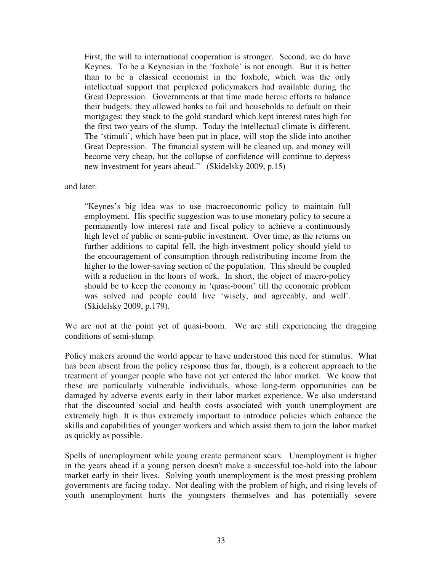First, the will to international cooperation is stronger. Second, we do have Keynes. To be a Keynesian in the 'foxhole' is not enough. But it is better than to be a classical economist in the foxhole, which was the only intellectual support that perplexed policymakers had available during the Great Depression. Governments at that time made heroic efforts to balance their budgets: they allowed banks to fail and households to default on their mortgages; they stuck to the gold standard which kept interest rates high for the first two years of the slump. Today the intellectual climate is different. The 'stimuli', which have been put in place, will stop the slide into another Great Depression. The financial system will be cleaned up, and money will become very cheap, but the collapse of confidence will continue to depress new investment for years ahead." (Skidelsky 2009, p.15)

and later.

"Keynes's big idea was to use macroeconomic policy to maintain full employment. His specific suggestion was to use monetary policy to secure a permanently low interest rate and fiscal policy to achieve a continuously high level of public or semi-public investment. Over time, as the returns on further additions to capital fell, the high-investment policy should yield to the encouragement of consumption through redistributing income from the higher to the lower-saving section of the population. This should be coupled with a reduction in the hours of work. In short, the object of macro-policy should be to keep the economy in 'quasi-boom' till the economic problem was solved and people could live 'wisely, and agreeably, and well'. (Skidelsky 2009, p.179).

We are not at the point yet of quasi-boom. We are still experiencing the dragging conditions of semi-slump.

Policy makers around the world appear to have understood this need for stimulus. What has been absent from the policy response thus far, though, is a coherent approach to the treatment of younger people who have not yet entered the labor market. We know that these are particularly vulnerable individuals, whose long-term opportunities can be damaged by adverse events early in their labor market experience. We also understand that the discounted social and health costs associated with youth unemployment are extremely high. It is thus extremely important to introduce policies which enhance the skills and capabilities of younger workers and which assist them to join the labor market as quickly as possible.

Spells of unemployment while young create permanent scars. Unemployment is higher in the years ahead if a young person doesn't make a successful toe-hold into the labour market early in their lives. Solving youth unemployment is the most pressing problem governments are facing today. Not dealing with the problem of high, and rising levels of youth unemployment hurts the youngsters themselves and has potentially severe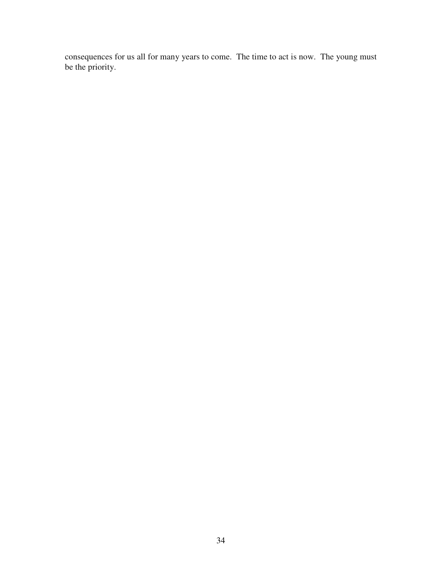consequences for us all for many years to come. The time to act is now. The young must be the priority.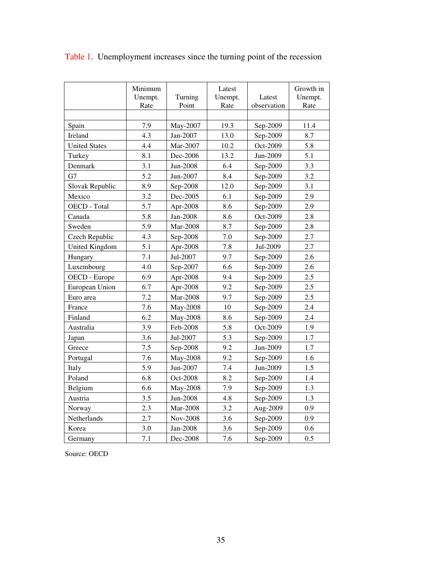|                      | Minimum<br>Unempt.<br>Rate | Turning<br>Point | Latest<br>Unempt.<br>Rate | Latest<br>observation | Growth in<br>Unempt.<br>Rate |
|----------------------|----------------------------|------------------|---------------------------|-----------------------|------------------------------|
|                      |                            |                  |                           |                       |                              |
| Spain                | 7.9                        | May-2007         | 19.3                      | Sep-2009              | 11.4                         |
| Ireland              | 4.3                        | Jan-2007         | 13.0                      | Sep-2009              | 8.7                          |
| <b>United States</b> | 4.4                        | Mar-2007         | 10.2                      | Oct-2009              | 5.8                          |
| Turkey               | 8.1                        | Dec-2006         | 13.2                      | Jun-2009              | 5.1                          |
| Denmark              | 3.1                        | Jun-2008         | 6.4                       | Sep-2009              | 3.3                          |
| G7                   | 5.2                        | Jun-2007         | 8.4                       | Sep-2009              | 3.2                          |
| Slovak Republic      | 8.9                        | Sep-2008         | 12.0                      | Sep-2009              | 3.1                          |
| Mexico               | 3.2                        | Dec-2005         | 6.1                       | Sep-2009              | 2.9                          |
| OECD - Total         | 5.7                        | Apr-2008         | 8.6                       | Sep-2009              | 2.9                          |
| Canada               | 5.8                        | Jan-2008         | 8.6                       | Oct-2009              | 2.8                          |
| Sweden               | 5.9                        | Mar-2008         | 8.7                       | Sep-2009              | 2.8                          |
| Czech Republic       | 4.3                        | Sep-2008         | $7.0\,$                   | Sep-2009              | 2.7                          |
| United Kingdom       | 5.1                        | Apr-2008         | 7.8                       | Jul-2009              | 2.7                          |
| Hungary              | 7.1                        | Jul-2007         | 9.7                       | Sep-2009              | 2.6                          |
| Luxembourg           | 4.0                        | Sep-2007         | 6.6                       | Sep-2009              | 2.6                          |
| OECD - Europe        | 6.9                        | Apr-2008         | 9.4                       | Sep-2009              | 2.5                          |
| European Union       | 6.7                        | Apr-2008         | 9.2                       | Sep-2009              | 2.5                          |
| Euro area            | 7.2                        | Mar-2008         | 9.7                       | Sep-2009              | 2.5                          |
| France               | 7.6                        | May-2008         | 10                        | Sep-2009              | 2.4                          |
| Finland              | 6.2                        | May-2008         | 8.6                       | Sep-2009              | 2.4                          |
| Australia            | 3.9                        | Feb-2008         | 5.8                       | Oct-2009              | 1.9                          |
| Japan                | 3.6                        | Jul-2007         | 5.3                       | Sep-2009              | 1.7                          |
| Greece               | 7.5                        | Sep-2008         | 9.2                       | Jun-2009              | 1.7                          |
| Portugal             | 7.6                        | May-2008         | 9.2                       | Sep-2009              | 1.6                          |
| Italy                | 5.9                        | Jun-2007         | 7.4                       | Jun-2009              | 1.5                          |
| Poland               | 6.8                        | Oct-2008         | 8.2                       | Sep-2009              | 1.4                          |
| Belgium              | 6.6                        | May-2008         | 7.9                       | Sep-2009              | 1.3                          |
| Austria              | 3.5                        | Jun-2008         | 4.8                       | Sep-2009              | 1.3                          |
| Norway               | 2.3                        | Mar-2008         | 3.2                       | Aug-2009              | 0.9                          |
| Netherlands          | 2.7                        | Nov-2008         | 3.6                       | Sep-2009              | 0.9                          |
| Korea                | 3.0                        | Jan-2008         | 3.6                       | Sep-2009              | 0.6                          |
| Germany              | 7.1                        | Dec-2008         | 7.6                       | Sep-2009              | 0.5                          |

Table 1. Unemployment increases since the turning point of the recession

Source: OECD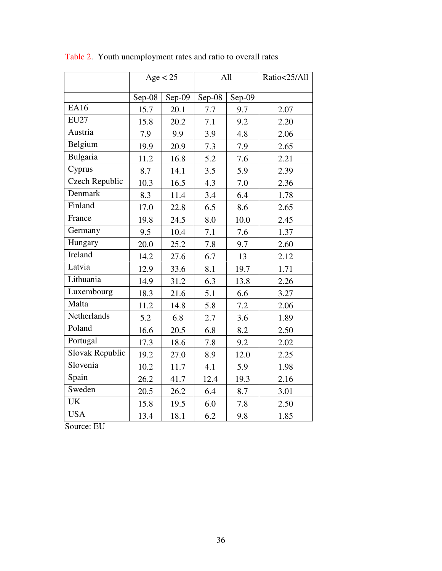|                       | Age < 25 |        | All    |        | Ratio<25/All |
|-----------------------|----------|--------|--------|--------|--------------|
|                       | Sep-08   | Sep-09 | Sep-08 | Sep-09 |              |
| <b>EA16</b>           | 15.7     | 20.1   | 7.7    | 9.7    | 2.07         |
| <b>EU27</b>           | 15.8     | 20.2   | 7.1    | 9.2    | 2.20         |
| Austria               | 7.9      | 9.9    | 3.9    | 4.8    | 2.06         |
| Belgium               | 19.9     | 20.9   | 7.3    | 7.9    | 2.65         |
| Bulgaria              | 11.2     | 16.8   | 5.2    | 7.6    | 2.21         |
| Cyprus                | 8.7      | 14.1   | 3.5    | 5.9    | 2.39         |
| <b>Czech Republic</b> | 10.3     | 16.5   | 4.3    | 7.0    | 2.36         |
| Denmark               | 8.3      | 11.4   | 3.4    | 6.4    | 1.78         |
| Finland               | 17.0     | 22.8   | 6.5    | 8.6    | 2.65         |
| France                | 19.8     | 24.5   | 8.0    | 10.0   | 2.45         |
| Germany               | 9.5      | 10.4   | 7.1    | 7.6    | 1.37         |
| Hungary               | 20.0     | 25.2   | 7.8    | 9.7    | 2.60         |
| Ireland               | 14.2     | 27.6   | 6.7    | 13     | 2.12         |
| Latvia                | 12.9     | 33.6   | 8.1    | 19.7   | 1.71         |
| Lithuania             | 14.9     | 31.2   | 6.3    | 13.8   | 2.26         |
| Luxembourg            | 18.3     | 21.6   | 5.1    | 6.6    | 3.27         |
| Malta                 | 11.2     | 14.8   | 5.8    | 7.2    | 2.06         |
| <b>Netherlands</b>    | 5.2      | 6.8    | 2.7    | 3.6    | 1.89         |
| Poland                | 16.6     | 20.5   | 6.8    | 8.2    | 2.50         |
| Portugal              | 17.3     | 18.6   | 7.8    | 9.2    | 2.02         |
| Slovak Republic       | 19.2     | 27.0   | 8.9    | 12.0   | 2.25         |
| Slovenia              | 10.2     | 11.7   | 4.1    | 5.9    | 1.98         |
| Spain                 | 26.2     | 41.7   | 12.4   | 19.3   | 2.16         |
| Sweden                | 20.5     | 26.2   | 6.4    | 8.7    | 3.01         |
| <b>UK</b>             | 15.8     | 19.5   | 6.0    | 7.8    | 2.50         |
| <b>USA</b>            | 13.4     | 18.1   | 6.2    | 9.8    | 1.85         |

Table 2. Youth unemployment rates and ratio to overall rates

Source: EU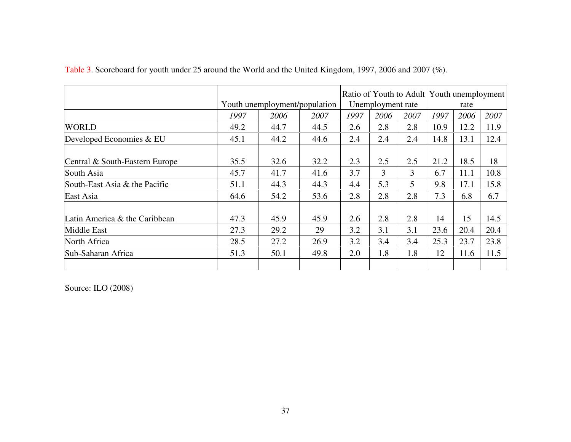|                                |      |                               |      |                   |      | Ratio of Youth to Adult Youth unemployment |      |      |      |
|--------------------------------|------|-------------------------------|------|-------------------|------|--------------------------------------------|------|------|------|
|                                |      | Youth unemployment/population |      | Unemployment rate |      |                                            | rate |      |      |
|                                | 1997 | 2006                          | 2007 | 1997              | 2006 | 2007                                       | 1997 | 2006 | 2007 |
| <b>WORLD</b>                   | 49.2 | 44.7                          | 44.5 | 2.6               | 2.8  | 2.8                                        | 10.9 | 12.2 | 11.9 |
| Developed Economies & EU       | 45.1 | 44.2                          | 44.6 | 2.4               | 2.4  | 2.4                                        | 14.8 | 13.1 | 12.4 |
| Central & South-Eastern Europe | 35.5 | 32.6                          | 32.2 | 2.3               | 2.5  | 2.5                                        | 21.2 | 18.5 | 18   |
| South Asia                     | 45.7 | 41.7                          | 41.6 | 3.7               | 3    | 3                                          | 6.7  | 11.1 | 10.8 |
| South-East Asia & the Pacific  | 51.1 | 44.3                          | 44.3 | 4.4               | 5.3  | 5                                          | 9.8  | 17.1 | 15.8 |
| East Asia                      | 64.6 | 54.2                          | 53.6 | 2.8               | 2.8  | 2.8                                        | 7.3  | 6.8  | 6.7  |
| Latin America & the Caribbean  | 47.3 | 45.9                          | 45.9 | 2.6               | 2.8  | 2.8                                        | 14   | 15   | 14.5 |
| Middle East                    | 27.3 | 29.2                          | 29   | 3.2               | 3.1  | 3.1                                        | 23.6 | 20.4 | 20.4 |
| North Africa                   | 28.5 | 27.2                          | 26.9 | 3.2               | 3.4  | 3.4                                        | 25.3 | 23.7 | 23.8 |
| Sub-Saharan Africa             | 51.3 | 50.1                          | 49.8 | 2.0               | 1.8  | 1.8                                        | 12   | 11.6 | 11.5 |
|                                |      |                               |      |                   |      |                                            |      |      |      |

Table 3. Scoreboard for youth under 25 around the World and the United Kingdom, 1997, 2006 and 2007 (%).

Source: ILO (2008)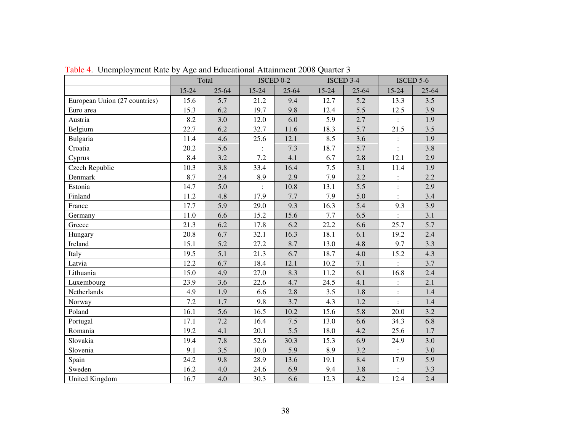|                               |           | Total<br>ISCED 0-2 |                      | ISCED 3-4 |           | ISCED 5-6 |                            |       |
|-------------------------------|-----------|--------------------|----------------------|-----------|-----------|-----------|----------------------------|-------|
|                               | $15 - 24$ | $25 - 64$          | $15 - 24$            | 25-64     | $15 - 24$ | $25 - 64$ | $15 - 24$                  | 25-64 |
| European Union (27 countries) | 15.6      | 5.7                | 21.2                 | 9.4       | 12.7      | 5.2       | 13.3                       | 3.5   |
| Euro area                     | 15.3      | 6.2                | 19.7                 | 9.8       | 12.4      | 5.5       | 12.5                       | 3.9   |
| Austria                       | 8.2       | 3.0                | 12.0                 | 6.0       | 5.9       | 2.7       | $\ddot{\ddot{\phantom{}}}$ | 1.9   |
| Belgium                       | 22.7      | 6.2                | 32.7                 | 11.6      | 18.3      | 5.7       | 21.5                       | 3.5   |
| Bulgaria                      | 11.4      | 4.6                | 25.6                 | 12.1      | 8.5       | 3.6       | $\ddot{\cdot}$             | 1.9   |
| Croatia                       | 20.2      | 5.6                | $\ddot{\phantom{a}}$ | 7.3       | 18.7      | 5.7       | $\ddot{\cdot}$             | 3.8   |
| Cyprus                        | 8.4       | 3.2                | 7.2                  | 4.1       | 6.7       | 2.8       | 12.1                       | 2.9   |
| Czech Republic                | 10.3      | 3.8                | 33.4                 | 16.4      | $7.5$     | 3.1       | 11.4                       | 1.9   |
| Denmark                       | 8.7       | 2.4                | 8.9                  | 2.9       | 7.9       | 2.2       | $\ddot{\cdot}$             | 2.2   |
| Estonia                       | 14.7      | 5.0                | $\ddot{\cdot}$       | 10.8      | 13.1      | 5.5       | $\vdots$                   | 2.9   |
| Finland                       | 11.2      | 4.8                | 17.9                 | 7.7       | 7.9       | 5.0       | $\ddot{\cdot}$             | 3.4   |
| France                        | 17.7      | 5.9                | 29.0                 | 9.3       | 16.3      | 5.4       | 9.3                        | 3.9   |
| Germany                       | 11.0      | 6.6                | 15.2                 | 15.6      | 7.7       | 6.5       | $\ddot{\cdot}$             | 3.1   |
| Greece                        | 21.3      | 6.2                | 17.8                 | 6.2       | 22.2      | 6.6       | 25.7                       | 5.7   |
| Hungary                       | 20.8      | 6.7                | 32.1                 | 16.3      | 18.1      | 6.1       | 19.2                       | 2.4   |
| Ireland                       | 15.1      | 5.2                | 27.2                 | 8.7       | 13.0      | 4.8       | 9.7                        | 3.3   |
| Italy                         | 19.5      | 5.1                | 21.3                 | 6.7       | 18.7      | 4.0       | 15.2                       | 4.3   |
| Latvia                        | 12.2      | 6.7                | 18.4                 | 12.1      | 10.2      | 7.1       | $\ddot{\cdot}$             | 3.7   |
| Lithuania                     | 15.0      | 4.9                | 27.0                 | 8.3       | 11.2      | 6.1       | 16.8                       | 2.4   |
| Luxembourg                    | 23.9      | 3.6                | 22.6                 | 4.7       | 24.5      | 4.1       | $\vdots$                   | 2.1   |
| Netherlands                   | 4.9       | 1.9                | 6.6                  | 2.8       | 3.5       | 1.8       | $\ddot{\cdot}$             | 1.4   |
| Norway                        | 7.2       | 1.7                | 9.8                  | 3.7       | 4.3       | 1.2       |                            | 1.4   |
| Poland                        | 16.1      | 5.6                | 16.5                 | 10.2      | 15.6      | 5.8       | 20.0                       | 3.2   |
| Portugal                      | 17.1      | 7.2                | 16.4                 | 7.5       | 13.0      | 6.6       | 34.3                       | 6.8   |
| Romania                       | 19.2      | 4.1                | 20.1                 | 5.5       | 18.0      | 4.2       | 25.6                       | 1.7   |
| Slovakia                      | 19.4      | 7.8                | 52.6                 | 30.3      | 15.3      | 6.9       | 24.9                       | 3.0   |
| Slovenia                      | 9.1       | 3.5                | 10.0                 | 5.9       | 8.9       | 3.2       |                            | 3.0   |
| Spain                         | 24.2      | 9.8                | 28.9                 | 13.6      | 19.1      | 8.4       | 17.9                       | 5.9   |
| Sweden                        | 16.2      | 4.0                | 24.6                 | 6.9       | 9.4       | 3.8       | $\ddot{\cdot}$             | 3.3   |
| United Kingdom                | 16.7      | 4.0                | 30.3                 | 6.6       | 12.3      | 4.2       | 12.4                       | 2.4   |

Table 4. Unemployment Rate by Age and Educational Attainment 2008 Quarter 3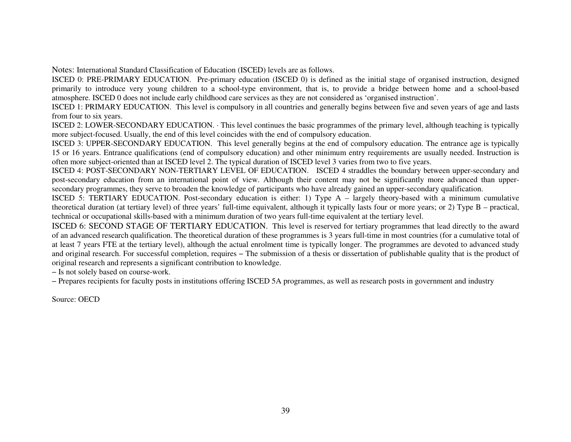Notes: International Standard Classification of Education (ISCED) levels are as follows.

 ISCED 0: PRE-PRIMARY EDUCATION. Pre-primary education (ISCED 0) is defined as the initial stage of organised instruction, designed primarily to introduce very young children to a school-type environment, that is, to provide a bridge between home and a school-based atmosphere. ISCED 0 does not include early childhood care services as they are not considered as 'organised instruction'.

 ISCED 1: PRIMARY EDUCATION. This level is compulsory in all countries and generally begins between five and seven years of age and lasts from four to six years.

 ISCED 2: LOWER-SECONDARY EDUCATION. · This level continues the basic programmes of the primary level, although teaching is typically more subject-focused. Usually, the end of this level coincides with the end of compulsory education.

 ISCED 3: UPPER-SECONDARY EDUCATION. This level generally begins at the end of compulsory education. The entrance age is typically 15 or 16 years. Entrance qualifications (end of compulsory education) and other minimum entry requirements are usually needed. Instruction is often more subject-oriented than at ISCED level 2. The typical duration of ISCED level 3 varies from two to five years.

 ISCED 4: POST-SECONDARY NON-TERTIARY LEVEL OF EDUCATION. ISCED 4 straddles the boundary between upper-secondary and post-secondary education from an international point of view. Although their content may not be significantly more advanced than uppersecondary programmes, they serve to broaden the knowledge of participants who have already gained an upper-secondary qualification.

 ISCED 5: TERTIARY EDUCATION. Post-secondary education is either: 1) Type A – largely theory-based with a minimum cumulative theoretical duration (at tertiary level) of three years' full-time equivalent, although it typically lasts four or more years; or 2) Type B – practical, technical or occupational skills-based with a minimum duration of two years full-time equivalent at the tertiary level.

ISCED 6: SECOND STAGE OF TERTIARY EDUCATION. This level is reserved for tertiary programmes that lead directly to the award of an advanced research qualification. The theoretical duration of these programmes is 3 years full-time in most countries (for a cumulative total of at least 7 years FTE at the tertiary level), although the actual enrolment time is typically longer. The programmes are devoted to advanced study and original research. For successful completion, requires − The submission of a thesis or dissertation of publishable quality that is the product of original research and represents a significant contribution to knowledge.

− Is not solely based on course-work.

− Prepares recipients for faculty posts in institutions offering ISCED 5A programmes, as well as research posts in government and industry

Source: OECD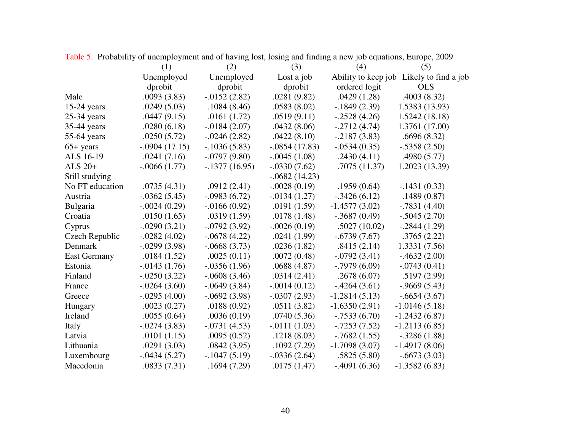|                     | (1)             | (2)             | (3)             | (4)             | (5)                                      |
|---------------------|-----------------|-----------------|-----------------|-----------------|------------------------------------------|
|                     | Unemployed      | Unemployed      | Lost a job      |                 | Ability to keep job Likely to find a job |
|                     | dprobit         | dprobit         | dprobit         | ordered logit   | <b>OLS</b>                               |
| Male                | .0093(3.83)     | $-0.0152(2.82)$ | .0281(9.82)     | .0429(1.28)     | .4003(8.32)                              |
| $15-24$ years       | .0249(5.03)     | .1084(8.46)     | .0583(8.02)     | $-1849(2.39)$   | 1.5383 (13.93)                           |
| $25-34$ years       | .0447(9.15)     | .0161(1.72)     | .0519(9.11)     | $-.2528(4.26)$  | 1.5242(18.18)                            |
| 35-44 years         | .0280(6.18)     | $-0.0184(2.07)$ | .0432(8.06)     | $-.2712(4.74)$  | 1.3761 (17.00)                           |
| 55-64 years         | .0250(5.72)     | $-0.0246(2.82)$ | .0422(8.10)     | $-0.2187(3.83)$ | .6696(8.32)                              |
| $65 + years$        | $-.0904(17.15)$ | $-1036(5.83)$   | $-.0854(17.83)$ | $-.0534(0.35)$  | $-.5358(2.50)$                           |
| ALS 16-19           | .0241(7.16)     | $-.0797(9.80)$  | $-.0045(1.08)$  | .2430(4.11)     | .4980 (5.77)                             |
| ALS $20+$           | $-.0066(1.77)$  | $-.1377(16.95)$ | $-.0330(7.62)$  | .7075(11.37)    | 1.2023 (13.39)                           |
| Still studying      |                 |                 | $-.0682(14.23)$ |                 |                                          |
| No FT education     | .0735(4.31)     | .0912(2.41)     | $-.0028(0.19)$  | .1959(0.64)     | $-.1431(0.33)$                           |
| Austria             | $-.0362(5.45)$  | $-.0983(6.72)$  | $-0.0134(1.27)$ | $-.3426(6.12)$  | .1489(0.87)                              |
| Bulgaria            | $-.0024(0.29)$  | $-0.0166(0.92)$ | .0191(1.59)     | $-1.4577(3.02)$ | $-.7831(4.40)$                           |
| Croatia             | .0150(1.65)     | .0319(1.59)     | .0178(1.48)     | $-.3687(0.49)$  | $-.5045(2.70)$                           |
| Cyprus              | $-.0290(3.21)$  | $-0.0792(3.92)$ | $-.0026(0.19)$  | .5027(10.02)    | $-.2844(1.29)$                           |
| Czech Republic      | $-.0282(4.02)$  | $-.0678(4.22)$  | .0241(1.99)     | $-.6739(7.67)$  | .3765(2.22)                              |
| Denmark             | $-0.0299(3.98)$ | $-.0668(3.73)$  | .0236(1.82)     | .8415(2.14)     | 1.3331 (7.56)                            |
| <b>East Germany</b> | .0184(1.52)     | .0025(0.11)     | .0072(0.48)     | $-.0792(3.41)$  | $-4632(2.00)$                            |
| Estonia             | $-0.0143(1.76)$ | $-0.0356(1.96)$ | .0688(4.87)     | $-.7979(6.09)$  | $-.0743(0.41)$                           |
| Finland             | $-.0250(3.22)$  | $-.0608(3.46)$  | .0314(2.41)     | .2678(6.07)     | .5197(2.99)                              |
| France              | $-.0264(3.60)$  | $-.0649(3.84)$  | $-.0014(0.12)$  | $-4264(3.61)$   | $-0.9669(5.43)$                          |
| Greece              | $-.0295(4.00)$  | $-.0692(3.98)$  | $-.0307(2.93)$  | $-1.2814(5.13)$ | $-.6654(3.67)$                           |
| Hungary             | .0023(0.27)     | .0188(0.92)     | .0511(3.82)     | $-1.6350(2.91)$ | $-1.0146(5.18)$                          |
| Ireland             | .0055(0.64)     | .0036(0.19)     | .0740(5.36)     | $-.7533(6.70)$  | $-1.2432(6.87)$                          |
| Italy               | $-.0274(3.83)$  | $-.0731(4.53)$  | $-.0111(1.03)$  | $-0.7253(7.52)$ | $-1.2113(6.85)$                          |
| Latvia              | .0101(1.15)     | .0095(0.52)     | .1218(8.03)     | $-0.7682(1.55)$ | $-.3286(1.88)$                           |
| Lithuania           | .0291(3.03)     | .0842(3.95)     | .1092(7.29)     | $-1.7098(3.07)$ | $-1.4917(8.06)$                          |
| Luxembourg          | $-.0434(5.27)$  | $-1047(5.19)$   | $-0.0336(2.64)$ | .5825(5.80)     | $-.6673(3.03)$                           |
| Macedonia           | .0833(7.31)     | .1694(7.29)     | .0175(1.47)     | $-.4091(6.36)$  | $-1.3582(6.83)$                          |

Table 5. Probability of unemployment and of having lost, losing and finding a new job equations, Europe, 2009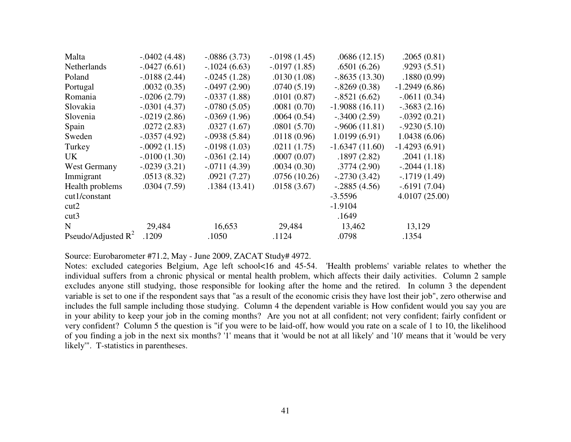| Malta                 | $-.0402(4.48)$  | $-.0886(3.73)$  | $-0.0198(1.45)$ | .0686(12.15)     | .2065(0.81)     |
|-----------------------|-----------------|-----------------|-----------------|------------------|-----------------|
| <b>Netherlands</b>    | $-.0427(6.61)$  | $-.1024(6.63)$  | $-0.0197(1.85)$ | .6501(6.26)      | .9293(5.51)     |
| Poland                | $-0.0188(2.44)$ | $-.0245(1.28)$  | .0130(1.08)     | $-.8635(13.30)$  | .1880(0.99)     |
| Portugal              | .0032(0.35)     | $-.0497(2.90)$  | .0740(5.19)     | $-.8269(0.38)$   | $-1.2949(6.86)$ |
| Romania               | $-0.0206(2.79)$ | $-.0337(1.88)$  | .0101(0.87)     | $-.8521(6.62)$   | $-.0611(0.34)$  |
| Slovakia              | $-.0301(4.37)$  | $-.0780(5.05)$  | .0081(0.70)     | $-1.9088(16.11)$ | $-.3683(2.16)$  |
| Slovenia              | $-.0219(2.86)$  | $-.0369(1.96)$  | .0064(0.54)     | $-.3400(2.59)$   | $-.0392(0.21)$  |
| Spain                 | .0272(2.83)     | .0327(1.67)     | .0801(5.70)     | $-.9606(11.81)$  | $-.9230(5.10)$  |
| Sweden                | $-.0357(4.92)$  | $-.0938(5.84)$  | .0118(0.96)     | 1.0199(6.91)     | 1.0438(6.06)    |
| Turkey                | $-.0092(1.15)$  | $-0.0198(1.03)$ | .0211(1.75)     | $-1.6347(11.60)$ | $-1.4293(6.91)$ |
| UK.                   | $-.0100(1.30)$  | $-.0361(2.14)$  | .0007(0.07)     | .1897(2.82)      | .2041(1.18)     |
| West Germany          | $-.0239(3.21)$  | $-.0711(4.39)$  | .0034(0.30)     | .3774(2.90)      | $-.2044(1.18)$  |
| Immigrant             | .0513(8.32)     | .0921(7.27)     | .0756(10.26)    | $-.2730(3.42)$   | $-.1719(1.49)$  |
| Health problems       | .0304(7.59)     | .1384(13.41)    | .0158(3.67)     | $-.2885(4.56)$   | $-.6191(7.04)$  |
| cut1/constant         |                 |                 |                 | $-3.5596$        | 4.0107(25.00)   |
| cut2                  |                 |                 |                 | $-1.9104$        |                 |
| cut3                  |                 |                 |                 | .1649            |                 |
| N                     | 29,484          | 16,653          | 29,484          | 13,462           | 13,129          |
| Pseudo/Adjusted $R^2$ | .1209           | .1050           | .1124           | .0798            | .1354           |

Source: Eurobarometer #71.2, May - June 2009, ZACAT Study# 4972.

 Notes: excluded categories Belgium, Age left school<16 and 45-54. 'Health problems' variable relates to whether the individual suffers from a chronic physical or mental health problem, which affects their daily activities. Column 2 sample excludes anyone still studying, those responsible for looking after the home and the retired. In column 3 the dependent variable is set to one if the respondent says that "as a result of the economic crisis they have lost their job", zero otherwise and includes the full sample including those studying. Column 4 the dependent variable is How confident would you say you are in your ability to keep your job in the coming months? Are you not at all confident; not very confident; fairly confident or very confident? Column 5 the question is "if you were to be laid-off, how would you rate on a scale of 1 to 10, the likelihood of you finding a job in the next six months? '1' means that it 'would be not at all likely' and '10' means that it 'would be very likely'". T-statistics in parentheses.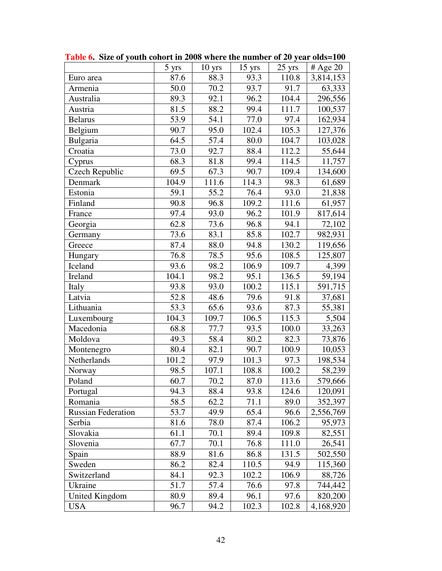|                           | 5 yrs | $10$ yrs | 15 yrs | 25 yrs | # Age $20$ |
|---------------------------|-------|----------|--------|--------|------------|
| Euro area                 | 87.6  | 88.3     | 93.3   | 110.8  | 3,814,153  |
| Armenia                   | 50.0  | 70.2     | 93.7   | 91.7   | 63,333     |
| Australia                 | 89.3  | 92.1     | 96.2   | 104.4  | 296,556    |
| Austria                   | 81.5  | 88.2     | 99.4   | 111.7  | 100,537    |
| <b>Belarus</b>            | 53.9  | 54.1     | 77.0   | 97.4   | 162,934    |
| Belgium                   | 90.7  | 95.0     | 102.4  | 105.3  | 127,376    |
| Bulgaria                  | 64.5  | 57.4     | 80.0   | 104.7  | 103,028    |
| Croatia                   | 73.0  | 92.7     | 88.4   | 112.2  | 55,644     |
| Cyprus                    | 68.3  | 81.8     | 99.4   | 114.5  | 11,757     |
| <b>Czech Republic</b>     | 69.5  | 67.3     | 90.7   | 109.4  | 134,600    |
| Denmark                   | 104.9 | 111.6    | 114.3  | 98.3   | 61,689     |
| Estonia                   | 59.1  | 55.2     | 76.4   | 93.0   | 21,838     |
| Finland                   | 90.8  | 96.8     | 109.2  | 111.6  | 61,957     |
| France                    | 97.4  | 93.0     | 96.2   | 101.9  | 817,614    |
| Georgia                   | 62.8  | 73.6     | 96.8   | 94.1   | 72,102     |
| Germany                   | 73.6  | 83.1     | 85.8   | 102.7  | 982,931    |
| Greece                    | 87.4  | 88.0     | 94.8   | 130.2  | 119,656    |
| Hungary                   | 76.8  | 78.5     | 95.6   | 108.5  | 125,807    |
| Iceland                   | 93.6  | 98.2     | 106.9  | 109.7  | 4,399      |
| Ireland                   | 104.1 | 98.2     | 95.1   | 136.5  | 59,194     |
| Italy                     | 93.8  | 93.0     | 100.2  | 115.1  | 591,715    |
| Latvia                    | 52.8  | 48.6     | 79.6   | 91.8   | 37,681     |
| Lithuania                 | 53.3  | 65.6     | 93.6   | 87.3   | 55,381     |
| Luxembourg                | 104.3 | 109.7    | 106.5  | 115.3  | 5,504      |
| Macedonia                 | 68.8  | 77.7     | 93.5   | 100.0  | 33,263     |
| Moldova                   | 49.3  | 58.4     | 80.2   | 82.3   | 73,876     |
| Montenegro                | 80.4  | 82.1     | 90.7   | 100.9  | 10,053     |
| Netherlands               | 101.2 | 97.9     | 101.3  | 97.3   | 198,534    |
| Norway                    | 98.5  | 107.1    | 108.8  | 100.2  | 58,239     |
| Poland                    | 60.7  | 70.2     | 87.0   | 113.6  | 579,666    |
| Portugal                  | 94.3  | 88.4     | 93.8   | 124.6  | 120,091    |
| Romania                   | 58.5  | 62.2     | 71.1   | 89.0   | 352,397    |
| <b>Russian Federation</b> | 53.7  | 49.9     | 65.4   | 96.6   | 2,556,769  |
| Serbia                    | 81.6  | 78.0     | 87.4   | 106.2  | 95,973     |
| Slovakia                  | 61.1  | 70.1     | 89.4   | 109.8  | 82,551     |
| Slovenia                  | 67.7  | 70.1     | 76.8   | 111.0  | 26,541     |
| Spain                     | 88.9  | 81.6     | 86.8   | 131.5  | 502,550    |
| Sweden                    | 86.2  | 82.4     | 110.5  | 94.9   | 115,360    |
| Switzerland               | 84.1  | 92.3     | 102.2  | 106.9  | 88,726     |
| Ukraine                   | 51.7  | 57.4     | 76.6   | 97.8   | 744,442    |
| United Kingdom            | 80.9  | 89.4     | 96.1   | 97.6   | 820,200    |
| <b>USA</b>                | 96.7  | 94.2     | 102.3  | 102.8  | 4,168,920  |

**Table 6. Size of youth cohort in 2008 where the number of 20 year olds=100**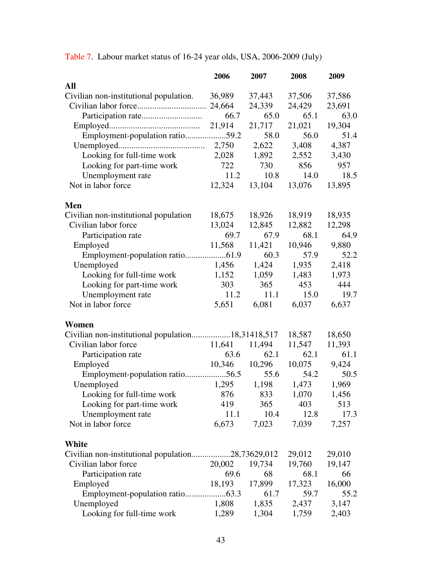|                                                   | 2006   | 2007   | 2008   | 2009   |
|---------------------------------------------------|--------|--------|--------|--------|
| All                                               |        |        |        |        |
| Civilian non-institutional population.            | 36,989 | 37,443 | 37,506 | 37,586 |
|                                                   |        | 24,339 | 24,429 | 23,691 |
|                                                   | 66.7   | 65.0   | 65.1   | 63.0   |
|                                                   | 21,914 | 21,717 | 21,021 | 19,304 |
| Employment-population ratio59.2                   |        | 58.0   | 56.0   | 51.4   |
|                                                   | 2,750  | 2,622  | 3,408  | 4,387  |
| Looking for full-time work                        | 2,028  | 1,892  | 2,552  | 3,430  |
| Looking for part-time work                        | 722    | 730    | 856    | 957    |
| Unemployment rate                                 | 11.2   | 10.8   | 14.0   | 18.5   |
| Not in labor force                                | 12,324 | 13,104 | 13,076 | 13,895 |
| Men                                               |        |        |        |        |
| Civilian non-institutional population             | 18,675 | 18,926 | 18,919 | 18,935 |
| Civilian labor force                              | 13,024 | 12,845 | 12,882 | 12,298 |
| Participation rate                                | 69.7   | 67.9   | 68.1   | 64.9   |
| Employed                                          | 11,568 | 11,421 | 10,946 | 9,880  |
|                                                   |        | 60.3   | 57.9   | 52.2   |
| Unemployed                                        | 1,456  | 1,424  | 1,935  | 2,418  |
| Looking for full-time work                        | 1,152  | 1,059  | 1,483  | 1,973  |
| Looking for part-time work                        | 303    | 365    | 453    | 444    |
| Unemployment rate                                 | 11.2   | 11.1   | 15.0   | 19.7   |
| Not in labor force                                | 5,651  | 6,081  | 6,037  | 6,637  |
| Women                                             |        |        |        |        |
| Civilian non-institutional population18,31418,517 |        |        | 18,587 | 18,650 |
| Civilian labor force                              | 11,641 | 11,494 | 11,547 | 11,393 |
| Participation rate                                | 63.6   | 62.1   | 62.1   | 61.1   |
| Employed                                          | 10,346 | 10,296 | 10,075 | 9,424  |
| Employment-population ratio56.5                   |        | 55.6   | 54.2   | 50.5   |
| Unemployed                                        | 1,295  | 1,198  | 1,473  | 1,969  |
| Looking for full-time work 876 833                |        |        | 1,070  | 1,456  |
| Looking for part-time work                        | 419    | 365    | 403    | 513    |
| Unemployment rate                                 | 11.1   | 10.4   | 12.8   | 17.3   |
| Not in labor force                                | 6,673  | 7,023  | 7,039  | 7,257  |
| White                                             |        |        |        |        |
| Civilian non-institutional population28,73629,012 |        |        | 29,012 | 29,010 |
| Civilian labor force                              | 20,002 | 19,734 | 19,760 | 19,147 |
| Participation rate                                | 69.6   | 68     | 68.1   | 66     |
| Employed                                          | 18,193 | 17,899 | 17,323 | 16,000 |
|                                                   |        | 61.7   | 59.7   | 55.2   |
| Unemployed                                        | 1,808  | 1,835  | 2,437  | 3,147  |
| Looking for full-time work                        | 1,289  | 1,304  | 1,759  | 2,403  |

Table 7. Labour market status of 16-24 year olds, USA, 2006-2009 (July)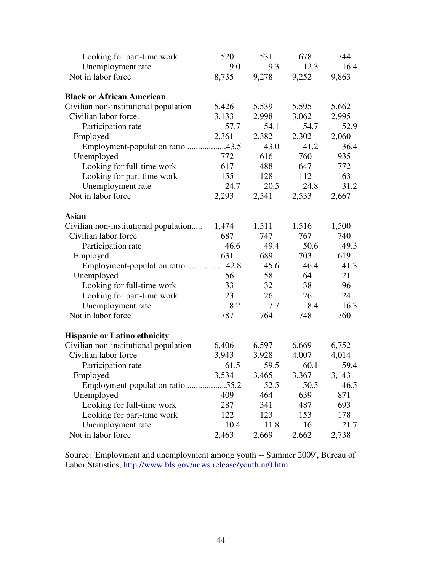| Looking for part-time work            | 520   | 531   | 678   | 744   |
|---------------------------------------|-------|-------|-------|-------|
| Unemployment rate                     | 9.0   | 9.3   | 12.3  | 16.4  |
| Not in labor force                    | 8,735 | 9,278 | 9,252 | 9,863 |
| <b>Black or African American</b>      |       |       |       |       |
| Civilian non-institutional population | 5,426 | 5,539 | 5,595 | 5,662 |
| Civilian labor force.                 | 3,133 | 2,998 | 3,062 | 2,995 |
| Participation rate                    | 57.7  | 54.1  | 54.7  | 52.9  |
| Employed                              | 2,361 | 2,382 | 2,302 | 2,060 |
| Employment-population ratio43.5       |       | 43.0  | 41.2  | 36.4  |
| Unemployed                            | 772   | 616   | 760   | 935   |
| Looking for full-time work            | 617   | 488   | 647   | 772   |
| Looking for part-time work            | 155   | 128   | 112   | 163   |
| Unemployment rate                     | 24.7  | 20.5  | 24.8  | 31.2  |
| Not in labor force                    | 2,293 | 2,541 | 2,533 | 2,667 |
| <b>Asian</b>                          |       |       |       |       |
| Civilian non-institutional population | 1,474 | 1,511 | 1,516 | 1,500 |
| Civilian labor force                  | 687   | 747   | 767   | 740   |
| Participation rate                    | 46.6  | 49.4  | 50.6  | 49.3  |
| Employed                              | 631   | 689   | 703   | 619   |
| Employment-population ratio42.8       |       | 45.6  | 46.4  | 41.3  |
| Unemployed                            | 56    | 58    | 64    | 121   |
| Looking for full-time work            | 33    | 32    | 38    | 96    |
| Looking for part-time work            | 23    | 26    | 26    | 24    |
| Unemployment rate                     | 8.2   | 7.7   | 8.4   | 16.3  |
| Not in labor force                    | 787   | 764   | 748   | 760   |
| <b>Hispanic or Latino ethnicity</b>   |       |       |       |       |
| Civilian non-institutional population | 6,406 | 6,597 | 6,669 | 6,752 |
| Civilian labor force                  | 3,943 | 3,928 | 4,007 | 4,014 |
| Participation rate                    | 61.5  | 59.5  | 60.1  | 59.4  |
| Employed                              | 3,534 | 3,465 | 3,367 | 3,143 |
|                                       |       | 52.5  | 50.5  | 46.5  |
| Unemployed                            | 409   | 464   | 639   | 871   |
| Looking for full-time work            | 287   | 341   | 487   | 693   |
| Looking for part-time work            | 122   | 123   | 153   | 178   |
| Unemployment rate                     | 10.4  | 11.8  | 16    | 21.7  |
| Not in labor force                    | 2,463 | 2,669 | 2,662 | 2,738 |

Source: 'Employment and unemployment among youth -- Summer 2009', Bureau of Labor Statistics, http://www.bls.gov/news.release/youth.nr0.htm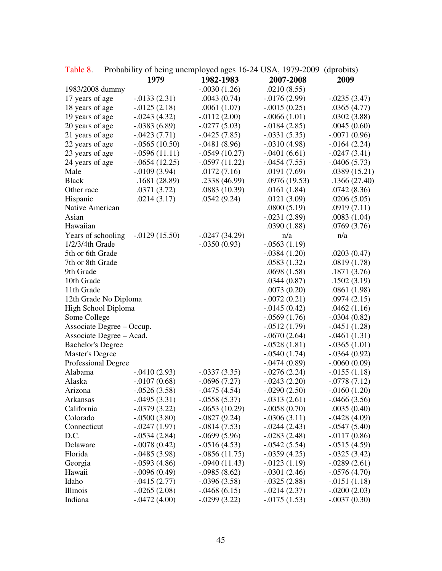|                           |                                  |                                  | Table 0. Trobability of being unemployed ages To $2+$ COT $\lambda$ , 1717 2007 (uproblis) |                 |
|---------------------------|----------------------------------|----------------------------------|--------------------------------------------------------------------------------------------|-----------------|
|                           | 1979                             | 1982-1983                        | 2007-2008                                                                                  | 2009            |
| 1983/2008 dummy           |                                  | $-.0030(1.26)$                   | .0210(8.55)                                                                                |                 |
| 17 years of age           | $-0.0133(2.31)$                  | .0043(0.74)                      | $-0.0176(2.99)$                                                                            | $-.0235(3.47)$  |
| 18 years of age           | $-0.0125(2.18)$                  | .0061(1.07)                      | $-.0015(0.25)$                                                                             | .0365(4.77)     |
| 19 years of age           | $-.0243(4.32)$                   | $-.0112(2.00)$                   | $-.0066(1.01)$                                                                             | .0302(3.88)     |
| 20 years of age           | $-.0383(6.89)$                   | $-.0277(5.03)$                   | $-0.0184(2.85)$                                                                            | .0045(0.60)     |
| 21 years of age           | $-.0423(7.71)$                   | $-.0425(7.85)$                   | $-.0331(5.35)$                                                                             | $-.0071(0.96)$  |
| 22 years of age           | $-.0565(10.50)$                  | $-.0481(8.96)$                   | $-.0310(4.98)$                                                                             | $-0.0164(2.24)$ |
| 23 years of age           | $-.0596(11.11)$                  | $-.0549(10.27)$                  | $-.0401(6.61)$                                                                             | $-.0247(3.41)$  |
| 24 years of age           | $-.0654(12.25)$                  | $-.0597(11.22)$                  | $-.0454(7.55)$                                                                             | $-.0406(5.73)$  |
| Male                      | $-0.0109(3.94)$                  | .0172(7.16)                      | .0191(7.69)                                                                                | .0389(15.21)    |
| <b>Black</b>              | .1681(28.89)                     | .2338 (46.99)                    | .0976(19.53)                                                                               | .1366(27.40)    |
| Other race                | .0371(3.72)                      | .0883(10.39)                     | .0161(1.84)                                                                                | .0742(8.36)     |
| Hispanic                  | .0214(3.17)                      | .0542(9.24)                      | .0121(3.09)                                                                                | .0206(5.05)     |
| Native American           |                                  |                                  | .0800(5.19)                                                                                | .0919(7.11)     |
| Asian                     |                                  |                                  | $-.0231(2.89)$                                                                             | .0083(1.04)     |
| Hawaiian                  |                                  |                                  | .0390(1.88)                                                                                | .0769(3.76)     |
| Years of schooling        | $-0.0129(15.50)$                 | $-.0247(34.29)$                  | n/a                                                                                        | n/a             |
| 1/2/3/4th Grade           |                                  | $-.0350(0.93)$                   | $-.0563(1.19)$                                                                             |                 |
| 5th or 6th Grade          |                                  |                                  | $-.0384(1.20)$                                                                             | .0203(0.47)     |
| 7th or 8th Grade          |                                  |                                  | .0583(1.32)                                                                                | .0819(1.78)     |
| 9th Grade                 |                                  |                                  | .0698(1.58)                                                                                | .1871(3.76)     |
| 10th Grade                |                                  |                                  | .0344(0.87)                                                                                | .1502(3.19)     |
| 11th Grade                |                                  |                                  | .0073(0.20)                                                                                | .0861(1.98)     |
| 12th Grade No Diploma     |                                  |                                  | $-.0072(0.21)$                                                                             | .0974(2.15)     |
| High School Diploma       |                                  |                                  | $-0.0145(0.42)$                                                                            | .0462(1.16)     |
| Some College              |                                  |                                  | $-.0569(1.76)$                                                                             | $-.0304(0.82)$  |
| Associate Degree – Occup. |                                  |                                  | $-.0512(1.79)$                                                                             | $-.0451(1.28)$  |
| Associate Degree - Acad.  |                                  |                                  | $-.0670(2.64)$                                                                             | $-.0461(1.31)$  |
| <b>Bachelor's Degree</b>  |                                  |                                  | $-.0528(1.81)$                                                                             | $-.0365(1.01)$  |
| <b>Master's Degree</b>    |                                  |                                  | $-.0540(1.74)$                                                                             | $-.0364(0.92)$  |
| Professional Degree       |                                  |                                  | $-.0474(0.89)$                                                                             | $-.0060(0.09)$  |
| Alabama                   | $-.0410(2.93)$                   | $-.0337(3.35)$                   | $-0.0276(2.24)$                                                                            | $-.0155(1.18)$  |
| Alaska                    | $-.0107(0.68)$                   | $-.0696(7.27)$                   | $-0.0243(2.20)$                                                                            | $-.0778(7.12)$  |
| Arizona                   | $-.0526(3.58)$                   | $-.0475(4.54)$                   | $-.0290(2.50)$                                                                             | $-.0160(1.20)$  |
| Arkansas                  | $-.0495(3.31)$                   | $-.0558(5.37)$                   | $-.0313(2.61)$                                                                             | $-.0466(3.56)$  |
| California                | $-.0379(3.22)$                   | $-.0653(10.29)$                  | $-.0058(0.70)$                                                                             | .0035(0.40)     |
| Colorado                  | $-.0500(3.80)$                   | $-.0827(9.24)$                   | $-.0306(3.11)$                                                                             | $-.0428(4.09)$  |
| Connecticut               | $-.0247(1.97)$                   | $-.0814(7.53)$                   | $-0.0244(2.43)$                                                                            | $-.0547(5.40)$  |
| D.C.                      | $-.0534(2.84)$                   | $-.0699(5.96)$                   | $-.0283(2.48)$                                                                             | $-0.0117(0.86)$ |
| Delaware                  | $-.0078(0.42)$                   | $-.0516(4.53)$                   | $-.0542(5.54)$                                                                             | $-.0515(4.59)$  |
| Florida                   | $-.0485(3.98)$                   | $-.0856(11.75)$                  | $-.0359(4.25)$                                                                             | $-.0325(3.42)$  |
| Georgia                   | $-.0593(4.86)$                   | $-.0940(11.43)$                  | $-0.0123(1.19)$                                                                            | $-.0289(2.61)$  |
| Hawaii                    | $-.0096(0.49)$                   | $-.0985(8.62)$<br>$-.0396(3.58)$ | $-.0301(2.46)$                                                                             | $-.0576(4.70)$  |
| Idaho                     | $-.0415(2.77)$                   | $-.0468(6.15)$                   | $-.0325(2.88)$                                                                             | $-.0151(1.18)$  |
| Illinois<br>Indiana       | $-.0265(2.08)$<br>$-.0472(4.00)$ |                                  | $-.0214(2.37)$                                                                             | $-.0200(2.03)$  |
|                           |                                  | $-.0299(3.22)$                   | $-0.0175(1.53)$                                                                            | $-.0037(0.30)$  |

Table 8. Probability of being unemployed ages 16-24 USA, 1979-2009 (dprobits)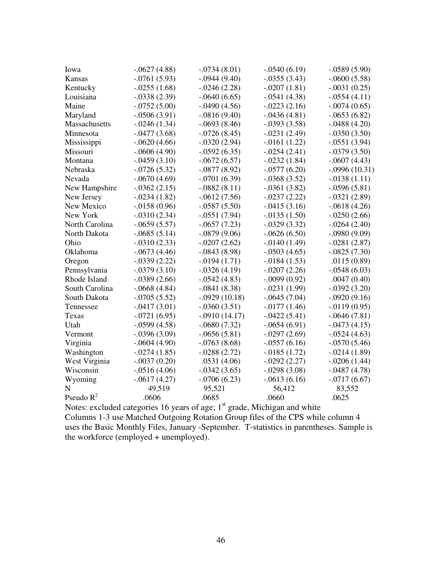| Iowa           | $-.0627(4.88)$ | $-.0734(8.01)$  | $-.0540(6.19)$  | $-.0589(5.90)$  |
|----------------|----------------|-----------------|-----------------|-----------------|
| Kansas         | $-.0761(5.93)$ | $-.0944(9.40)$  | $-.0355(3.43)$  | $-.0600(5.58)$  |
| Kentucky       | $-.0255(1.68)$ | $-0.0246(2.28)$ | $-.0207(1.81)$  | $-.0031(0.25)$  |
| Louisiana      | $-.0338(2.39)$ | $-.0640(6.65)$  | $-.0541(4.38)$  | $-.0554(4.11)$  |
| Maine          | $-.0752(5.00)$ | $-.0490(4.56)$  | $-.0223(2.16)$  | $-.0074(0.65)$  |
| Maryland       | $-.0506(3.91)$ | $-.0816(9.40)$  | $-.0436(4.81)$  | $-.0653(6.82)$  |
| Massachusetts  | $-.0246(1.34)$ | $-.0693(8.46)$  | $-.0393(3.58)$  | $-.0488(4.20)$  |
| Minnesota      | $-.0477(3.68)$ | $-.0726(8.45)$  | $-.0231(2.49)$  | $-.0350(3.50)$  |
| Mississippi    | $-.0620(4.66)$ | $-.0320(2.94)$  | $-0.0161(1.22)$ | $-.0551(3.94)$  |
| Missouri       | $-.0606(4.90)$ | $-.0592(6.35)$  | $-.0254(2.41)$  | $-.0379(3.50)$  |
| Montana        | $-.0459(3.10)$ | $-.0672(6.57)$  | $-.0232(1.84)$  | $-.0607(4.43)$  |
| Nebraska       | $-.0726(5.32)$ | $-.0877(8.92)$  | $-.0577(6.20)$  | $-.0996(10.31)$ |
| Nevada         | $-.0670(4.69)$ | $-.0701(6.39)$  | $-.0368(3.52)$  | $-0.0138(1.11)$ |
| New Hampshire  | $-.0362(2.15)$ | $-.0882(8.11)$  | $-.0361(3.82)$  | $-.0596(5.81)$  |
| New Jersey     | $-.0234(1.82)$ | $-.0612(7.56)$  | $-.0237(2.22)$  | $-.0321(2.89)$  |
| New Mexico     | $-.0158(0.96)$ | $-.0587(5.50)$  | $-.0415(3.16)$  | $-.0618(4.26)$  |
| New York       | $-.0310(2.34)$ | $-.0551(7.94)$  | $-0.0135(1.50)$ | $-.0250(2.66)$  |
| North Carolina | $-.0659(5.57)$ | $-.0657(7.23)$  | $-.0329(3.32)$  | $-.0264(2.40)$  |
| North Dakota   | $-.0685(5.14)$ | $-0.0879(9.06)$ | $-.0626(6.50)$  | $-.0980(9.09)$  |
| Ohio           | $-.0310(2.33)$ | $-.0207(2.62)$  | $-0.0140(1.49)$ | $-.0281(2.87)$  |
| Oklahoma       | $-.0673(4.46)$ | $-.0843(8.98)$  | $-.0503(4.65)$  | $-.0825(7.30)$  |
| Oregon         | $-.0339(2.22)$ | $-0.0194(1.71)$ | $-0.0184(1.53)$ | .0115(0.89)     |
| Pennsylvania   | $-.0379(3.10)$ | $-.0326(4.19)$  | $-.0207(2.26)$  | $-.0548(6.03)$  |
| Rhode Island   | $-.0389(2.66)$ | $-.0542(4.83)$  | $-.0099(0.92)$  | .0047(0.40)     |
| South Carolina | $-.0668(4.84)$ | $-.0841(8.38)$  | $-.0231(1.99)$  | $-.0392(3.20)$  |
| South Dakota   | $-.0705(5.52)$ | $-.0929(10.18)$ | $-.0645(7.04)$  | $-.0920(9.16)$  |
| Tennessee      | $-.0417(3.01)$ | $-.0360(3.51)$  | $-0.0177(1.46)$ | $-0.0119(0.95)$ |
| Texas          | $-.0721(6.95)$ | $-.0910(14.17)$ | $-.0422(5.41)$  | $-.0646(7.81)$  |
| Utah           | $-.0599(4.58)$ | $-.0680(7.32)$  | $-.0654(6.91)$  | $-.0473(4.15)$  |
| Vermont        | $-.0396(3.09)$ | $-.0656(5.81)$  | $-.0297(2.69)$  | $-.0524(4.63)$  |
| Virginia       | $-.0604(4.90)$ | $-.0763(8.68)$  | $-.0557(6.16)$  | $-.0570(5.46)$  |
| Washington     | $-.0274(1.85)$ | $-0.0288(2.72)$ | $-0.0185(1.72)$ | $-.0214(1.89)$  |
| West Virginia  | $-.0037(0.20)$ | .0531(4.06)     | $-0.0292(2.27)$ | $-.0206(1.44)$  |
| Wisconsin      | $-.0516(4.06)$ | $-0.0342(3.65)$ | $-.0298(3.08)$  | $-.0487(4.78)$  |
| Wyoming        | $-.0617(4.27)$ | $-.0706(6.23)$  | $-.0613(6.16)$  | $-.0717(6.67)$  |
| N              | 49,519         | 95,521          | 56,412          | 83,552          |
| Pseudo $R^2$   | .0606          | .0685           | .0660           | .0625           |

Notes: excluded categories 16 years of age;  $1<sup>st</sup>$  grade, Michigan and white Columns 1-3 use Matched Outgoing Rotation Group files of the CPS while column 4 uses the Basic Monthly Files, January -September. T-statistics in parentheses. Sample is the workforce (employed + unemployed).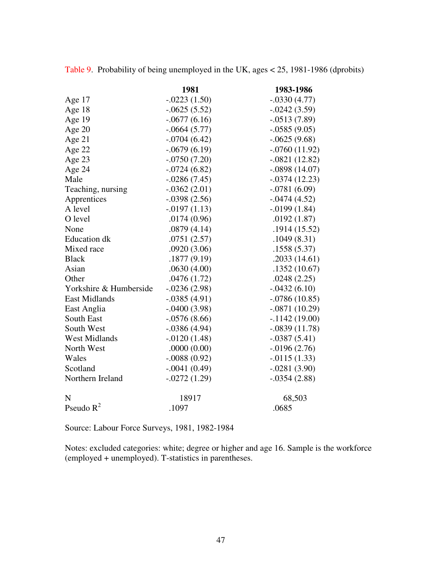|                        | 1981            | 1983-1986       |
|------------------------|-----------------|-----------------|
| Age 17                 | $-.0223(1.50)$  | $-.0330(4.77)$  |
| Age 18                 | $-.0625(5.52)$  | $-.0242(3.59)$  |
| Age 19                 | $-.0677(6.16)$  | $-.0513(7.89)$  |
| Age 20                 | $-.0664(5.77)$  | $-.0585(9.05)$  |
| Age 21                 | $-.0704(6.42)$  | $-.0625(9.68)$  |
| Age 22                 | $-.0679(6.19)$  | $-.0760(11.92)$ |
| Age 23                 | $-.0750(7.20)$  | $-.0821(12.82)$ |
| Age 24                 | $-.0724(6.82)$  | $-.0898(14.07)$ |
| Male                   | $-.0286(7.45)$  | $-.0374(12.23)$ |
| Teaching, nursing      | $-.0362(2.01)$  | $-.0781(6.09)$  |
| Apprentices            | $-.0398(2.56)$  | $-.0474(4.52)$  |
| A level                | $-0.0197(1.13)$ | $-0.0199(1.84)$ |
| O level                | .0174(0.96)     | .0192(1.87)     |
| None                   | .0879(4.14)     | .1914(15.52)    |
| <b>Education</b> dk    | .0751(2.57)     | .1049(8.31)     |
| Mixed race             | .0920(3.06)     | .1558(5.37)     |
| <b>Black</b>           | .1877(9.19)     | .2033(14.61)    |
| Asian                  | .0630(4.00)     | .1352(10.67)    |
| Other                  | .0476(1.72)     | .0248(2.25)     |
| Yorkshire & Humberside | $-.0236(2.98)$  | $-.0432(6.10)$  |
| <b>East Midlands</b>   | $-.0385(4.91)$  | $-.0786(10.85)$ |
| East Anglia            | $-.0400(3.98)$  | $-.0871(10.29)$ |
| South East             | $-.0576(8.66)$  | $-1142(19.00)$  |
| South West             | $-.0386(4.94)$  | $-.0839(11.78)$ |
| <b>West Midlands</b>   | $-.0120(1.48)$  | $-.0387(5.41)$  |
| North West             | .0000(0.00)     | $-0.0196(2.76)$ |
| Wales                  | $-.0088(0.92)$  | $-0.0115(1.33)$ |
| Scotland               | $-.0041(0.49)$  | $-.0281(3.90)$  |
| Northern Ireland       | $-.0272(1.29)$  | $-.0354(2.88)$  |
| N                      | 18917           | 68,503          |
| Pseudo $R^2$           | .1097           | .0685           |

Table 9. Probability of being unemployed in the UK, ages < 25, 1981-1986 (dprobits)

Source: Labour Force Surveys, 1981, 1982-1984

Notes: excluded categories: white; degree or higher and age 16. Sample is the workforce (employed + unemployed). T-statistics in parentheses.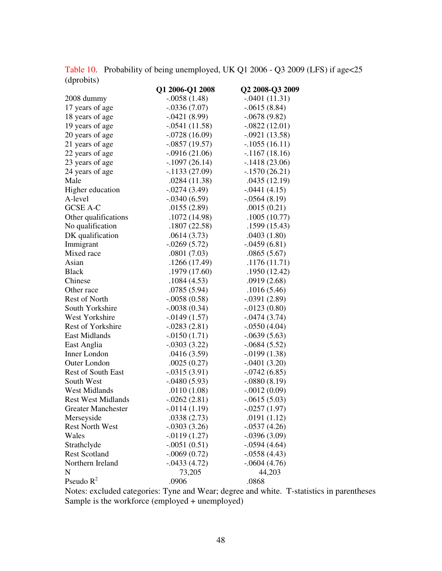Table 10. Probability of being unemployed, UK Q1 2006 - Q3 2009 (LFS) if age<25 (dprobits)

|                           | O1 2006-Q1 2008 | Q2 2008-Q3 2009 |
|---------------------------|-----------------|-----------------|
| 2008 dummy                | $-.0058(1.48)$  | $-.0401(11.31)$ |
| 17 years of age           | $-.0336(7.07)$  | $-.0615(8.84)$  |
| 18 years of age           | $-.0421(8.99)$  | $-.0678(9.82)$  |
| 19 years of age           | $-.0541(11.58)$ | $-.0822(12.01)$ |
| 20 years of age           | $-.0728(16.09)$ | $-.0921(13.58)$ |
| 21 years of age           | $-.0857(19.57)$ | $-.1055(16.11)$ |
| 22 years of age           | $-.0916(21.06)$ | $-1167(18.16)$  |
| 23 years of age           | $-.1097(26.14)$ | $-.1418(23.06)$ |
| 24 years of age           | $-1133(27.09)$  | $-1570(26.21)$  |
| Male                      | .0284(11.38)    | .0435(12.19)    |
| Higher education          | $-.0274(3.49)$  | $-.0441(4.15)$  |
| A-level                   | $-.0340(6.59)$  | $-.0564(8.19)$  |
| <b>GCSE A-C</b>           | .0155(2.89)     | .0015(0.21)     |
| Other qualifications      | .1072 (14.98)   | .1005(10.77)    |
| No qualification          | .1807(22.58)    | .1599(15.43)    |
| DK qualification          | .0614(3.73)     | .0403(1.80)     |
| Immigrant                 | $-.0269(5.72)$  | $-.0459(6.81)$  |
| Mixed race                | .0801(7.03)     | .0865(5.67)     |
| Asian                     | .1266 (17.49)   | .1176(11.71)    |
| <b>Black</b>              | .1979 (17.60)   | .1950(12.42)    |
| Chinese                   | .1084(4.53)     | .0919(2.68)     |
| Other race                | .0785(5.94)     | .1016(5.46)     |
| Rest of North             | $-.0058(0.58)$  | $-.0391(2.89)$  |
| South Yorkshire           | $-.0038(0.34)$  | $-.0123(0.80)$  |
| West Yorkshire            | $-0.0149(1.57)$ | $-.0474(3.74)$  |
| Rest of Yorkshire         | $-.0283(2.81)$  | $-.0550(4.04)$  |
| East Midlands             | $-.0150(1.71)$  | $-.0639(5.63)$  |
| East Anglia               | $-.0303(3.22)$  | $-.0684(5.52)$  |
| Inner London              | .0416(3.59)     | $-0.0199(1.38)$ |
| Outer London              | .0025(0.27)     | $-.0401(3.20)$  |
| <b>Rest of South East</b> | $-.0315(3.91)$  | $-.0742(6.85)$  |
| South West                | $-.0480(5.93)$  | $-.0880(8.19)$  |
| <b>West Midlands</b>      | .0110(1.08)     | $-.0012(0.09)$  |
| <b>Rest West Midlands</b> | $-.0262(2.81)$  | $-.0615(5.03)$  |
| <b>Greater Manchester</b> | $-0.0114(1.19)$ | $-0.0257(1.97)$ |
| Merseyside                | .0338(2.73)     | .0191(1.12)     |
| <b>Rest North West</b>    | $-.0303(3.26)$  | $-.0537(4.26)$  |
| Wales                     | $-0.0119(1.27)$ | $-.0396(3.09)$  |
| Strathclyde               | $-.0051(0.51)$  | $-.0594(4.64)$  |
| <b>Rest Scotland</b>      | $-.0069(0.72)$  | $-.0558(4.43)$  |
| Northern Ireland          | $-.0433(4.72)$  | $-.0604(4.76)$  |
| N                         | 73,205          | 44,203          |
| Pseudo $R^2$              | .0906           | .0868           |

Notes: excluded categories: Tyne and Wear; degree and white. T-statistics in parentheses Sample is the workforce (employed + unemployed)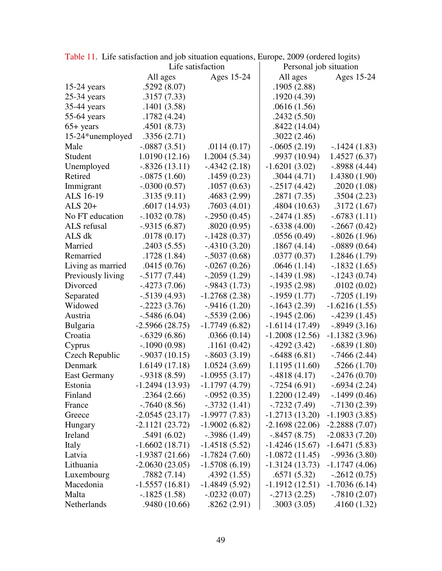|                     | Life satisfaction |                 | Personal job situation |                 |  |
|---------------------|-------------------|-----------------|------------------------|-----------------|--|
|                     | All ages          | Ages 15-24      | All ages               | Ages 15-24      |  |
| $15-24$ years       | .5292(8.07)       |                 | .1905(2.88)            |                 |  |
| $25-34$ years       | .3157(7.33)       |                 | .1920(4.39)            |                 |  |
| 35-44 years         | .1401(3.58)       |                 | .0616(1.56)            |                 |  |
| 55-64 years         | .1782(4.24)       |                 | .2432(5.50)            |                 |  |
| $65+$ years         | .4501(8.73)       |                 | .8422(14.04)           |                 |  |
| 15-24*unemployed    | .3356(2.71)       |                 | .3022(2.46)            |                 |  |
| Male                | $-.0887(3.51)$    | .0114(0.17)     | $-.0605(2.19)$         | $-.1424(1.83)$  |  |
| Student             | 1.0190 (12.16)    | 1.2004(5.34)    | .9937 (10.94)          | 1.4527(6.37)    |  |
| Unemployed          | $-.8326(13.11)$   | $-0.4342(2.18)$ | $-1.6201(3.02)$        | $-.8988(4.44)$  |  |
| Retired             | $-.0875(1.60)$    | .1459(0.23)     | .3044(4.71)            | 1.4380(1.90)    |  |
| Immigrant           | $-.0300(0.57)$    | .1057(0.63)     | $-.2517(4.42)$         | .2020(1.08)     |  |
| ALS 16-19           | .3135(9.11)       | .4683 (2.99)    | .2871(7.35)            | .3504(2.23)     |  |
| ALS $20+$           | .6017(14.93)      | .7603(4.01)     | .4804 (10.63)          | .3172(1.67)     |  |
| No FT education     | $-.1032(0.78)$    | $-.2950(0.45)$  | $-0.2474(1.85)$        | $-.6783(1.11)$  |  |
| ALS refusal         | $-.9315(6.87)$    | .8020(0.95)     | $-.6338(4.00)$         | $-.2667(0.42)$  |  |
| ALS dk              | .0178(0.17)       | $-.1428(0.37)$  | .0556(0.49)            | $-.8026(1.96)$  |  |
| Married             | .2403(5.55)       | $-.4310(3.20)$  | .1867(4.14)            | $-.0889(0.64)$  |  |
| Remarried           | .1728(1.84)       | $-.5037(0.68)$  | .0377(0.37)            | 1.2846 (1.79)   |  |
| Living as married   | .0415(0.76)       | $-.0267(0.26)$  | .0646(1.14)            | $-.1832(1.65)$  |  |
| Previously living   | $-.5177(7.44)$    | $-.2059(1.29)$  | $-.1439(1.98)$         | $-.1243(0.74)$  |  |
| Divorced            | $-0.4273(7.06)$   | $-0.9843(1.73)$ | $-.1935(2.98)$         | .0102(0.02)     |  |
| Separated           | $-0.5139(4.93)$   | $-1.2768(2.38)$ | $-.1959(1.77)$         | $-.7205(1.19)$  |  |
| Widowed             | $-.2223(3.76)$    | $-0.9416(1.20)$ | $-1643(2.39)$          | $-1.6216(1.55)$ |  |
| Austria             | $-.5486(6.04)$    | $-.5539(2.06)$  | $-.1945(2.06)$         | $-.4239(1.45)$  |  |
| <b>Bulgaria</b>     | $-2.5966(28.75)$  | $-1.7749(6.82)$ | $-1.6114(17.49)$       | $-.8949(3.16)$  |  |
| Croatia             | $-.6329(6.86)$    | .0366(0.14)     | $-1.2008(12.56)$       | $-1.1382(3.96)$ |  |
| Cyprus              | $-.1090(0.98)$    | .1161(0.42)     | $-0.4292(3.42)$        | $-.6839(1.80)$  |  |
| Czech Republic      | $-.9037(10.15)$   | $-.8603(3.19)$  | $-.6488(6.81)$         | $-0.7466(2.44)$ |  |
| Denmark             | 1.6149(17.18)     | 1.0524(3.69)    | 1.1195 (11.60)         | .5266(1.70)     |  |
| <b>East Germany</b> | $-.9318(8.59)$    | $-1.0955(3.17)$ | $-.4818(4.17)$         | $-.2476(0.70)$  |  |
| Estonia             | $-1.2494(13.93)$  | $-1.1797(4.79)$ | $-.7254(6.91)$         | $-.6934(2.24)$  |  |
| Finland             | .2364(2.66)       | $-.0952(0.35)$  | 1.2200 (12.49)         | $-.1499(0.46)$  |  |
| France              | $-.7640(8.56)$    | $-.3732(1.41)$  | $-0.7232(7.49)$        | $-.7130(2.39)$  |  |
| Greece              | $-2.0545(23.17)$  | $-1.9977(7.83)$ | $-1.2713(13.20)$       | $-1.1903(3.85)$ |  |
| Hungary             | $-2.1121(23.72)$  | $-1.9002(6.82)$ | $-2.1698(22.06)$       | $-2.2888(7.07)$ |  |
| Ireland             | .5491(6.02)       | $-.3986(1.49)$  | $-.8457(8.75)$         | $-2.0833(7.20)$ |  |
| Italy               | $-1.6602(18.71)$  | $-1.4518(5.52)$ | $-1.4246(15.67)$       | $-1.6471(5.83)$ |  |
| Latvia              | $-1.9387(21.66)$  | $-1.7824(7.60)$ | $-1.0872(11.45)$       | $-.9936(3.80)$  |  |
| Lithuania           | $-2.0630(23.05)$  | $-1.5708(6.19)$ | $-1.3124(13.73)$       | $-1.1747(4.06)$ |  |
| Luxembourg          | .7882(7.14)       | .4392(1.55)     | .6571(5.32)            | $-.2612(0.75)$  |  |
| Macedonia           | $-1.5557(16.81)$  | $-1.4849(5.92)$ | $-1.1912(12.51)$       | $-1.7036(6.14)$ |  |
| Malta               | $-.1825(1.58)$    | $-.0232(0.07)$  | $-.2713(2.25)$         | $-.7810(2.07)$  |  |
| Netherlands         | .9480(10.66)      | .8262(2.91)     | .3003(3.05)            | .4160(1.32)     |  |

Table 11. Life satisfaction and job situation equations, Europe, 2009 (ordered logits)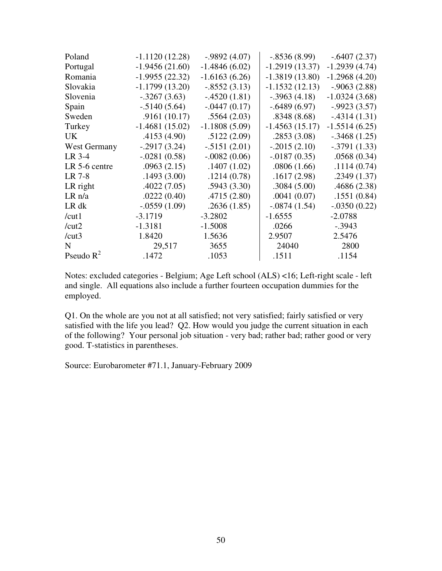| Poland        | $-1.1120(12.28)$ | $-.9892(4.07)$  | $-.8536(8.99)$   | $-.6407(2.37)$  |
|---------------|------------------|-----------------|------------------|-----------------|
| Portugal      | $-1.9456(21.60)$ | $-1.4846(6.02)$ | $-1.2919(13.37)$ | $-1.2939(4.74)$ |
| Romania       | $-1.9955(22.32)$ | $-1.6163(6.26)$ | $-1.3819(13.80)$ | $-1.2968(4.20)$ |
| Slovakia      | $-1.1799(13.20)$ | $-.8552(3.13)$  | $-1.1532(12.13)$ | $-.9063(2.88)$  |
| Slovenia      | $-.3267(3.63)$   | $-.4520(1.81)$  | $-.3963(4.18)$   | $-1.0324(3.68)$ |
| Spain         | $-0.5140(5.64)$  | $-.0447(0.17)$  | $-.6489(6.97)$   | $-.9923(3.57)$  |
| Sweden        | .9161(10.17)     | .5564(2.03)     | .8348(8.68)      | $-.4314(1.31)$  |
| Turkey        | $-1.4681(15.02)$ | $-1.1808(5.09)$ | $-1.4563(15.17)$ | $-1.5514(6.25)$ |
| UK.           | .4153(4.90)      | .5122(2.09)     | .2853(3.08)      | $-.3468(1.25)$  |
| West Germany  | $-.2917(3.24)$   | $-.5151(2.01)$  | $-.2015(2.10)$   | $-.3791(1.33)$  |
| $LR$ 3-4      | $-.0281(0.58)$   | $-.0082(0.06)$  | $-0.0187(0.35)$  | .0568(0.34)     |
| LR 5-6 centre | .0963(2.15)      | .1407(1.02)     | .0806(1.66)      | .1114(0.74)     |
| LR 7-8        | .1493(3.00)      | .1214(0.78)     | .1617(2.98)      | .2349(1.37)     |
| LR right      | .4022(7.05)      | .5943(3.30)     | .3084(5.00)      | .4686(2.38)     |
| LR n/a        | .0222(0.40)      | .4715(2.80)     | .0041(0.07)      | .1551(0.84)     |
| LR dk         | $-.0559(1.09)$   | .2636(1.85)     | $-.0874(1.54)$   | $-.0350(0.22)$  |
| /cut1         | $-3.1719$        | $-3.2802$       | $-1.6555$        | $-2.0788$       |
| /cut2         | $-1.3181$        | $-1.5008$       | .0266            | $-.3943$        |
| /cut3         | 1.8420           | 1.5636          | 2.9507           | 2.5476          |
| N             | 29,517           | 3655            | 24040            | 2800            |
| Pseudo $R^2$  | .1472            | .1053           | .1511            | .1154           |

Notes: excluded categories - Belgium; Age Left school (ALS) <16; Left-right scale - left and single. All equations also include a further fourteen occupation dummies for the employed.

Q1. On the whole are you not at all satisfied; not very satisfied; fairly satisfied or very satisfied with the life you lead? Q2. How would you judge the current situation in each of the following? Your personal job situation - very bad; rather bad; rather good or very good. T-statistics in parentheses.

Source: Eurobarometer #71.1, January-February 2009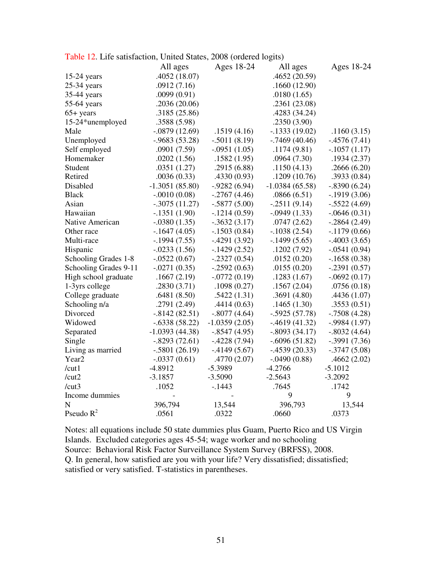| radio 12. Ente sausiaction, Onited Blaces, 2000 (Ordered rogus) |                  |                 |                  |                 |
|-----------------------------------------------------------------|------------------|-----------------|------------------|-----------------|
|                                                                 | All ages         | Ages 18-24      | All ages         | Ages 18-24      |
| $15-24$ years                                                   | .4052(18.07)     |                 | .4652(20.59)     |                 |
| $25-34$ years                                                   | .0912(7.16)      |                 | .1660(12.90)     |                 |
| 35-44 years                                                     | .0099(0.91)      |                 | .0180(1.65)      |                 |
| 55-64 years                                                     | .2036(20.06)     |                 | .2361(23.08)     |                 |
| $65+$ years                                                     | .3185(25.86)     |                 | .4283 (34.24)    |                 |
| 15-24*unemployed                                                | .3588 (5.98)     |                 | .2350(3.90)      |                 |
| Male                                                            | $-.0879(12.69)$  | .1519(4.16)     | $-1333(19.02)$   | .1160(3.15)     |
| Unemployed                                                      | $-0.9683(53.28)$ | $-.5011(8.19)$  | $-0.7469(40.46)$ | $-4576(7.41)$   |
| Self employed                                                   | .0901(7.59)      | $-.0951(1.05)$  | .1174(9.81)      | $-.1057(1.17)$  |
| Homemaker                                                       | .0202(1.56)      | .1582(1.95)     | .0964(7.30)      | .1934(2.37)     |
| Student                                                         | .0351(1.27)      | .2915(6.88)     | .1150(4.13)      | .2666(6.20)     |
| Retired                                                         | .0036(0.33)      | .4330(0.93)     | .1209(10.76)     | .3933(0.84)     |
| Disabled                                                        | $-1.3051(85.80)$ | $-0.9282(6.94)$ | $-1.0384(65.58)$ | $-.8390(6.24)$  |
| <b>Black</b>                                                    | $-.0010(0.08)$   | $-.2767(4.46)$  | .0866(6.51)      | $-1919(3.06)$   |
| Asian                                                           | $-.3075(11.27)$  | $-.5877(5.00)$  | $-.2511(9.14)$   | $-.5522(4.69)$  |
| Hawaiian                                                        | $-1351(1.90)$    | $-.1214(0.59)$  | $-.0949(1.33)$   | $-.0646(0.31)$  |
| Native American                                                 | $-.0380(1.35)$   | $-.3632(3.17)$  | .0747(2.62)      | $-.2864(2.49)$  |
| Other race                                                      | $-.1647(4.05)$   | $-.1503(0.84)$  | $-.1038(2.54)$   | $-1179(0.66)$   |
| Multi-race                                                      | $-1994(7.55)$    | $-.4291(3.92)$  | $-1499(5.65)$    | $-.4003(3.65)$  |
| Hispanic                                                        | $-.0233(1.56)$   | $-1429(2.52)$   | .1202(7.92)      | $-.0541(0.94)$  |
| Schooling Grades 1-8                                            | $-.0522(0.67)$   | $-.2327(0.54)$  | .0152(0.20)      | $-.1658(0.38)$  |
| Schooling Grades 9-11                                           | $-.0271(0.35)$   | $-.2592(0.63)$  | .0155(0.20)      | $-.2391(0.57)$  |
| High school graduate                                            | .1667(2.19)      | $-.0772(0.19)$  | .1283(1.67)      | $-.0692(0.17)$  |
| 1-3yrs college                                                  | .2830(3.71)      | .1098(0.27)     | .1567(2.04)      | .0756(0.18)     |
| College graduate                                                | .6481(8.50)      | .5422(1.31)     | .3691(4.80)      | .4436(1.07)     |
| Schooling n/a                                                   | .2791(2.49)      | .4414(0.63)     | .1465(1.30)      | .3553(0.51)     |
| Divorced                                                        | $-0.8142(82.51)$ | $-.8077(4.64)$  | $-.5925(57.78)$  | $-0.7508(4.28)$ |
| Widowed                                                         | $-.6338(58.22)$  | $-1.0359(2.05)$ | $-0.4619(41.32)$ | $-0.9984(1.97)$ |
| Separated                                                       | $-1.0393(44.38)$ | $-.8547(4.95)$  | $-.8093(34.17)$  | $-.8032(4.64)$  |
| Single                                                          | $-.8293(72.61)$  | $-4228(7.94)$   | $-.6096(51.82)$  | $-.3991(7.36)$  |
| Living as married                                               | $-.5801(26.19)$  | $-4149(5.67)$   | $-.4539(20.33)$  | $-.3747(5.08)$  |
| Year <sub>2</sub>                                               | $-.0337(0.61)$   | .4770(2.07)     | $-.0490(0.88)$   | .4662(2.02)     |
| /cut1                                                           | $-4.8912$        | $-5.3989$       | $-4.2766$        | $-5.1012$       |
| /cut2                                                           | $-3.1857$        | $-3.5090$       | $-2.5643$        | $-3.2092$       |
| /cut3                                                           | .1052            | $-1443$         | .7645            | .1742           |
| Income dummies                                                  |                  |                 | 9                | 9               |
| $\mathbf N$                                                     | 396,794          | 13,544          | 396,793          | 13,544          |
| Pseudo $R^2$                                                    | .0561            | .0322           | .0660            | .0373           |

Notes: all equations include 50 state dummies plus Guam, Puerto Rico and US Virgin Islands. Excluded categories ages 45-54; wage worker and no schooling Source: Behavioral Risk Factor Surveillance System Survey (BRFSS), 2008. Q. In general, how satisfied are you with your life? Very dissatisfied; dissatisfied; satisfied or very satisfied. T-statistics in parentheses.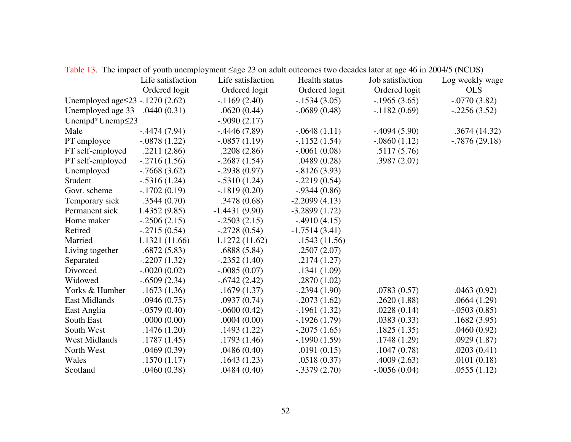|                                        |                   | Table 19. The impact of youth unchiployment sage 29 on addit outcomes two decades fater at age 40 in 2004/9 (TCDS) |                 |                  |                  |
|----------------------------------------|-------------------|--------------------------------------------------------------------------------------------------------------------|-----------------|------------------|------------------|
|                                        | Life satisfaction | Life satisfaction                                                                                                  | Health status   | Job satisfaction | Log weekly wage  |
|                                        | Ordered logit     | Ordered logit                                                                                                      | Ordered logit   | Ordered logit    | <b>OLS</b>       |
| Unemployed age $\leq$ 23 - 1270 (2.62) |                   | $-1169(2.40)$                                                                                                      | $-.1534(3.05)$  | $-.1965(3.65)$   | $-.0770(3.82)$   |
| Unemployed age 33                      | .0440(0.31)       | .0620(0.44)                                                                                                        | $-.0689(0.48)$  | $-1182(0.69)$    | $-.2256(3.52)$   |
| Unempd*Unemp≤23                        |                   | $-.9090(2.17)$                                                                                                     |                 |                  |                  |
| Male                                   | $-.4474(7.94)$    | $-.4446(7.89)$                                                                                                     | $-.0648(1.11)$  | $-.4094(5.90)$   | .3674(14.32)     |
| PT employee                            | $-.0878(1.22)$    | $-.0857(1.19)$                                                                                                     | $-1152(1.54)$   | $-.0860(1.12)$   | $-0.7876(29.18)$ |
| FT self-employed                       | .2211(2.86)       | .2208(2.86)                                                                                                        | $-.0061(0.08)$  | .5117(5.76)      |                  |
| PT self-employed                       | $-.2716(1.56)$    | $-.2687(1.54)$                                                                                                     | .0489(0.28)     | .3987(2.07)      |                  |
| Unemployed                             | $-0.7668(3.62)$   | $-.2938(0.97)$                                                                                                     | $-.8126(3.93)$  |                  |                  |
| Student                                | $-.5316(1.24)$    | $-.5310(1.24)$                                                                                                     | $-.2219(0.54)$  |                  |                  |
| Govt. scheme                           | $-.1702(0.19)$    | $-.1819(0.20)$                                                                                                     | $-.9344(0.86)$  |                  |                  |
| Temporary sick                         | .3544(0.70)       | .3478(0.68)                                                                                                        | $-2.2099(4.13)$ |                  |                  |
| Permanent sick                         | 1.4352(9.85)      | $-1.4431(9.90)$                                                                                                    | $-3.2899(1.72)$ |                  |                  |
| Home maker                             | $-.2506(2.15)$    | $-.2503(2.15)$                                                                                                     | $-.4910(4.15)$  |                  |                  |
| Retired                                | $-.2715(0.54)$    | $-.2728(0.54)$                                                                                                     | $-1.7514(3.41)$ |                  |                  |
| Married                                | 1.1321 (11.66)    | 1.1272(11.62)                                                                                                      | .1543(11.56)    |                  |                  |
| Living together                        | .6872(5.83)       | .6888(5.84)                                                                                                        | .2507(2.07)     |                  |                  |
| Separated                              | $-.2207(1.32)$    | $-.2352(1.40)$                                                                                                     | .2174(1.27)     |                  |                  |
| Divorced                               | $-.0020(0.02)$    | $-.0085(0.07)$                                                                                                     | .1341(1.09)     |                  |                  |
| Widowed                                | $-.6509(2.34)$    | $-.6742(2.42)$                                                                                                     | .2870(1.02)     |                  |                  |
| Yorks & Humber                         | .1673(1.36)       | .1679(1.37)                                                                                                        | $-.2394(1.90)$  | .0783(0.57)      | .0463(0.92)      |
| <b>East Midlands</b>                   | .0946(0.75)       | .0937(0.74)                                                                                                        | $-.2073(1.62)$  | .2620(1.88)      | .0664(1.29)      |
| East Anglia                            | $-.0579(0.40)$    | $-.0600(0.42)$                                                                                                     | $-.1961(1.32)$  | .0228(0.14)      | $-.0503(0.85)$   |
| South East                             | .0000(0.00)       | .0004(0.00)                                                                                                        | $-1926(1.79)$   | .0383(0.33)      | .1682(3.95)      |
| South West                             | .1476(1.20)       | .1493(1.22)                                                                                                        | $-.2075(1.65)$  | .1825(1.35)      | .0460(0.92)      |
| <b>West Midlands</b>                   | .1787(1.45)       | .1793(1.46)                                                                                                        | $-.1990(1.59)$  | .1748(1.29)      | .0929(1.87)      |
| North West                             | .0469(0.39)       | .0486(0.40)                                                                                                        | .0191(0.15)     | .1047(0.78)      | .0203(0.41)      |
| Wales                                  | .1570(1.17)       | .1643(1.23)                                                                                                        | .0518(0.37)     | .4009(2.63)      | .0101(0.18)      |
| Scotland                               | .0460(0.38)       | .0484(0.40)                                                                                                        | $-.3379(2.70)$  | $-.0056(0.04)$   | .0555(1.12)      |

Table 13. The impact of youth unemployment <age 23 on adult outcomes two decades later at age 46 in 2004/5 (NCDS)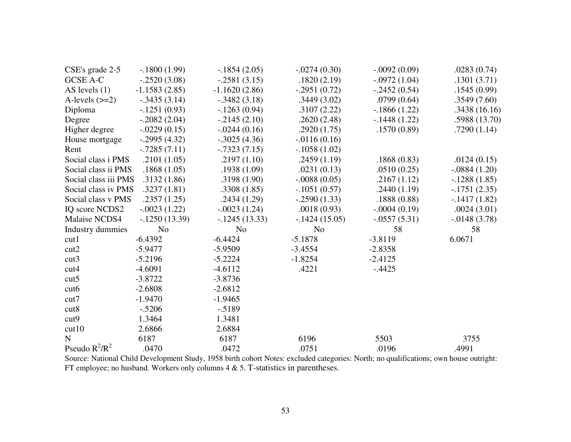| CSE's grade 2-5      | $-.1800(1.99)$  | $-.1854(2.05)$  | $-.0274(0.30)$  | $-.0092(0.09)$ | .0283(0.74)     |
|----------------------|-----------------|-----------------|-----------------|----------------|-----------------|
| <b>GCSE A-C</b>      | $-.2520(3.08)$  | $-.2581(3.15)$  | .1820(2.19)     | $-.0972(1.04)$ | .1301(3.71)     |
| AS levels $(1)$      | $-1.1583(2.85)$ | $-1.1620(2.86)$ | $-.2951(0.72)$  | $-.2452(0.54)$ | .1545(0.99)     |
| A-levels $(\geq=2)$  | $-.3435(3.14)$  | $-.3482(3.18)$  | .3449(3.02)     | .0799(0.64)    | .3549(7.60)     |
| Diploma              | $-.1251(0.93)$  | $-1263(0.94)$   | .3107(2.22)     | $-1866(1.22)$  | .3438(16.16)    |
| Degree               | $-.2082(2.04)$  | $-.2145(2.10)$  | .2620(2.48)     | $-.1448(1.22)$ | .5988 (13.70)   |
| Higher degree        | $-.0229(0.15)$  | $-.0244(0.16)$  | .2920(1.75)     | .1570(0.89)    | .7290(1.14)     |
| House mortgage       | $-.2995(4.32)$  | $-.3025(4.36)$  | $-0.0116(0.16)$ |                |                 |
| Rent                 | $-.7285(7.11)$  | $-.7323(7.15)$  | $-.1058(1.02)$  |                |                 |
| Social class i PMS   | .2101(1.05)     | .2197(1.10)     | .2459(1.19)     | .1868(0.83)    | .0124(0.15)     |
| Social class ii PMS  | .1868(1.05)     | .1938(1.09)     | .0231(0.13)     | .0510(0.25)    | $-.0884(1.20)$  |
| Social class iii PMS | .3132(1.86)     | .3198(1.90)     | $-.0088(0.05)$  | .2167(1.12)    | $-.1288(1.85)$  |
| Social class iv PMS  | .3237(1.81)     | .3308(1.85)     | $-.1051(0.57)$  | .2440(1.19)    | $-.1751(2.35)$  |
| Social class v PMS   | .2357(1.25)     | .2434(1.29)     | $-.2590(1.33)$  | .1888(0.88)    | $-.1417(1.82)$  |
| IQ score NCDS2       | $-.0023(1.22)$  | $-.0023(1.24)$  | .0018(0.93)     | $-.0004(0.19)$ | .0024(3.01)     |
| Malaise NCDS4        | $-.1250(13.39)$ | $-.1245(13.33)$ | $-.1424(15.05)$ | $-.0557(5.31)$ | $-0.0148(3.78)$ |
| Industry dummies     | N <sub>o</sub>  | N <sub>o</sub>  | N <sub>o</sub>  | 58             | 58              |
| cut1                 | $-6.4392$       | $-6.4424$       | $-5.1878$       | $-3.8119$      | 6.0671          |
| cut2                 | $-5.9477$       | $-5.9509$       | $-3.4554$       | $-2.8358$      |                 |
| cut3                 | $-5.2196$       | $-5.2224$       | $-1.8254$       | $-2.4125$      |                 |
| cut4                 | $-4.6091$       | $-4.6112$       | .4221           | $-.4425$       |                 |
| cut5                 | $-3.8722$       | $-3.8736$       |                 |                |                 |
| cut6                 | $-2.6808$       | $-2.6812$       |                 |                |                 |
| cut7                 | $-1.9470$       | $-1.9465$       |                 |                |                 |
| cut8                 | $-.5206$        | $-0.5189$       |                 |                |                 |
| cut <sub>9</sub>     | 1.3464          | 1.3481          |                 |                |                 |
| cut10                | 2.6866          | 2.6884          |                 |                |                 |
| $\mathbf N$          | 6187            | 6187            | 6196            | 5503           | 3755            |
| Pseudo $R^2/R^2$     | .0470           | .0472           | .0751           | .0196          | .4991           |

Source: National Child Development Study, 1958 birth cohort Notes: excluded categories: North; no qualifications; own house outright: FT employee; no husband. Workers only columns 4 & 5. T-statistics in parentheses.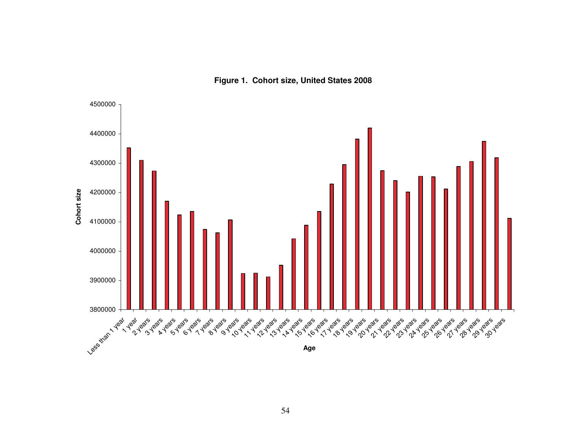

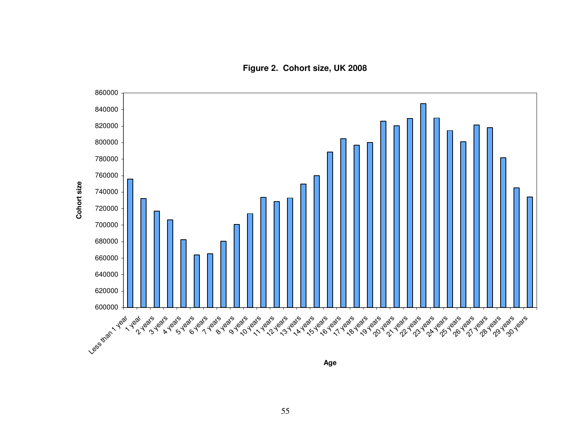**Figure 2. Cohort size, UK 2008**



**Age**